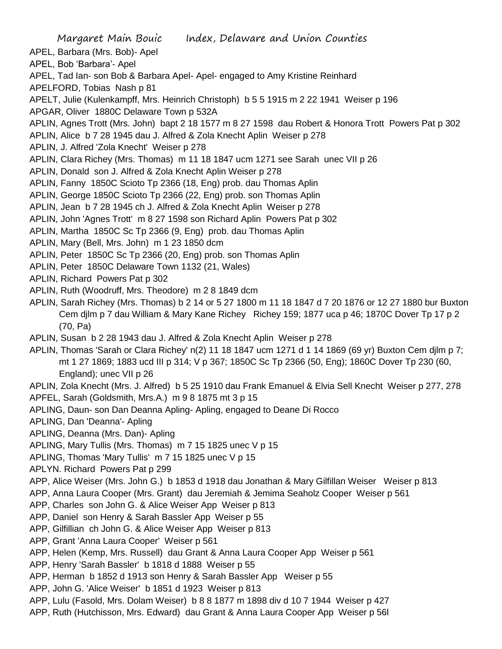Margaret Main Bouic Index, Delaware and Union Counties APEL, Barbara (Mrs. Bob)- Apel APEL, Bob 'Barbara'- Apel APEL, Tad Ian- son Bob & Barbara Apel- Apel- engaged to Amy Kristine Reinhard APELFORD, Tobias Nash p 81 APELT, Julie (Kulenkampff, Mrs. Heinrich Christoph) b 5 5 1915 m 2 22 1941 Weiser p 196 APGAR, Oliver 1880C Delaware Town p 532A APLIN, Agnes Trott (Mrs. John) bapt 2 18 1577 m 8 27 1598 dau Robert & Honora Trott Powers Pat p 302 APLIN, Alice b 7 28 1945 dau J. Alfred & Zola Knecht Aplin Weiser p 278 APLIN, J. Alfred 'Zola Knecht' Weiser p 278 APLIN, Clara Richey (Mrs. Thomas) m 11 18 1847 ucm 1271 see Sarah unec VII p 26 APLIN, Donald son J. Alfred & Zola Knecht Aplin Weiser p 278 APLIN, Fanny 1850C Scioto Tp 2366 (18, Eng) prob. dau Thomas Aplin APLIN, George 1850C Scioto Tp 2366 (22, Eng) prob. son Thomas Aplin APLIN, Jean b 7 28 1945 ch J. Alfred & Zola Knecht Aplin Weiser p 278 APLIN, John 'Agnes Trott' m 8 27 1598 son Richard Aplin Powers Pat p 302 APLIN, Martha 1850C Sc Tp 2366 (9, Eng) prob. dau Thomas Aplin APLIN, Mary (Bell, Mrs. John) m 1 23 1850 dcm APLIN, Peter 1850C Sc Tp 2366 (20, Eng) prob. son Thomas Aplin APLIN, Peter 1850C Delaware Town 1132 (21, Wales) APLIN, Richard Powers Pat p 302 APLIN, Ruth (Woodruff, Mrs. Theodore) m 2 8 1849 dcm APLIN, Sarah Richey (Mrs. Thomas) b 2 14 or 5 27 1800 m 11 18 1847 d 7 20 1876 or 12 27 1880 bur Buxton Cem djlm p 7 dau William & Mary Kane Richey Richey 159; 1877 uca p 46; 1870C Dover Tp 17 p 2 (70, Pa) APLIN, Susan b 2 28 1943 dau J. Alfred & Zola Knecht Aplin Weiser p 278 APLIN, Thomas 'Sarah or Clara Richey' n(2) 11 18 1847 ucm 1271 d 1 14 1869 (69 yr) Buxton Cem djlm p 7; mt 1 27 1869; 1883 ucd III p 314; V p 367; 1850C Sc Tp 2366 (50, Eng); 1860C Dover Tp 230 (60, England); unec VII p 26 APLIN, Zola Knecht (Mrs. J. Alfred) b 5 25 1910 dau Frank Emanuel & Elvia Sell Knecht Weiser p 277, 278 APFEL, Sarah (Goldsmith, Mrs.A.) m 9 8 1875 mt 3 p 15 APLING, Daun- son Dan Deanna Apling- Apling, engaged to Deane Di Rocco APLING, Dan 'Deanna'- Apling APLING, Deanna (Mrs. Dan)- Apling APLING, Mary Tullis (Mrs. Thomas) m 7 15 1825 unec V p 15 APLING, Thomas 'Mary Tullis' m 7 15 1825 unec V p 15 APLYN. Richard Powers Pat p 299 APP, Alice Weiser (Mrs. John G.) b 1853 d 1918 dau Jonathan & Mary Gilfillan Weiser Weiser p 813 APP, Anna Laura Cooper (Mrs. Grant) dau Jeremiah & Jemima Seaholz Cooper Weiser p 561 APP, Charles son John G. & Alice Weiser App Weiser p 813 APP, Daniel son Henry & Sarah Bassler App Weiser p 55 APP, Gilfillian ch John G. & Alice Weiser App Weiser p 813 APP, Grant 'Anna Laura Cooper' Weiser p 561 APP, Helen (Kemp, Mrs. Russell) dau Grant & Anna Laura Cooper App Weiser p 561 APP, Henry 'Sarah Bassler' b 1818 d 1888 Weiser p 55 APP, Herman b 1852 d 1913 son Henry & Sarah Bassler App Weiser p 55 APP, John G. 'Alice Weiser' b 1851 d 1923 Weiser p 813 APP, Lulu (Fasold, Mrs. Dolam Weiser) b 8 8 1877 m 1898 div d 10 7 1944 Weiser p 427 APP, Ruth (Hutchisson, Mrs. Edward) dau Grant & Anna Laura Cooper App Weiser p 56l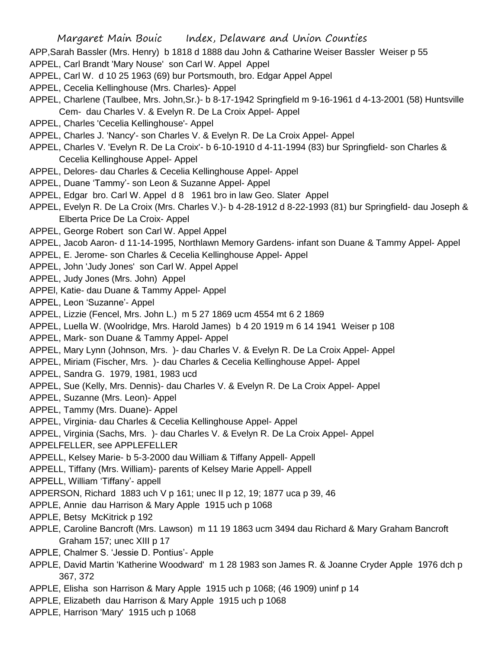- APP,Sarah Bassler (Mrs. Henry) b 1818 d 1888 dau John & Catharine Weiser Bassler Weiser p 55
- APPEL, Carl Brandt 'Mary Nouse' son Carl W. Appel Appel
- APPEL, Carl W. d 10 25 1963 (69) bur Portsmouth, bro. Edgar Appel Appel
- APPEL, Cecelia Kellinghouse (Mrs. Charles)- Appel
- APPEL, Charlene (Taulbee, Mrs. John,Sr.)- b 8-17-1942 Springfield m 9-16-1961 d 4-13-2001 (58) Huntsville Cem- dau Charles V. & Evelyn R. De La Croix Appel- Appel
- APPEL, Charles 'Cecelia Kellinghouse'- Appel
- APPEL, Charles J. 'Nancy'- son Charles V. & Evelyn R. De La Croix Appel- Appel
- APPEL, Charles V. 'Evelyn R. De La Croix'- b 6-10-1910 d 4-11-1994 (83) bur Springfield- son Charles & Cecelia Kellinghouse Appel- Appel
- APPEL, Delores- dau Charles & Cecelia Kellinghouse Appel- Appel
- APPEL, Duane 'Tammy'- son Leon & Suzanne Appel- Appel
- APPEL, Edgar bro. Carl W. Appel d 8 1961 bro in law Geo. Slater Appel
- APPEL, Evelyn R. De La Croix (Mrs. Charles V.)- b 4-28-1912 d 8-22-1993 (81) bur Springfield- dau Joseph & Elberta Price De La Croix- Appel
- APPEL, George Robert son Carl W. Appel Appel
- APPEL, Jacob Aaron- d 11-14-1995, Northlawn Memory Gardens- infant son Duane & Tammy Appel- Appel
- APPEL, E. Jerome- son Charles & Cecelia Kellinghouse Appel- Appel
- APPEL, John 'Judy Jones' son Carl W. Appel Appel
- APPEL, Judy Jones (Mrs. John) Appel
- APPEl, Katie- dau Duane & Tammy Appel- Appel
- APPEL, Leon 'Suzanne'- Appel
- APPEL, Lizzie (Fencel, Mrs. John L.) m 5 27 1869 ucm 4554 mt 6 2 1869
- APPEL, Luella W. (Woolridge, Mrs. Harold James) b 4 20 1919 m 6 14 1941 Weiser p 108
- APPEL, Mark- son Duane & Tammy Appel- Appel
- APPEL, Mary Lynn (Johnson, Mrs. )- dau Charles V. & Evelyn R. De La Croix Appel- Appel
- APPEL, Miriam (Fischer, Mrs. )- dau Charles & Cecelia Kellinghouse Appel- Appel
- APPEL, Sandra G. 1979, 1981, 1983 ucd
- APPEL, Sue (Kelly, Mrs. Dennis)- dau Charles V. & Evelyn R. De La Croix Appel- Appel
- APPEL, Suzanne (Mrs. Leon)- Appel
- APPEL, Tammy (Mrs. Duane)- Appel
- APPEL, Virginia- dau Charles & Cecelia Kellinghouse Appel- Appel
- APPEL, Virginia (Sachs, Mrs. )- dau Charles V. & Evelyn R. De La Croix Appel- Appel
- APPELFELLER, see APPLEFELLER
- APPELL, Kelsey Marie- b 5-3-2000 dau William & Tiffany Appell- Appell
- APPELL, Tiffany (Mrs. William)- parents of Kelsey Marie Appell- Appell
- APPELL, William 'Tiffany'- appell
- APPERSON, Richard 1883 uch V p 161; unec II p 12, 19; 1877 uca p 39, 46
- APPLE, Annie dau Harrison & Mary Apple 1915 uch p 1068
- APPLE, Betsy McKitrick p 192
- APPLE, Caroline Bancroft (Mrs. Lawson) m 11 19 1863 ucm 3494 dau Richard & Mary Graham Bancroft Graham 157; unec XIII p 17
- APPLE, Chalmer S. 'Jessie D. Pontius'- Apple
- APPLE, David Martin 'Katherine Woodward' m 1 28 1983 son James R. & Joanne Cryder Apple 1976 dch p 367, 372
- APPLE, Elisha son Harrison & Mary Apple 1915 uch p 1068; (46 1909) uninf p 14
- APPLE, Elizabeth dau Harrison & Mary Apple 1915 uch p 1068
- APPLE, Harrison 'Mary' 1915 uch p 1068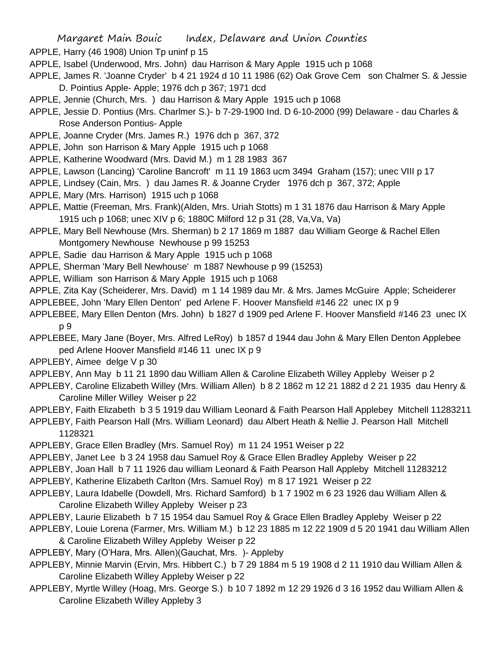- APPLE, Harry (46 1908) Union Tp uninf p 15
- APPLE, Isabel (Underwood, Mrs. John) dau Harrison & Mary Apple 1915 uch p 1068
- APPLE, James R. 'Joanne Cryder' b 4 21 1924 d 10 11 1986 (62) Oak Grove Cem son Chalmer S. & Jessie D. Pointius Apple- Apple; 1976 dch p 367; 1971 dcd
- APPLE, Jennie (Church, Mrs. ) dau Harrison & Mary Apple 1915 uch p 1068
- APPLE, Jessie D. Pontius (Mrs. Charlmer S.)- b 7-29-1900 Ind. D 6-10-2000 (99) Delaware dau Charles & Rose Anderson Pontius- Apple
- APPLE, Joanne Cryder (Mrs. James R.) 1976 dch p 367, 372
- APPLE, John son Harrison & Mary Apple 1915 uch p 1068
- APPLE, Katherine Woodward (Mrs. David M.) m 1 28 1983 367
- APPLE, Lawson (Lancing) 'Caroline Bancroft' m 11 19 1863 ucm 3494 Graham (157); unec VIII p 17
- APPLE, Lindsey (Cain, Mrs. ) dau James R. & Joanne Cryder 1976 dch p 367, 372; Apple
- APPLE, Mary (Mrs. Harrison) 1915 uch p 1068
- APPLE, Mattie (Freeman, Mrs. Frank)(Alden, Mrs. Uriah Stotts) m 1 31 1876 dau Harrison & Mary Apple 1915 uch p 1068; unec XIV p 6; 1880C Milford 12 p 31 (28, Va,Va, Va)
- APPLE, Mary Bell Newhouse (Mrs. Sherman) b 2 17 1869 m 1887 dau William George & Rachel Ellen Montgomery Newhouse Newhouse p 99 15253
- APPLE, Sadie dau Harrison & Mary Apple 1915 uch p 1068
- APPLE, Sherman 'Mary Bell Newhouse' m 1887 Newhouse p 99 (15253)
- APPLE, William son Harrison & Mary Apple 1915 uch p 1068
- APPLE, Zita Kay (Scheiderer, Mrs. David) m 1 14 1989 dau Mr. & Mrs. James McGuire Apple; Scheiderer APPLEBEE, John 'Mary Ellen Denton' ped Arlene F. Hoover Mansfield #146 22 unec IX p 9
- APPLEBEE, Mary Ellen Denton (Mrs. John) b 1827 d 1909 ped Arlene F. Hoover Mansfield #146 23 unec IX p 9
- APPLEBEE, Mary Jane (Boyer, Mrs. Alfred LeRoy) b 1857 d 1944 dau John & Mary Ellen Denton Applebee ped Arlene Hoover Mansfield #146 11 unec IX p 9
- APPLEBY, Aimee delge V p 30
- APPLEBY, Ann May b 11 21 1890 dau William Allen & Caroline Elizabeth Willey Appleby Weiser p 2
- APPLEBY, Caroline Elizabeth Willey (Mrs. William Allen) b 8 2 1862 m 12 21 1882 d 2 21 1935 dau Henry & Caroline Miller Willey Weiser p 22
- APPLEBY, Faith Elizabeth b 3 5 1919 dau William Leonard & Faith Pearson Hall Applebey Mitchell 11283211
- APPLEBY, Faith Pearson Hall (Mrs. William Leonard) dau Albert Heath & Nellie J. Pearson Hall Mitchell 1128321
- APPLEBY, Grace Ellen Bradley (Mrs. Samuel Roy) m 11 24 1951 Weiser p 22
- APPLEBY, Janet Lee b 3 24 1958 dau Samuel Roy & Grace Ellen Bradley Appleby Weiser p 22
- APPLEBY, Joan Hall b 7 11 1926 dau william Leonard & Faith Pearson Hall Appleby Mitchell 11283212
- APPLEBY, Katherine Elizabeth Carlton (Mrs. Samuel Roy) m 8 17 1921 Weiser p 22
- APPLEBY, Laura Idabelle (Dowdell, Mrs. Richard Samford) b 1 7 1902 m 6 23 1926 dau William Allen & Caroline Elizabeth Willey Appleby Weiser p 23
- APPLEBY, Laurie Elizabeth b 7 15 1954 dau Samuel Roy & Grace Ellen Bradley Appleby Weiser p 22
- APPLEBY, Louie Lorena (Farmer, Mrs. William M.) b 12 23 1885 m 12 22 1909 d 5 20 1941 dau William Allen & Caroline Elizabeth Willey Appleby Weiser p 22
- APPLEBY, Mary (O'Hara, Mrs. Allen)(Gauchat, Mrs. )- Appleby
- APPLEBY, Minnie Marvin (Ervin, Mrs. Hibbert C.) b 7 29 1884 m 5 19 1908 d 2 11 1910 dau William Allen & Caroline Elizabeth Willey Appleby Weiser p 22
- APPLEBY, Myrtle Willey (Hoag, Mrs. George S.) b 10 7 1892 m 12 29 1926 d 3 16 1952 dau William Allen & Caroline Elizabeth Willey Appleby 3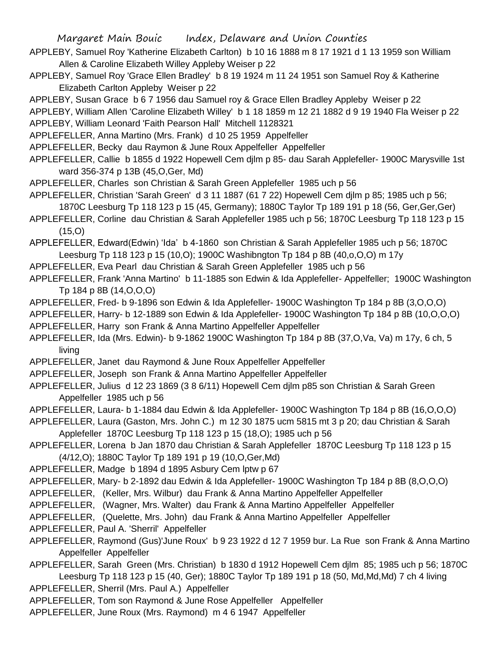- APPLEBY, Samuel Roy 'Katherine Elizabeth Carlton) b 10 16 1888 m 8 17 1921 d 1 13 1959 son William Allen & Caroline Elizabeth Willey Appleby Weiser p 22
- APPLEBY, Samuel Roy 'Grace Ellen Bradley' b 8 19 1924 m 11 24 1951 son Samuel Roy & Katherine Elizabeth Carlton Appleby Weiser p 22
- APPLEBY, Susan Grace b 6 7 1956 dau Samuel roy & Grace Ellen Bradley Appleby Weiser p 22
- APPLEBY, William Allen 'Caroline Elizabeth Willey' b 1 18 1859 m 12 21 1882 d 9 19 1940 Fla Weiser p 22 APPLEBY, William Leonard 'Faith Pearson Hall' Mitchell 1128321
- APPLEFELLER, Anna Martino (Mrs. Frank) d 10 25 1959 Appelfeller
- APPLEFELLER, Becky dau Raymon & June Roux Appelfeller Appelfeller
- APPLEFELLER, Callie b 1855 d 1922 Hopewell Cem djlm p 85- dau Sarah Applefeller- 1900C Marysville 1st ward 356-374 p 13B (45,O,Ger, Md)
- APPLEFELLER, Charles son Christian & Sarah Green Applefeller 1985 uch p 56
- APPLEFELLER, Christian 'Sarah Green' d 3 11 1887 (61 7 22) Hopewell Cem djlm p 85; 1985 uch p 56; 1870C Leesburg Tp 118 123 p 15 (45, Germany); 1880C Taylor Tp 189 191 p 18 (56, Ger,Ger,Ger)
- APPLEFELLER, Corline dau Christian & Sarah Applefeller 1985 uch p 56; 1870C Leesburg Tp 118 123 p 15  $(15,0)$
- APPLEFELLER, Edward(Edwin) 'Ida' b 4-1860 son Christian & Sarah Applefeller 1985 uch p 56; 1870C Leesburg Tp 118 123 p 15 (10,O); 1900C Washibngton Tp 184 p 8B (40,o,O,O) m 17y
- APPLEFELLER, Eva Pearl dau Christian & Sarah Green Applefeller 1985 uch p 56
- APPLEFELLER, Frank 'Anna Martino' b 11-1885 son Edwin & Ida Applefeller- Appelfeller; 1900C Washington Tp 184 p 8B (14,O,O,O)
- APPLEFELLER, Fred- b 9-1896 son Edwin & Ida Applefeller- 1900C Washington Tp 184 p 8B (3,O,O,O)
- APPLEFELLER, Harry- b 12-1889 son Edwin & Ida Applefeller- 1900C Washington Tp 184 p 8B (10,O,O,O) APPLEFELLER, Harry son Frank & Anna Martino Appelfeller Appelfeller
- APPLEFELLER, Ida (Mrs. Edwin)- b 9-1862 1900C Washington Tp 184 p 8B (37,O,Va, Va) m 17y, 6 ch, 5 living
- APPLEFELLER, Janet dau Raymond & June Roux Appelfeller Appelfeller
- APPLEFELLER, Joseph son Frank & Anna Martino Appelfeller Appelfeller
- APPLEFELLER, Julius d 12 23 1869 (3 8 6/11) Hopewell Cem djlm p85 son Christian & Sarah Green Appelfeller 1985 uch p 56
- APPLEFELLER, Laura- b 1-1884 dau Edwin & Ida Applefeller- 1900C Washington Tp 184 p 8B (16,O,O,O)
- APPLEFELLER, Laura (Gaston, Mrs. John C.) m 12 30 1875 ucm 5815 mt 3 p 20; dau Christian & Sarah Applefeller 1870C Leesburg Tp 118 123 p 15 (18,O); 1985 uch p 56
- APPLEFELLER, Lorena b Jan 1870 dau Christian & Sarah Applefeller 1870C Leesburg Tp 118 123 p 15 (4/12,O); 1880C Taylor Tp 189 191 p 19 (10,O,Ger,Md)
- APPLEFELLER, Madge b 1894 d 1895 Asbury Cem lptw p 67
- APPLEFELLER, Mary- b 2-1892 dau Edwin & Ida Applefeller- 1900C Washington Tp 184 p 8B (8,O,O,O)
- APPLEFELLER, (Keller, Mrs. Wilbur) dau Frank & Anna Martino Appelfeller Appelfeller
- APPLEFELLER, (Wagner, Mrs. Walter) dau Frank & Anna Martino Appelfeller Appelfeller
- APPLEFELLER, (Quelette, Mrs. John) dau Frank & Anna Martino Appelfeller Appelfeller
- APPLEFELLER, Paul A. 'Sherril' Appelfeller
- APPLEFELLER, Raymond (Gus)'June Roux' b 9 23 1922 d 12 7 1959 bur. La Rue son Frank & Anna Martino Appelfeller Appelfeller
- APPLEFELLER, Sarah Green (Mrs. Christian) b 1830 d 1912 Hopewell Cem djlm 85; 1985 uch p 56; 1870C Leesburg Tp 118 123 p 15 (40, Ger); 1880C Taylor Tp 189 191 p 18 (50, Md,Md,Md) 7 ch 4 living APPLEFELLER, Sherril (Mrs. Paul A.) Appelfeller
- APPLEFELLER, Tom son Raymond & June Rose Appelfeller Appelfeller
- APPLEFELLER, June Roux (Mrs. Raymond) m 4 6 1947 Appelfeller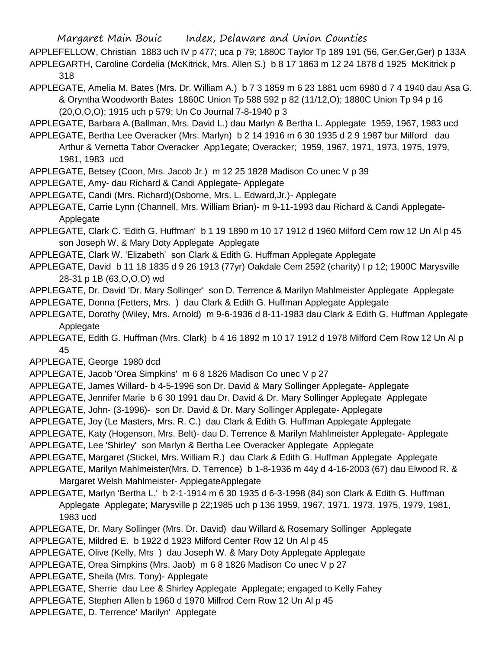- APPLEFELLOW, Christian 1883 uch IV p 477; uca p 79; 1880C Taylor Tp 189 191 (56, Ger,Ger,Ger) p 133A APPLEGARTH, Caroline Cordelia (McKitrick, Mrs. Allen S.) b 8 17 1863 m 12 24 1878 d 1925 McKitrick p 318
- APPLEGATE, Amelia M. Bates (Mrs. Dr. William A.) b 7 3 1859 m 6 23 1881 ucm 6980 d 7 4 1940 dau Asa G. & Oryntha Woodworth Bates 1860C Union Tp 588 592 p 82 (11/12,O); 1880C Union Tp 94 p 16 (20,O,O,O); 1915 uch p 579; Un Co Journal 7-8-1940 p 3
- APPLEGATE, Barbara A.(Ballman, Mrs. David L.) dau Marlyn & Bertha L. Applegate 1959, 1967, 1983 ucd
- APPLEGATE, Bertha Lee Overacker (Mrs. Marlyn) b 2 14 1916 m 6 30 1935 d 2 9 1987 bur Milford dau Arthur & Vernetta Tabor Overacker App1egate; Overacker; 1959, 1967, 1971, 1973, 1975, 1979, 1981, 1983 ucd
- APPLEGATE, Betsey (Coon, Mrs. Jacob Jr.) m 12 25 1828 Madison Co unec V p 39
- APPLEGATE, Amy- dau Richard & Candi Applegate- Applegate
- APPLEGATE, Candi (Mrs. Richard)(Osborne, Mrs. L. Edward,Jr.)- Applegate
- APPLEGATE, Carrie Lynn (Channell, Mrs. William Brian)- m 9-11-1993 dau Richard & Candi Applegate-Applegate
- APPLEGATE, Clark C. 'Edith G. Huffman' b 1 19 1890 m 10 17 1912 d 1960 Milford Cem row 12 Un Al p 45 son Joseph W. & Mary Doty Applegate Applegate
- APPLEGATE, Clark W. 'Elizabeth' son Clark & Edith G. Huffman Applegate Applegate
- APPLEGATE, David b 11 18 1835 d 9 26 1913 (77yr) Oakdale Cem 2592 (charity) I p 12; 1900C Marysville 28-31 p 1B (63,O,O,O) wd
- APPLEGATE, Dr. David 'Dr. Mary Sollinger' son D. Terrence & Marilyn Mahlmeister Applegate Applegate
- APPLEGATE, Donna (Fetters, Mrs. ) dau Clark & Edith G. Huffman Applegate Applegate
- APPLEGATE, Dorothy (Wiley, Mrs. Arnold) m 9-6-1936 d 8-11-1983 dau Clark & Edith G. Huffman Applegate **Applegate**
- APPLEGATE, Edith G. Huffman (Mrs. Clark) b 4 16 1892 m 10 17 1912 d 1978 Milford Cem Row 12 Un Al p 45
- APPLEGATE, George 1980 dcd
- APPLEGATE, Jacob 'Orea Simpkins' m 6 8 1826 Madison Co unec V p 27
- APPLEGATE, James Willard- b 4-5-1996 son Dr. David & Mary Sollinger Applegate- Applegate
- APPLEGATE, Jennifer Marie b 6 30 1991 dau Dr. David & Dr. Mary Sollinger Applegate Applegate
- APPLEGATE, John- (3-1996)- son Dr. David & Dr. Mary Sollinger Applegate- Applegate
- APPLEGATE, Joy (Le Masters, Mrs. R. C.) dau Clark & Edith G. Huffman Applegate Applegate
- APPLEGATE, Katy (Hogenson, Mrs. Belt)- dau D. Terrence & Marilyn Mahlmeister Applegate- Applegate
- APPLEGATE, Lee 'Shirley' son Marlyn & Bertha Lee Overacker Applegate Applegate
- APPLEGATE, Margaret (Stickel, Mrs. William R.) dau Clark & Edith G. Huffman Applegate Applegate
- APPLEGATE, Marilyn Mahlmeister(Mrs. D. Terrence) b 1-8-1936 m 44y d 4-16-2003 (67) dau Elwood R. & Margaret Welsh Mahlmeister- ApplegateApplegate
- APPLEGATE, Marlyn 'Bertha L.' b 2-1-1914 m 6 30 1935 d 6-3-1998 (84) son Clark & Edith G. Huffman Applegate Applegate; Marysville p 22;1985 uch p 136 1959, 1967, 1971, 1973, 1975, 1979, 1981, 1983 ucd
- APPLEGATE, Dr. Mary Sollinger (Mrs. Dr. David) dau Willard & Rosemary Sollinger Applegate
- APPLEGATE, Mildred E. b 1922 d 1923 Milford Center Row 12 Un Al p 45
- APPLEGATE, Olive (Kelly, Mrs ) dau Joseph W. & Mary Doty Applegate Applegate
- APPLEGATE, Orea Simpkins (Mrs. Jaob) m 6 8 1826 Madison Co unec V p 27
- APPLEGATE, Sheila (Mrs. Tony)- Applegate
- APPLEGATE, Sherrie dau Lee & Shirley Applegate Applegate; engaged to Kelly Fahey
- APPLEGATE, Stephen Allen b 1960 d 1970 Milfrod Cem Row 12 Un Al p 45
- APPLEGATE, D. Terrence' Marilyn' Applegate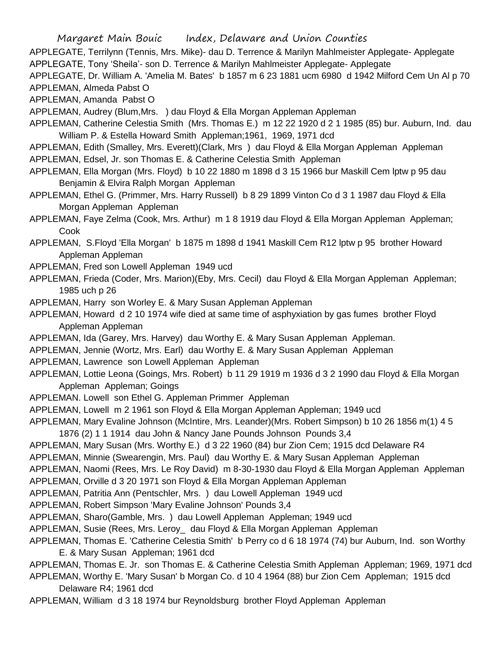APPLEGATE, Terrilynn (Tennis, Mrs. Mike)- dau D. Terrence & Marilyn Mahlmeister Applegate- Applegate APPLEGATE, Tony 'Sheila'- son D. Terrence & Marilyn Mahlmeister Applegate- Applegate

APPLEGATE, Dr. William A. 'Amelia M. Bates' b 1857 m 6 23 1881 ucm 6980 d 1942 Milford Cem Un Al p 70 APPLEMAN, Almeda Pabst O

APPLEMAN, Amanda Pabst O

APPLEMAN, Audrey (Blum,Mrs. ) dau Floyd & Ella Morgan Appleman Appleman

APPLEMAN, Catherine Celestia Smith (Mrs. Thomas E.) m 12 22 1920 d 2 1 1985 (85) bur. Auburn, Ind. dau William P. & Estella Howard Smith Appleman;1961, 1969, 1971 dcd

- APPLEMAN, Edith (Smalley, Mrs. Everett)(Clark, Mrs ) dau Floyd & Ella Morgan Appleman Appleman APPLEMAN, Edsel, Jr. son Thomas E. & Catherine Celestia Smith Appleman
- APPLEMAN, Ella Morgan (Mrs. Floyd) b 10 22 1880 m 1898 d 3 15 1966 bur Maskill Cem lptw p 95 dau Benjamin & Elvira Ralph Morgan Appleman
- APPLEMAN, Ethel G. (Primmer, Mrs. Harry Russell) b 8 29 1899 Vinton Co d 3 1 1987 dau Floyd & Ella Morgan Appleman Appleman

APPLEMAN, Faye Zelma (Cook, Mrs. Arthur) m 1 8 1919 dau Floyd & Ella Morgan Appleman Appleman; Cook

APPLEMAN, S.Floyd 'Ella Morgan' b 1875 m 1898 d 1941 Maskill Cem R12 lptw p 95 brother Howard Appleman Appleman

APPLEMAN, Fred son Lowell Appleman 1949 ucd

- APPLEMAN, Frieda (Coder, Mrs. Marion)(Eby, Mrs. Cecil) dau Floyd & Ella Morgan Appleman Appleman; 1985 uch p 26
- APPLEMAN, Harry son Worley E. & Mary Susan Appleman Appleman
- APPLEMAN, Howard d 2 10 1974 wife died at same time of asphyxiation by gas fumes brother Floyd Appleman Appleman
- APPLEMAN, Ida (Garey, Mrs. Harvey) dau Worthy E. & Mary Susan Appleman Appleman.
- APPLEMAN, Jennie (Wortz, Mrs. Earl) dau Worthy E. & Mary Susan Appleman Appleman

APPLEMAN, Lawrence son Lowell Appleman Appleman

- APPLEMAN, Lottie Leona (Goings, Mrs. Robert) b 11 29 1919 m 1936 d 3 2 1990 dau Floyd & Ella Morgan Appleman Appleman; Goings
- APPLEMAN. Lowell son Ethel G. Appleman Primmer Appleman
- APPLEMAN, Lowell m 2 1961 son Floyd & Ella Morgan Appleman Appleman; 1949 ucd
- APPLEMAN, Mary Evaline Johnson (McIntire, Mrs. Leander)(Mrs. Robert Simpson) b 10 26 1856 m(1) 4 5
- 1876 (2) 1 1 1914 dau John & Nancy Jane Pounds Johnson Pounds 3,4
- APPLEMAN, Mary Susan (Mrs. Worthy E.) d 3 22 1960 (84) bur Zion Cem; 1915 dcd Delaware R4
- APPLEMAN, Minnie (Swearengin, Mrs. Paul) dau Worthy E. & Mary Susan Appleman Appleman

APPLEMAN, Naomi (Rees, Mrs. Le Roy David) m 8-30-1930 dau Floyd & Ella Morgan Appleman Appleman

- APPLEMAN, Orville d 3 20 1971 son Floyd & Ella Morgan Appleman Appleman
- APPLEMAN, Patritia Ann (Pentschler, Mrs. ) dau Lowell Appleman 1949 ucd
- APPLEMAN, Robert Simpson 'Mary Evaline Johnson' Pounds 3,4
- APPLEMAN, Sharo(Gamble, Mrs. ) dau Lowell Appleman Appleman; 1949 ucd
- APPLEMAN, Susie (Rees, Mrs. Leroy\_ dau Floyd & Ella Morgan Appleman Appleman
- APPLEMAN, Thomas E. 'Catherine Celestia Smith' b Perry co d 6 18 1974 (74) bur Auburn, Ind. son Worthy E. & Mary Susan Appleman; 1961 dcd

APPLEMAN, Thomas E. Jr. son Thomas E. & Catherine Celestia Smith Appleman Appleman; 1969, 1971 dcd APPLEMAN, Worthy E. 'Mary Susan' b Morgan Co. d 10 4 1964 (88) bur Zion Cem Appleman; 1915 dcd

Delaware R4; 1961 dcd

APPLEMAN, William d 3 18 1974 bur Reynoldsburg brother Floyd Appleman Appleman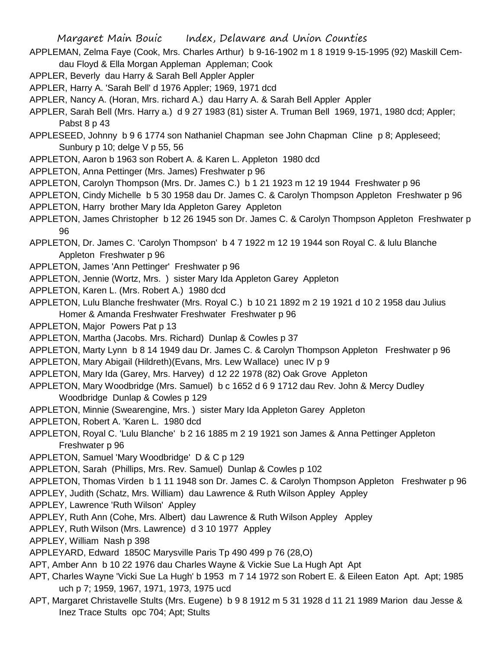- APPLEMAN, Zelma Faye (Cook, Mrs. Charles Arthur) b 9-16-1902 m 1 8 1919 9-15-1995 (92) Maskill Cemdau Floyd & Ella Morgan Appleman Appleman; Cook
- APPLER, Beverly dau Harry & Sarah Bell Appler Appler
- APPLER, Harry A. 'Sarah Bell' d 1976 Appler; 1969, 1971 dcd
- APPLER, Nancy A. (Horan, Mrs. richard A.) dau Harry A. & Sarah Bell Appler Appler
- APPLER, Sarah Bell (Mrs. Harry a.) d 9 27 1983 (81) sister A. Truman Bell 1969, 1971, 1980 dcd; Appler; Pabst 8 p 43
- APPLESEED, Johnny b 9 6 1774 son Nathaniel Chapman see John Chapman Cline p 8; Appleseed; Sunbury p 10; delge V p 55, 56
- APPLETON, Aaron b 1963 son Robert A. & Karen L. Appleton 1980 dcd
- APPLETON, Anna Pettinger (Mrs. James) Freshwater p 96
- APPLETON, Carolyn Thompson (Mrs. Dr. James C.) b 1 21 1923 m 12 19 1944 Freshwater p 96
- APPLETON, Cindy Michelle b 5 30 1958 dau Dr. James C. & Carolyn Thompson Appleton Freshwater p 96
- APPLETON, Harry brother Mary Ida Appleton Garey Appleton
- APPLETON, James Christopher b 12 26 1945 son Dr. James C. & Carolyn Thompson Appleton Freshwater p 96
- APPLETON, Dr. James C. 'Carolyn Thompson' b 4 7 1922 m 12 19 1944 son Royal C. & lulu Blanche Appleton Freshwater p 96
- APPLETON, James 'Ann Pettinger' Freshwater p 96
- APPLETON, Jennie (Wortz, Mrs. ) sister Mary Ida Appleton Garey Appleton
- APPLETON, Karen L. (Mrs. Robert A.) 1980 dcd
- APPLETON, Lulu Blanche freshwater (Mrs. Royal C.) b 10 21 1892 m 2 19 1921 d 10 2 1958 dau Julius Homer & Amanda Freshwater Freshwater Freshwater p 96
- APPLETON, Major Powers Pat p 13
- APPLETON, Martha (Jacobs. Mrs. Richard) Dunlap & Cowles p 37
- APPLETON, Marty Lynn b 8 14 1949 dau Dr. James C. & Carolyn Thompson Appleton Freshwater p 96
- APPLETON, Mary Abigail (Hildreth)(Evans, Mrs. Lew Wallace) unec IV p 9
- APPLETON, Mary Ida (Garey, Mrs. Harvey) d 12 22 1978 (82) Oak Grove Appleton
- APPLETON, Mary Woodbridge (Mrs. Samuel) b c 1652 d 6 9 1712 dau Rev. John & Mercy Dudley Woodbridge Dunlap & Cowles p 129
- APPLETON, Minnie (Swearengine, Mrs. ) sister Mary Ida Appleton Garey Appleton
- APPLETON, Robert A. 'Karen L. 1980 dcd
- APPLETON, Royal C. 'Lulu Blanche' b 2 16 1885 m 2 19 1921 son James & Anna Pettinger Appleton Freshwater p 96
- APPLETON, Samuel 'Mary Woodbridge' D & C p 129
- APPLETON, Sarah (Phillips, Mrs. Rev. Samuel) Dunlap & Cowles p 102
- APPLETON, Thomas Virden b 1 11 1948 son Dr. James C. & Carolyn Thompson Appleton Freshwater p 96
- APPLEY, Judith (Schatz, Mrs. William) dau Lawrence & Ruth Wilson Appley Appley
- APPLEY, Lawrence 'Ruth Wilson' Appley
- APPLEY, Ruth Ann (Cohe, Mrs. Albert) dau Lawrence & Ruth Wilson Appley Appley
- APPLEY, Ruth Wilson (Mrs. Lawrence) d 3 10 1977 Appley
- APPLEY, William Nash p 398
- APPLEYARD, Edward 1850C Marysville Paris Tp 490 499 p 76 (28,O)
- APT, Amber Ann b 10 22 1976 dau Charles Wayne & Vickie Sue La Hugh Apt Apt
- APT, Charles Wayne 'Vicki Sue La Hugh' b 1953 m 7 14 1972 son Robert E. & Eileen Eaton Apt. Apt; 1985 uch p 7; 1959, 1967, 1971, 1973, 1975 ucd
- APT, Margaret Christavelle Stults (Mrs. Eugene) b 9 8 1912 m 5 31 1928 d 11 21 1989 Marion dau Jesse & Inez Trace Stults opc 704; Apt; Stults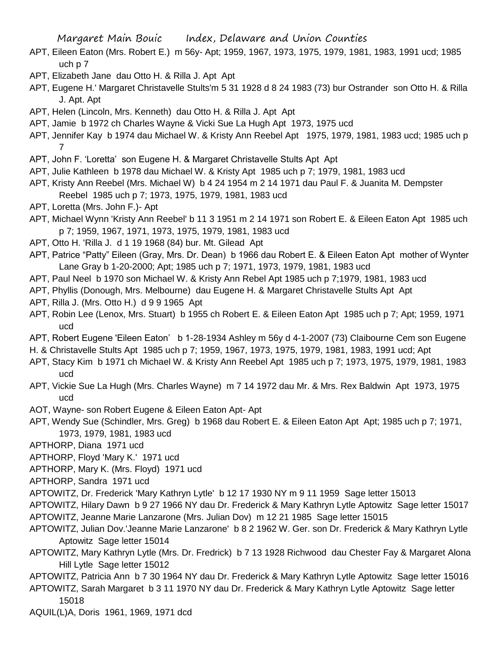- APT, Eileen Eaton (Mrs. Robert E.) m 56y- Apt; 1959, 1967, 1973, 1975, 1979, 1981, 1983, 1991 ucd; 1985 uch p 7
- APT, Elizabeth Jane dau Otto H. & Rilla J. Apt Apt
- APT, Eugene H.' Margaret Christavelle Stults'm 5 31 1928 d 8 24 1983 (73) bur Ostrander son Otto H. & Rilla J. Apt. Apt
- APT, Helen (Lincoln, Mrs. Kenneth) dau Otto H. & Rilla J. Apt Apt
- APT, Jamie b 1972 ch Charles Wayne & Vicki Sue La Hugh Apt 1973, 1975 ucd
- APT, Jennifer Kay b 1974 dau Michael W. & Kristy Ann Reebel Apt 1975, 1979, 1981, 1983 ucd; 1985 uch p 7
- APT, John F. 'Loretta' son Eugene H. & Margaret Christavelle Stults Apt Apt
- APT, Julie Kathleen b 1978 dau Michael W. & Kristy Apt 1985 uch p 7; 1979, 1981, 1983 ucd
- APT, Kristy Ann Reebel (Mrs. Michael W) b 4 24 1954 m 2 14 1971 dau Paul F. & Juanita M. Dempster Reebel 1985 uch p 7; 1973, 1975, 1979, 1981, 1983 ucd
- APT, Loretta (Mrs. John F.)- Apt
- APT, Michael Wynn 'Kristy Ann Reebel' b 11 3 1951 m 2 14 1971 son Robert E. & Eileen Eaton Apt 1985 uch p 7; 1959, 1967, 1971, 1973, 1975, 1979, 1981, 1983 ucd
- APT, Otto H. 'Rilla J. d 1 19 1968 (84) bur. Mt. Gilead Apt
- APT, Patrice "Patty" Eileen (Gray, Mrs. Dr. Dean) b 1966 dau Robert E. & Eileen Eaton Apt mother of Wynter Lane Gray b 1-20-2000; Apt; 1985 uch p 7; 1971, 1973, 1979, 1981, 1983 ucd
- APT, Paul Neel b 1970 son Michael W. & Kristy Ann Rebel Apt 1985 uch p 7;1979, 1981, 1983 ucd
- APT, Phyllis (Donough, Mrs. Melbourne) dau Eugene H. & Margaret Christavelle Stults Apt Apt
- APT, Rilla J. (Mrs. Otto H.) d 9 9 1965 Apt
- APT, Robin Lee (Lenox, Mrs. Stuart) b 1955 ch Robert E. & Eileen Eaton Apt 1985 uch p 7; Apt; 1959, 1971 ucd
- APT, Robert Eugene 'Eileen Eaton' b 1-28-1934 Ashley m 56y d 4-1-2007 (73) Claibourne Cem son Eugene
- H. & Christavelle Stults Apt 1985 uch p 7; 1959, 1967, 1973, 1975, 1979, 1981, 1983, 1991 ucd; Apt
- APT, Stacy Kim b 1971 ch Michael W. & Kristy Ann Reebel Apt 1985 uch p 7; 1973, 1975, 1979, 1981, 1983 ucd
- APT, Vickie Sue La Hugh (Mrs. Charles Wayne) m 7 14 1972 dau Mr. & Mrs. Rex Baldwin Apt 1973, 1975 ucd
- AOT, Wayne- son Robert Eugene & Eileen Eaton Apt- Apt
- APT, Wendy Sue (Schindler, Mrs. Greg) b 1968 dau Robert E. & Eileen Eaton Apt Apt; 1985 uch p 7; 1971, 1973, 1979, 1981, 1983 ucd
- APTHORP, Diana 1971 ucd
- APTHORP, Floyd 'Mary K.' 1971 ucd
- APTHORP, Mary K. (Mrs. Floyd) 1971 ucd
- APTHORP, Sandra 1971 ucd
- APTOWITZ, Dr. Frederick 'Mary Kathryn Lytle' b 12 17 1930 NY m 9 11 1959 Sage letter 15013
- APTOWITZ, Hilary Dawn b 9 27 1966 NY dau Dr. Frederick & Mary Kathryn Lytle Aptowitz Sage letter 15017 APTOWITZ, Jeanne Marie Lanzarone (Mrs. Julian Dov) m 12 21 1985 Sage letter 15015
- APTOWITZ, Julian Dov.'Jeanne Marie Lanzarone' b 8 2 1962 W. Ger. son Dr. Frederick & Mary Kathryn Lytle Aptowitz Sage letter 15014
- APTOWITZ, Mary Kathryn Lytle (Mrs. Dr. Fredrick) b 7 13 1928 Richwood dau Chester Fay & Margaret Alona Hill Lytle Sage letter 15012
- APTOWITZ, Patricia Ann b 7 30 1964 NY dau Dr. Frederick & Mary Kathryn Lytle Aptowitz Sage letter 15016
- APTOWITZ, Sarah Margaret b 3 11 1970 NY dau Dr. Frederick & Mary Kathryn Lytle Aptowitz Sage letter 15018
- AQUIL(L)A, Doris 1961, 1969, 1971 dcd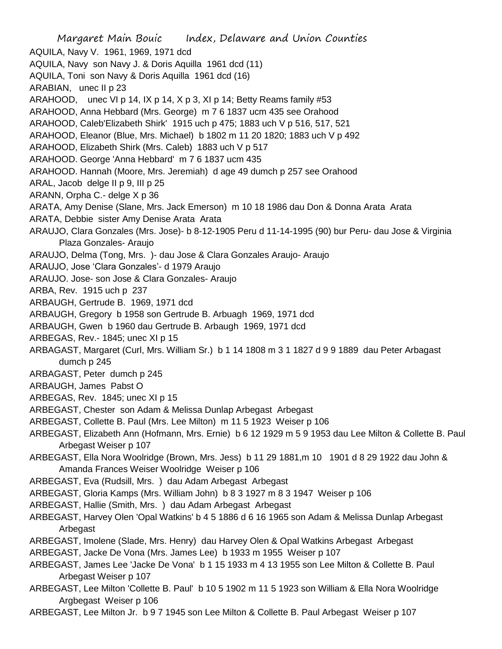Margaret Main Bouic Index, Delaware and Union Counties AQUILA, Navy V. 1961, 1969, 1971 dcd AQUILA, Navy son Navy J. & Doris Aquilla 1961 dcd (11) AQUILA, Toni son Navy & Doris Aquilla 1961 dcd (16) ARABIAN, unec II p 23 ARAHOOD, unec VI p 14, IX p 14, X p 3, XI p 14; Betty Reams family #53 ARAHOOD, Anna Hebbard (Mrs. George) m 7 6 1837 ucm 435 see Orahood ARAHOOD, Caleb'Elizabeth Shirk' 1915 uch p 475; 1883 uch V p 516, 517, 521 ARAHOOD, Eleanor (Blue, Mrs. Michael) b 1802 m 11 20 1820; 1883 uch V p 492 ARAHOOD, Elizabeth Shirk (Mrs. Caleb) 1883 uch V p 517 ARAHOOD. George 'Anna Hebbard' m 7 6 1837 ucm 435 ARAHOOD. Hannah (Moore, Mrs. Jeremiah) d age 49 dumch p 257 see Orahood ARAL, Jacob delge II p 9, III p 25 ARANN, Orpha C.- delge X p 36 ARATA, Amy Denise (Slane, Mrs. Jack Emerson) m 10 18 1986 dau Don & Donna Arata Arata ARATA, Debbie sister Amy Denise Arata Arata ARAUJO, Clara Gonzales (Mrs. Jose)- b 8-12-1905 Peru d 11-14-1995 (90) bur Peru- dau Jose & Virginia Plaza Gonzales- Araujo ARAUJO, Delma (Tong, Mrs. )- dau Jose & Clara Gonzales Araujo- Araujo ARAUJO, Jose 'Clara Gonzales'- d 1979 Araujo ARAUJO. Jose- son Jose & Clara Gonzales- Araujo ARBA, Rev. 1915 uch p 237 ARBAUGH, Gertrude B. 1969, 1971 dcd ARBAUGH, Gregory b 1958 son Gertrude B. Arbuagh 1969, 1971 dcd ARBAUGH, Gwen b 1960 dau Gertrude B. Arbaugh 1969, 1971 dcd ARBEGAS, Rev.- 1845; unec XI p 15 ARBAGAST, Margaret (Curl, Mrs. William Sr.) b 1 14 1808 m 3 1 1827 d 9 9 1889 dau Peter Arbagast dumch p 245 ARBAGAST, Peter dumch p 245 ARBAUGH, James Pabst O ARBEGAS, Rev. 1845; unec XI p 15 ARBEGAST, Chester son Adam & Melissa Dunlap Arbegast Arbegast ARBEGAST, Collette B. Paul (Mrs. Lee Milton) m 11 5 1923 Weiser p 106 ARBEGAST, Elizabeth Ann (Hofmann, Mrs. Ernie) b 6 12 1929 m 5 9 1953 dau Lee Milton & Collette B. Paul Arbegast Weiser p 107 ARBEGAST, Ella Nora Woolridge (Brown, Mrs. Jess) b 11 29 1881,m 10 1901 d 8 29 1922 dau John & Amanda Frances Weiser Woolridge Weiser p 106 ARBEGAST, Eva (Rudsill, Mrs. ) dau Adam Arbegast Arbegast ARBEGAST, Gloria Kamps (Mrs. William John) b 8 3 1927 m 8 3 1947 Weiser p 106 ARBEGAST, Hallie (Smith, Mrs. ) dau Adam Arbegast Arbegast ARBEGAST, Harvey Olen 'Opal Watkins' b 4 5 1886 d 6 16 1965 son Adam & Melissa Dunlap Arbegast Arbegast ARBEGAST, Imolene (Slade, Mrs. Henry) dau Harvey Olen & Opal Watkins Arbegast Arbegast ARBEGAST, Jacke De Vona (Mrs. James Lee) b 1933 m 1955 Weiser p 107 ARBEGAST, James Lee 'Jacke De Vona' b 1 15 1933 m 4 13 1955 son Lee Milton & Collette B. Paul Arbegast Weiser p 107 ARBEGAST, Lee Milton 'Collette B. Paul' b 10 5 1902 m 11 5 1923 son William & Ella Nora Woolridge Argbegast Weiser p 106

ARBEGAST, Lee Milton Jr. b 9 7 1945 son Lee Milton & Collette B. Paul Arbegast Weiser p 107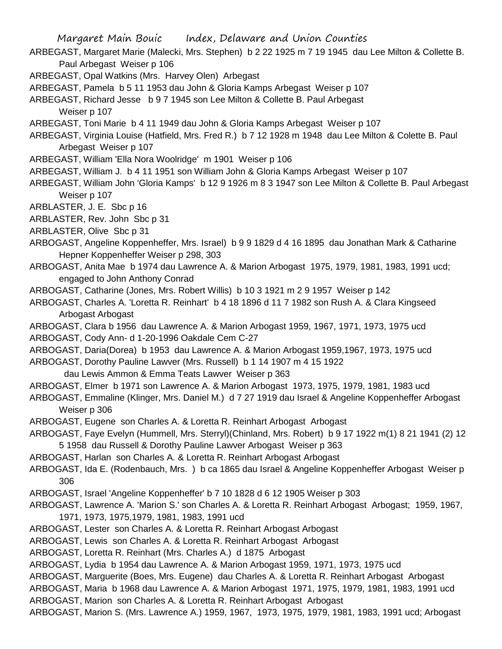- ARBEGAST, Margaret Marie (Malecki, Mrs. Stephen) b 2 22 1925 m 7 19 1945 dau Lee Milton & Collette B. Paul Arbegast Weiser p 106
- ARBEGAST, Opal Watkins (Mrs. Harvey Olen) Arbegast
- ARBEGAST, Pamela b 5 11 1953 dau John & Gloria Kamps Arbegast Weiser p 107
- ARBEGAST, Richard Jesse b 9 7 1945 son Lee Milton & Collette B. Paul Arbegast Weiser p 107
- ARBEGAST, Toni Marie b 4 11 1949 dau John & Gloria Kamps Arbegast Weiser p 107
- ARBEGAST, Virginia Louise (Hatfield, Mrs. Fred R.) b 7 12 1928 m 1948 dau Lee Milton & Colette B. Paul Arbegast Weiser p 107
- ARBEGAST, William 'Ella Nora Woolridge' m 1901 Weiser p 106
- ARBEGAST, William J. b 4 11 1951 son William John & Gloria Kamps Arbegast Weiser p 107
- ARBEGAST, William John 'Gloria Kamps' b 12 9 1926 m 8 3 1947 son Lee Milton & Collette B. Paul Arbegast Weiser p 107
- ARBLASTER, J. E. Sbc p 16
- ARBLASTER, Rev. John Sbc p 31
- ARBLASTER, Olive Sbc p 31
- ARBOGAST, Angeline Koppenheffer, Mrs. Israel) b 9 9 1829 d 4 16 1895 dau Jonathan Mark & Catharine Hepner Koppenheffer Weiser p 298, 303
- ARBOGAST, Anita Mae b 1974 dau Lawrence A. & Marion Arbogast 1975, 1979, 1981, 1983, 1991 ucd; engaged to John Anthony Conrad
- ARBOGAST, Catharine (Jones, Mrs. Robert Willis) b 10 3 1921 m 2 9 1957 Weiser p 142
- ARBOGAST, Charles A. 'Loretta R. Reinhart' b 4 18 1896 d 11 7 1982 son Rush A. & Clara Kingseed Arbogast Arbogast
- ARBOGAST, Clara b 1956 dau Lawrence A. & Marion Arbogast 1959, 1967, 1971, 1973, 1975 ucd
- ARBOGAST, Cody Ann- d 1-20-1996 Oakdale Cem C-27
- ARBOGAST, Daria(Dorea) b 1953 dau Lawrence A. & Marion Arbogast 1959,1967, 1973, 1975 ucd
- ARBOGAST, Dorothy Pauline Lawver (Mrs. Russell) b 1 14 1907 m 4 15 1922
- dau Lewis Ammon & Emma Teats Lawver Weiser p 363
- ARBOGAST, Elmer b 1971 son Lawrence A. & Marion Arbogast 1973, 1975, 1979, 1981, 1983 ucd
- ARBOGAST, Emmaline (Klinger, Mrs. Daniel M.) d 7 27 1919 dau Israel & Angeline Koppenheffer Arbogast Weiser p 306
- ARBOGAST, Eugene son Charles A. & Loretta R. Reinhart Arbogast Arbogast
- ARBOGAST, Faye Evelyn (Hummell, Mrs. Sterryl)(Chinland, Mrs. Robert) b 9 17 1922 m(1) 8 21 1941 (2) 12 5 1958 dau Russell & Dorothy Pauline Lawver Arbogast Weiser p 363
- ARBOGAST, Harlan son Charles A. & Loretta R. Reinhart Arbogast Arbogast
- ARBOGAST, Ida E. (Rodenbauch, Mrs. ) b ca 1865 dau Israel & Angeline Koppenheffer Arbogast Weiser p 306
- ARBOGAST, Israel 'Angeline Koppenheffer' b 7 10 1828 d 6 12 1905 Weiser p 303
- ARBOGAST, Lawrence A. 'Marion S.' son Charles A. & Loretta R. Reinhart Arbogast Arbogast; 1959, 1967, 1971, 1973, 1975,1979, 1981, 1983, 1991 ucd
- ARBOGAST, Lester son Charles A. & Loretta R. Reinhart Arbogast Arbogast
- ARBOGAST, Lewis son Charles A. & Loretta R. Reinhart Arbogast Arbogast
- ARBOGAST, Loretta R. Reinhart (Mrs. Charles A.) d 1875 Arbogast
- ARBOGAST, Lydia b 1954 dau Lawrence A. & Marion Arbogast 1959, 1971, 1973, 1975 ucd
- ARBOGAST, Marguerite (Boes, Mrs. Eugene) dau Charles A. & Loretta R. Reinhart Arbogast Arbogast
- ARBOGAST, Maria b 1968 dau Lawrence A. & Marion Arbogast 1971, 1975, 1979, 1981, 1983, 1991 ucd ARBOGAST, Marion son Charles A. & Loretta R. Reinhart Arbogast Arbogast
- ARBOGAST, Marion S. (Mrs. Lawrence A.) 1959, 1967, 1973, 1975, 1979, 1981, 1983, 1991 ucd; Arbogast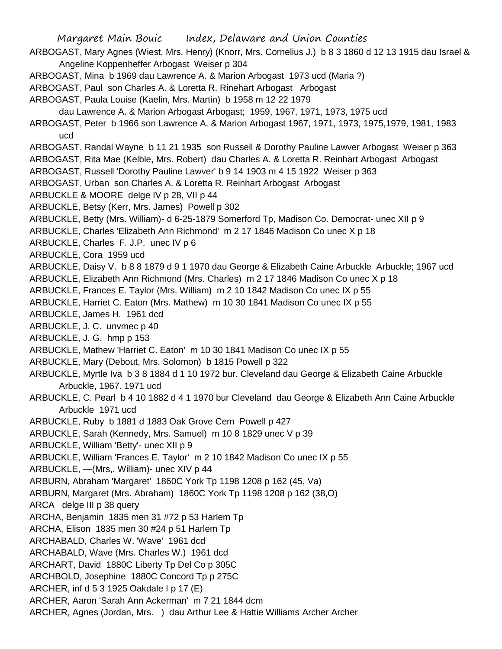Margaret Main Bouic Index, Delaware and Union Counties ARBOGAST, Mary Agnes (Wiest, Mrs. Henry) (Knorr, Mrs. Cornelius J.) b 8 3 1860 d 12 13 1915 dau Israel & Angeline Koppenheffer Arbogast Weiser p 304 ARBOGAST, Mina b 1969 dau Lawrence A. & Marion Arbogast 1973 ucd (Maria ?) ARBOGAST, Paul son Charles A. & Loretta R. Rinehart Arbogast Arbogast ARBOGAST, Paula Louise (Kaelin, Mrs. Martin) b 1958 m 12 22 1979 dau Lawrence A. & Marion Arbogast Arbogast; 1959, 1967, 1971, 1973, 1975 ucd ARBOGAST, Peter b 1966 son Lawrence A. & Marion Arbogast 1967, 1971, 1973, 1975,1979, 1981, 1983 ucd ARBOGAST, Randal Wayne b 11 21 1935 son Russell & Dorothy Pauline Lawver Arbogast Weiser p 363 ARBOGAST, Rita Mae (Kelble, Mrs. Robert) dau Charles A. & Loretta R. Reinhart Arbogast Arbogast ARBOGAST, Russell 'Dorothy Pauline Lawver' b 9 14 1903 m 4 15 1922 Weiser p 363 ARBOGAST, Urban son Charles A. & Loretta R. Reinhart Arbogast Arbogast ARBUCKLE & MOORE delge IV p 28, VII p 44 ARBUCKLE, Betsy (Kerr, Mrs. James) Powell p 302 ARBUCKLE, Betty (Mrs. William)- d 6-25-1879 Somerford Tp, Madison Co. Democrat- unec XII p 9 ARBUCKLE, Charles 'Elizabeth Ann Richmond' m 2 17 1846 Madison Co unec X p 18 ARBUCKLE, Charles F. J.P. unec IV p 6 ARBUCKLE, Cora 1959 ucd ARBUCKLE, Daisy V. b 8 8 1879 d 9 1 1970 dau George & Elizabeth Caine Arbuckle Arbuckle; 1967 ucd ARBUCKLE, Elizabeth Ann Richmond (Mrs. Charles) m 2 17 1846 Madison Co unec X p 18 ARBUCKLE, Frances E. Taylor (Mrs. William) m 2 10 1842 Madison Co unec IX p 55 ARBUCKLE, Harriet C. Eaton (Mrs. Mathew) m 10 30 1841 Madison Co unec IX p 55 ARBUCKLE, James H. 1961 dcd ARBUCKLE, J. C. unvmec p 40 ARBUCKLE, J. G. hmp p 153 ARBUCKLE, Mathew 'Harriet C. Eaton' m 10 30 1841 Madison Co unec IX p 55 ARBUCKLE, Mary (Debout, Mrs. Solomon) b 1815 Powell p 322 ARBUCKLE, Myrtle Iva b 3 8 1884 d 1 10 1972 bur. Cleveland dau George & Elizabeth Caine Arbuckle Arbuckle, 1967. 1971 ucd ARBUCKLE, C. Pearl b 4 10 1882 d 4 1 1970 bur Cleveland dau George & Elizabeth Ann Caine Arbuckle Arbuckle 1971 ucd ARBUCKLE, Ruby b 1881 d 1883 Oak Grove Cem Powell p 427 ARBUCKLE, Sarah (Kennedy, Mrs. Samuel) m 10 8 1829 unec V p 39 ARBUCKLE, William 'Betty'- unec XII p 9 ARBUCKLE, William 'Frances E. Taylor' m 2 10 1842 Madison Co unec IX p 55 ARBUCKLE, —(Mrs,. William)- unec XIV p 44 ARBURN, Abraham 'Margaret' 1860C York Tp 1198 1208 p 162 (45, Va) ARBURN, Margaret (Mrs. Abraham) 1860C York Tp 1198 1208 p 162 (38,O) ARCA delge III p 38 query ARCHA, Benjamin 1835 men 31 #72 p 53 Harlem Tp ARCHA, Elison 1835 men 30 #24 p 51 Harlem Tp ARCHABALD, Charles W. 'Wave' 1961 dcd ARCHABALD, Wave (Mrs. Charles W.) 1961 dcd ARCHART, David 1880C Liberty Tp Del Co p 305C ARCHBOLD, Josephine 1880C Concord Tp p 275C ARCHER, inf d 5 3 1925 Oakdale I p 17 (E) ARCHER, Aaron 'Sarah Ann Ackerman' m 7 21 1844 dcm ARCHER, Agnes (Jordan, Mrs. ) dau Arthur Lee & Hattie Williams Archer Archer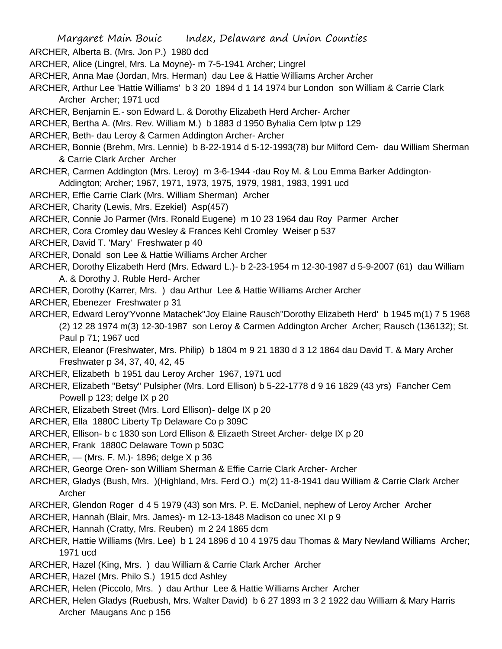- Margaret Main Bouic Index, Delaware and Union Counties
- ARCHER, Alberta B. (Mrs. Jon P.) 1980 dcd
- ARCHER, Alice (Lingrel, Mrs. La Moyne)- m 7-5-1941 Archer; Lingrel
- ARCHER, Anna Mae (Jordan, Mrs. Herman) dau Lee & Hattie Williams Archer Archer
- ARCHER, Arthur Lee 'Hattie Williams' b 3 20 1894 d 1 14 1974 bur London son William & Carrie Clark Archer Archer; 1971 ucd
- ARCHER, Benjamin E.- son Edward L. & Dorothy Elizabeth Herd Archer- Archer
- ARCHER, Bertha A. (Mrs. Rev. William M.) b 1883 d 1950 Byhalia Cem lptw p 129
- ARCHER, Beth- dau Leroy & Carmen Addington Archer- Archer
- ARCHER, Bonnie (Brehm, Mrs. Lennie) b 8-22-1914 d 5-12-1993(78) bur Milford Cem- dau William Sherman & Carrie Clark Archer Archer
- ARCHER, Carmen Addington (Mrs. Leroy) m 3-6-1944 -dau Roy M. & Lou Emma Barker Addington-Addington; Archer; 1967, 1971, 1973, 1975, 1979, 1981, 1983, 1991 ucd
- ARCHER, Effie Carrie Clark (Mrs. William Sherman) Archer
- ARCHER, Charity (Lewis, Mrs. Ezekiel) Asp(457)
- ARCHER, Connie Jo Parmer (Mrs. Ronald Eugene) m 10 23 1964 dau Roy Parmer Archer
- ARCHER, Cora Cromley dau Wesley & Frances Kehl Cromley Weiser p 537
- ARCHER, David T. 'Mary' Freshwater p 40
- ARCHER, Donald son Lee & Hattie Williams Archer Archer
- ARCHER, Dorothy Elizabeth Herd (Mrs. Edward L.)- b 2-23-1954 m 12-30-1987 d 5-9-2007 (61) dau William A. & Dorothy J. Ruble Herd- Archer
- ARCHER, Dorothy (Karrer, Mrs. ) dau Arthur Lee & Hattie Williams Archer Archer
- ARCHER, Ebenezer Freshwater p 31
- ARCHER, Edward Leroy'Yvonne Matachek''Joy Elaine Rausch''Dorothy Elizabeth Herd' b 1945 m(1) 7 5 1968 (2) 12 28 1974 m(3) 12-30-1987 son Leroy & Carmen Addington Archer Archer; Rausch (136132); St. Paul p 71; 1967 ucd
- ARCHER, Eleanor (Freshwater, Mrs. Philip) b 1804 m 9 21 1830 d 3 12 1864 dau David T. & Mary Archer Freshwater p 34, 37, 40, 42, 45
- ARCHER, Elizabeth b 1951 dau Leroy Archer 1967, 1971 ucd
- ARCHER, Elizabeth "Betsy" Pulsipher (Mrs. Lord Ellison) b 5-22-1778 d 9 16 1829 (43 yrs) Fancher Cem Powell p 123; delge IX p 20
- ARCHER, Elizabeth Street (Mrs. Lord Ellison)- delge IX p 20
- ARCHER, Ella 1880C Liberty Tp Delaware Co p 309C
- ARCHER, Ellison- b c 1830 son Lord Ellison & Elizaeth Street Archer- delge IX p 20
- ARCHER, Frank 1880C Delaware Town p 503C
- ARCHER, (Mrs. F. M.)- 1896; delge X p 36
- ARCHER, George Oren- son William Sherman & Effie Carrie Clark Archer- Archer
- ARCHER, Gladys (Bush, Mrs. )(Highland, Mrs. Ferd O.) m(2) 11-8-1941 dau William & Carrie Clark Archer Archer
- ARCHER, Glendon Roger d 4 5 1979 (43) son Mrs. P. E. McDaniel, nephew of Leroy Archer Archer
- ARCHER, Hannah (Blair, Mrs. James)- m 12-13-1848 Madison co unec XI p 9
- ARCHER, Hannah (Cratty, Mrs. Reuben) m 2 24 1865 dcm
- ARCHER, Hattie Williams (Mrs. Lee) b 1 24 1896 d 10 4 1975 dau Thomas & Mary Newland Williams Archer; 1971 ucd
- ARCHER, Hazel (King, Mrs. ) dau William & Carrie Clark Archer Archer
- ARCHER, Hazel (Mrs. Philo S.) 1915 dcd Ashley
- ARCHER, Helen (Piccolo, Mrs. ) dau Arthur Lee & Hattie Williams Archer Archer
- ARCHER, Helen Gladys (Ruebush, Mrs. Walter David) b 6 27 1893 m 3 2 1922 dau William & Mary Harris Archer Maugans Anc p 156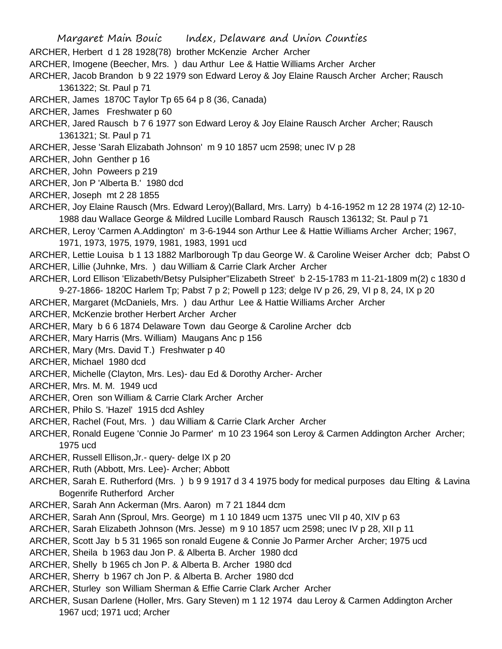Margaret Main Bouic Index, Delaware and Union Counties ARCHER, Herbert d 1 28 1928(78) brother McKenzie Archer Archer ARCHER, Imogene (Beecher, Mrs. ) dau Arthur Lee & Hattie Williams Archer Archer ARCHER, Jacob Brandon b 9 22 1979 son Edward Leroy & Joy Elaine Rausch Archer Archer; Rausch 1361322; St. Paul p 71 ARCHER, James 1870C Taylor Tp 65 64 p 8 (36, Canada) ARCHER, James Freshwater p 60 ARCHER, Jared Rausch b 7 6 1977 son Edward Leroy & Joy Elaine Rausch Archer Archer; Rausch 1361321; St. Paul p 71 ARCHER, Jesse 'Sarah Elizabath Johnson' m 9 10 1857 ucm 2598; unec IV p 28 ARCHER, John Genther p 16 ARCHER, John Poweers p 219 ARCHER, Jon P 'Alberta B.' 1980 dcd ARCHER, Joseph mt 2 28 1855 ARCHER, Joy Elaine Rausch (Mrs. Edward Leroy)(Ballard, Mrs. Larry) b 4-16-1952 m 12 28 1974 (2) 12-10- 1988 dau Wallace George & Mildred Lucille Lombard Rausch Rausch 136132; St. Paul p 71 ARCHER, Leroy 'Carmen A.Addington' m 3-6-1944 son Arthur Lee & Hattie Williams Archer Archer; 1967, 1971, 1973, 1975, 1979, 1981, 1983, 1991 ucd ARCHER, Lettie Louisa b 1 13 1882 Marlborough Tp dau George W. & Caroline Weiser Archer dcb; Pabst O ARCHER, Lillie (Juhnke, Mrs. ) dau William & Carrie Clark Archer Archer ARCHER, Lord Ellison 'Elizabeth/Betsy Pulsipher''Elizabeth Street' b 2-15-1783 m 11-21-1809 m(2) c 1830 d 9-27-1866- 1820C Harlem Tp; Pabst 7 p 2; Powell p 123; delge IV p 26, 29, VI p 8, 24, IX p 20 ARCHER, Margaret (McDaniels, Mrs. ) dau Arthur Lee & Hattie Williams Archer Archer ARCHER, McKenzie brother Herbert Archer Archer ARCHER, Mary b 6 6 1874 Delaware Town dau George & Caroline Archer dcb ARCHER, Mary Harris (Mrs. William) Maugans Anc p 156 ARCHER, Mary (Mrs. David T.) Freshwater p 40 ARCHER, Michael 1980 dcd ARCHER, Michelle (Clayton, Mrs. Les)- dau Ed & Dorothy Archer- Archer ARCHER, Mrs. M. M. 1949 ucd ARCHER, Oren son William & Carrie Clark Archer Archer ARCHER, Philo S. 'Hazel' 1915 dcd Ashley ARCHER, Rachel (Fout, Mrs. ) dau William & Carrie Clark Archer Archer ARCHER, Ronald Eugene 'Connie Jo Parmer' m 10 23 1964 son Leroy & Carmen Addington Archer Archer; 1975 ucd ARCHER, Russell Ellison,Jr.- query- delge IX p 20 ARCHER, Ruth (Abbott, Mrs. Lee)- Archer; Abbott ARCHER, Sarah E. Rutherford (Mrs. ) b 9 9 1917 d 3 4 1975 body for medical purposes dau Elting & Lavina Bogenrife Rutherford Archer ARCHER, Sarah Ann Ackerman (Mrs. Aaron) m 7 21 1844 dcm ARCHER, Sarah Ann (Sproul, Mrs. George) m 1 10 1849 ucm 1375 unec VII p 40, XIV p 63 ARCHER, Sarah Elizabeth Johnson (Mrs. Jesse) m 9 10 1857 ucm 2598; unec IV p 28, XII p 11 ARCHER, Scott Jay b 5 31 1965 son ronald Eugene & Connie Jo Parmer Archer Archer; 1975 ucd ARCHER, Sheila b 1963 dau Jon P. & Alberta B. Archer 1980 dcd ARCHER, Shelly b 1965 ch Jon P. & Alberta B. Archer 1980 dcd ARCHER, Sherry b 1967 ch Jon P. & Alberta B. Archer 1980 dcd

ARCHER, Sturley son William Sherman & Effie Carrie Clark Archer Archer

ARCHER, Susan Darlene (Holler, Mrs. Gary Steven) m 1 12 1974 dau Leroy & Carmen Addington Archer 1967 ucd; 1971 ucd; Archer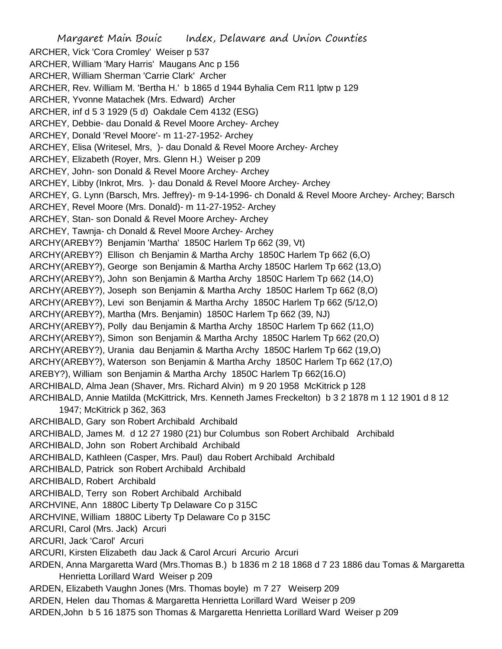Margaret Main Bouic Index, Delaware and Union Counties ARCHER, Vick 'Cora Cromley' Weiser p 537 ARCHER, William 'Mary Harris' Maugans Anc p 156 ARCHER, William Sherman 'Carrie Clark' Archer ARCHER, Rev. William M. 'Bertha H.' b 1865 d 1944 Byhalia Cem R11 lptw p 129 ARCHER, Yvonne Matachek (Mrs. Edward) Archer ARCHER, inf d 5 3 1929 (5 d) Oakdale Cem 4132 (ESG) ARCHEY, Debbie- dau Donald & Revel Moore Archey- Archey ARCHEY, Donald 'Revel Moore'- m 11-27-1952- Archey ARCHEY, Elisa (Writesel, Mrs, )- dau Donald & Revel Moore Archey- Archey ARCHEY, Elizabeth (Royer, Mrs. Glenn H.) Weiser p 209 ARCHEY, John- son Donald & Revel Moore Archey- Archey ARCHEY, Libby (Inkrot, Mrs. )- dau Donald & Revel Moore Archey- Archey ARCHEY, G. Lynn (Barsch, Mrs. Jeffrey)- m 9-14-1996- ch Donald & Revel Moore Archey- Archey; Barsch ARCHEY, Revel Moore (Mrs. Donald)- m 11-27-1952- Archey ARCHEY, Stan- son Donald & Revel Moore Archey- Archey ARCHEY, Tawnja- ch Donald & Revel Moore Archey- Archey ARCHY(AREBY?) Benjamin 'Martha' 1850C Harlem Tp 662 (39, Vt) ARCHY(AREBY?) Ellison ch Benjamin & Martha Archy 1850C Harlem Tp 662 (6,O) ARCHY(AREBY?), George son Benjamin & Martha Archy 1850C Harlem Tp 662 (13,O) ARCHY(AREBY?), John son Benjamin & Martha Archy 1850C Harlem Tp 662 (14,O) ARCHY(AREBY?), Joseph son Benjamin & Martha Archy 1850C Harlem Tp 662 (8,O) ARCHY(AREBY?), Levi son Benjamin & Martha Archy 1850C Harlem Tp 662 (5/12,O) ARCHY(AREBY?), Martha (Mrs. Benjamin) 1850C Harlem Tp 662 (39, NJ) ARCHY(AREBY?), Polly dau Benjamin & Martha Archy 1850C Harlem Tp 662 (11,O) ARCHY(AREBY?), Simon son Benjamin & Martha Archy 1850C Harlem Tp 662 (20,O) ARCHY(AREBY?), Urania dau Benjamin & Martha Archy 1850C Harlem Tp 662 (19,O) ARCHY(AREBY?), Waterson son Benjamin & Martha Archy 1850C Harlem Tp 662 (17,O) AREBY?), William son Benjamin & Martha Archy 1850C Harlem Tp 662(16.O) ARCHIBALD, Alma Jean (Shaver, Mrs. Richard Alvin) m 9 20 1958 McKitrick p 128 ARCHIBALD, Annie Matilda (McKittrick, Mrs. Kenneth James Freckelton) b 3 2 1878 m 1 12 1901 d 8 12 1947; McKitrick p 362, 363 ARCHIBALD, Gary son Robert Archibald Archibald ARCHIBALD, James M. d 12 27 1980 (21) bur Columbus son Robert Archibald Archibald ARCHIBALD, John son Robert Archibald Archibald ARCHIBALD, Kathleen (Casper, Mrs. Paul) dau Robert Archibald Archibald ARCHIBALD, Patrick son Robert Archibald Archibald ARCHIBALD, Robert Archibald ARCHIBALD, Terry son Robert Archibald Archibald ARCHVINE, Ann 1880C Liberty Tp Delaware Co p 315C ARCHVINE, William 1880C Liberty Tp Delaware Co p 315C ARCURI, Carol (Mrs. Jack) Arcuri ARCURI, Jack 'Carol' Arcuri ARCURI, Kirsten Elizabeth dau Jack & Carol Arcuri Arcurio Arcuri ARDEN, Anna Margaretta Ward (Mrs.Thomas B.) b 1836 m 2 18 1868 d 7 23 1886 dau Tomas & Margaretta Henrietta Lorillard Ward Weiser p 209 ARDEN, Elizabeth Vaughn Jones (Mrs. Thomas boyle) m 7 27 Weiserp 209 ARDEN, Helen dau Thomas & Margaretta Henrietta Lorillard Ward Weiser p 209 ARDEN,John b 5 16 1875 son Thomas & Margaretta Henrietta Lorillard Ward Weiser p 209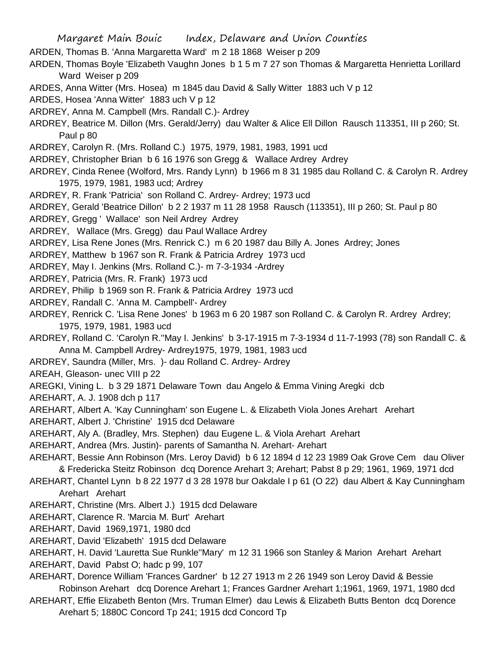- ARDEN, Thomas B. 'Anna Margaretta Ward' m 2 18 1868 Weiser p 209
- ARDEN, Thomas Boyle 'Elizabeth Vaughn Jones b 1 5 m 7 27 son Thomas & Margaretta Henrietta Lorillard Ward Weiser p 209
- ARDES, Anna Witter (Mrs. Hosea) m 1845 dau David & Sally Witter 1883 uch V p 12

ARDES, Hosea 'Anna Witter' 1883 uch V p 12

- ARDREY, Anna M. Campbell (Mrs. Randall C.)- Ardrey
- ARDREY, Beatrice M. Dillon (Mrs. Gerald/Jerry) dau Walter & Alice Ell Dillon Rausch 113351, III p 260; St. Paul p 80
- ARDREY, Carolyn R. (Mrs. Rolland C.) 1975, 1979, 1981, 1983, 1991 ucd
- ARDREY, Christopher Brian b 6 16 1976 son Gregg & Wallace Ardrey Ardrey
- ARDREY, Cinda Renee (Wolford, Mrs. Randy Lynn) b 1966 m 8 31 1985 dau Rolland C. & Carolyn R. Ardrey 1975, 1979, 1981, 1983 ucd; Ardrey
- ARDREY, R. Frank 'Patricia' son Rolland C. Ardrey- Ardrey; 1973 ucd
- ARDREY, Gerald 'Beatrice Dillon' b 2 2 1937 m 11 28 1958 Rausch (113351), III p 260; St. Paul p 80
- ARDREY, Gregg ' Wallace' son Neil Ardrey Ardrey
- ARDREY, Wallace (Mrs. Gregg) dau Paul Wallace Ardrey
- ARDREY, Lisa Rene Jones (Mrs. Renrick C.) m 6 20 1987 dau Billy A. Jones Ardrey; Jones
- ARDREY, Matthew b 1967 son R. Frank & Patricia Ardrey 1973 ucd
- ARDREY, May I. Jenkins (Mrs. Rolland C.)- m 7-3-1934 -Ardrey
- ARDREY, Patricia (Mrs. R. Frank) 1973 ucd
- ARDREY, Philip b 1969 son R. Frank & Patricia Ardrey 1973 ucd
- ARDREY, Randall C. 'Anna M. Campbell'- Ardrey
- ARDREY, Renrick C. 'Lisa Rene Jones' b 1963 m 6 20 1987 son Rolland C. & Carolyn R. Ardrey Ardrey; 1975, 1979, 1981, 1983 ucd
- ARDREY, Rolland C. 'Carolyn R.''May I. Jenkins' b 3-17-1915 m 7-3-1934 d 11-7-1993 (78) son Randall C. & Anna M. Campbell Ardrey- Ardrey1975, 1979, 1981, 1983 ucd
- ARDREY, Saundra (Miller, Mrs. )- dau Rolland C. Ardrey- Ardrey
- AREAH, Gleason- unec VIII p 22
- AREGKI, Vining L. b 3 29 1871 Delaware Town dau Angelo & Emma Vining Aregki dcb
- AREHART, A. J. 1908 dch p 117
- AREHART, Albert A. 'Kay Cunningham' son Eugene L. & Elizabeth Viola Jones Arehart Arehart
- AREHART, Albert J. 'Christine' 1915 dcd Delaware
- AREHART, Aly A. (Bradley, Mrs. Stephen) dau Eugene L. & Viola Arehart Arehart
- AREHART, Andrea (Mrs. Justin)- parents of Samantha N. Arehart- Arehart
- AREHART, Bessie Ann Robinson (Mrs. Leroy David) b 6 12 1894 d 12 23 1989 Oak Grove Cem dau Oliver & Fredericka Steitz Robinson dcq Dorence Arehart 3; Arehart; Pabst 8 p 29; 1961, 1969, 1971 dcd
- AREHART, Chantel Lynn b 8 22 1977 d 3 28 1978 bur Oakdale I p 61 (O 22) dau Albert & Kay Cunningham Arehart Arehart
- AREHART, Christine (Mrs. Albert J.) 1915 dcd Delaware
- AREHART, Clarence R. 'Marcia M. Burt' Arehart
- AREHART, David 1969,1971, 1980 dcd
- AREHART, David 'Elizabeth' 1915 dcd Delaware
- AREHART, H. David 'Lauretta Sue Runkle''Mary' m 12 31 1966 son Stanley & Marion Arehart Arehart AREHART, David Pabst O; hadc p 99, 107
- AREHART, Dorence William 'Frances Gardner' b 12 27 1913 m 2 26 1949 son Leroy David & Bessie Robinson Arehart dcq Dorence Arehart 1; Frances Gardner Arehart 1;1961, 1969, 1971, 1980 dcd
- AREHART, Effie Elizabeth Benton (Mrs. Truman Elmer) dau Lewis & Elizabeth Butts Benton dcq Dorence Arehart 5; 1880C Concord Tp 241; 1915 dcd Concord Tp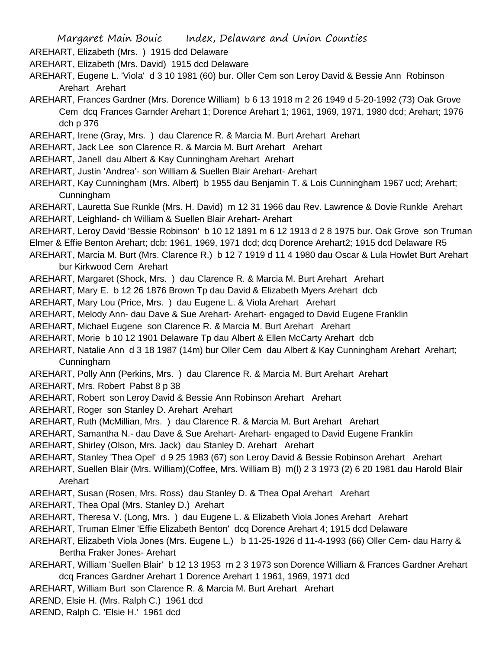AREHART, Elizabeth (Mrs. ) 1915 dcd Delaware

AREHART, Elizabeth (Mrs. David) 1915 dcd Delaware

- AREHART, Eugene L. 'Viola' d 3 10 1981 (60) bur. Oller Cem son Leroy David & Bessie Ann Robinson Arehart Arehart
- AREHART, Frances Gardner (Mrs. Dorence William) b 6 13 1918 m 2 26 1949 d 5-20-1992 (73) Oak Grove Cem dcq Frances Garnder Arehart 1; Dorence Arehart 1; 1961, 1969, 1971, 1980 dcd; Arehart; 1976 dch p 376
- AREHART, Irene (Gray, Mrs. ) dau Clarence R. & Marcia M. Burt Arehart Arehart
- AREHART, Jack Lee son Clarence R. & Marcia M. Burt Arehart Arehart
- AREHART, Janell dau Albert & Kay Cunningham Arehart Arehart
- AREHART, Justin 'Andrea'- son William & Suellen Blair Arehart- Arehart
- AREHART, Kay Cunningham (Mrs. Albert) b 1955 dau Benjamin T. & Lois Cunningham 1967 ucd; Arehart; Cunningham
- AREHART, Lauretta Sue Runkle (Mrs. H. David) m 12 31 1966 dau Rev. Lawrence & Dovie Runkle Arehart AREHART, Leighland- ch William & Suellen Blair Arehart- Arehart
- AREHART, Leroy David 'Bessie Robinson' b 10 12 1891 m 6 12 1913 d 2 8 1975 bur. Oak Grove son Truman Elmer & Effie Benton Arehart; dcb; 1961, 1969, 1971 dcd; dcq Dorence Arehart2; 1915 dcd Delaware R5
- AREHART, Marcia M. Burt (Mrs. Clarence R.) b 12 7 1919 d 11 4 1980 dau Oscar & Lula Howlet Burt Arehart bur Kirkwood Cem Arehart
- AREHART, Margaret (Shock, Mrs. ) dau Clarence R. & Marcia M. Burt Arehart Arehart
- AREHART, Mary E. b 12 26 1876 Brown Tp dau David & Elizabeth Myers Arehart dcb

AREHART, Mary Lou (Price, Mrs. ) dau Eugene L. & Viola Arehart Arehart

- AREHART, Melody Ann- dau Dave & Sue Arehart- Arehart- engaged to David Eugene Franklin
- AREHART, Michael Eugene son Clarence R. & Marcia M. Burt Arehart Arehart
- AREHART, Morie b 10 12 1901 Delaware Tp dau Albert & Ellen McCarty Arehart dcb
- AREHART, Natalie Ann d 3 18 1987 (14m) bur Oller Cem dau Albert & Kay Cunningham Arehart Arehart; Cunningham
- AREHART, Polly Ann (Perkins, Mrs. ) dau Clarence R. & Marcia M. Burt Arehart Arehart
- AREHART, Mrs. Robert Pabst 8 p 38
- AREHART, Robert son Leroy David & Bessie Ann Robinson Arehart Arehart
- AREHART, Roger son Stanley D. Arehart Arehart
- AREHART, Ruth (McMillian, Mrs. ) dau Clarence R. & Marcia M. Burt Arehart Arehart
- AREHART, Samantha N.- dau Dave & Sue Arehart- Arehart- engaged to David Eugene Franklin
- AREHART, Shirley (Olson, Mrs. Jack) dau Stanley D. Arehart Arehart
- AREHART, Stanley 'Thea Opel' d 9 25 1983 (67) son Leroy David & Bessie Robinson Arehart Arehart
- AREHART, Suellen Blair (Mrs. William)(Coffee, Mrs. William B) m(l) 2 3 1973 (2) 6 20 1981 dau Harold Blair Arehart
- AREHART, Susan (Rosen, Mrs. Ross) dau Stanley D. & Thea Opal Arehart Arehart
- AREHART, Thea Opal (Mrs. Stanley D.) Arehart
- AREHART, Theresa V. (Long, Mrs. ) dau Eugene L. & Elizabeth Viola Jones Arehart Arehart
- AREHART, Truman Elmer 'Effie Elizabeth Benton' dcq Dorence Arehart 4; 1915 dcd Delaware
- AREHART, Elizabeth Viola Jones (Mrs. Eugene L.) b 11-25-1926 d 11-4-1993 (66) Oller Cem- dau Harry & Bertha Fraker Jones- Arehart
- AREHART, William 'Suellen Blair' b 12 13 1953 m 2 3 1973 son Dorence William & Frances Gardner Arehart dcq Frances Gardner Arehart 1 Dorence Arehart 1 1961, 1969, 1971 dcd
- AREHART, William Burt son Clarence R. & Marcia M. Burt Arehart Arehart
- AREND, Elsie H. (Mrs. Ralph C.) 1961 dcd
- AREND, Ralph C. 'Elsie H.' 1961 dcd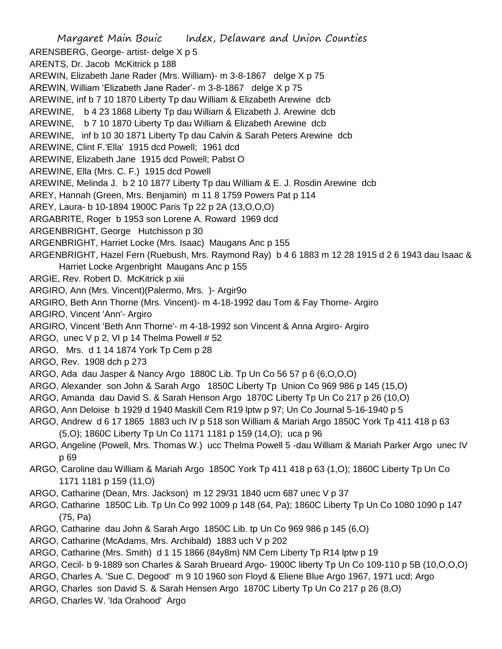Margaret Main Bouic Index, Delaware and Union Counties ARENSBERG, George- artist- delge X p 5 ARENTS, Dr. Jacob McKitrick p 188 AREWIN, Elizabeth Jane Rader (Mrs. William)- m 3-8-1867 delge X p 75 AREWIN, William 'Elizabeth Jane Rader'- m 3-8-1867 delge X p 75 AREWINE, inf b 7 10 1870 Liberty Tp dau William & Elizabeth Arewine dcb AREWINE, b 4 23 1868 Liberty Tp dau William & Elizabeth J. Arewine dcb AREWINE, b 7 10 1870 Liberty Tp dau William & Elizabeth Arewine dcb AREWINE, inf b 10 30 1871 Liberty Tp dau Calvin & Sarah Peters Arewine dcb AREWINE, Clint F.'Ella' 1915 dcd Powell; 1961 dcd AREWINE, Elizabeth Jane 1915 dcd Powell; Pabst O AREWINE, Ella (Mrs. C. F.) 1915 dcd Powell AREWINE, Melinda J. b 2 10 1877 Liberty Tp dau William & E. J. Rosdin Arewine dcb AREY, Hannah (Green, Mrs. Benjamin) m 11 8 1759 Powers Pat p 114 AREY, Laura- b 10-1894 1900C Paris Tp 22 p 2A (13,O,O,O) ARGABRITE, Roger b 1953 son Lorene A. Roward 1969 dcd ARGENBRIGHT, George Hutchisson p 30 ARGENBRIGHT, Harriet Locke (Mrs. Isaac) Maugans Anc p 155 ARGENBRIGHT, Hazel Fern (Ruebush, Mrs. Raymond Ray) b 4 6 1883 m 12 28 1915 d 2 6 1943 dau Isaac & Harriet Locke Argenbright Maugans Anc p 155 ARGIE, Rev. Robert D. McKitrick p xiii ARGIRO, Ann (Mrs. Vincent)(Palermo, Mrs. )- Argir9o ARGIRO, Beth Ann Thorne (Mrs. Vincent)- m 4-18-1992 dau Tom & Fay Thorne- Argiro ARGIRO, Vincent 'Ann'- Argiro ARGIRO, Vincent 'Beth Ann Thorne'- m 4-18-1992 son Vincent & Anna Argiro- Argiro ARGO, unec V p 2, VI p 14 Thelma Powell  $# 52$ ARGO, Mrs. d 1 14 1874 York Tp Cem p 28 ARGO, Rev. 1908 dch p 273 ARGO, Ada dau Jasper & Nancy Argo 1880C Lib. Tp Un Co 56 57 p 6 (6,O,O,O) ARGO, Alexander son John & Sarah Argo 1850C Liberty Tp Union Co 969 986 p 145 (15,O) ARGO, Amanda dau David S. & Sarah Henson Argo 1870C Liberty Tp Un Co 217 p 26 (10,O) ARGO, Ann Deloise b 1929 d 1940 Maskill Cem R19 lptw p 97; Un Co Journal 5-16-1940 p 5 ARGO, Andrew d 6 17 1865 1883 uch IV p 518 son William & Mariah Argo 1850C York Tp 411 418 p 63 (5,O); 1860C Liberty Tp Un Co 1171 1181 p 159 (14,O); uca p 96 ARGO, Angeline (Powell, Mrs. Thomas W.) ucc Thelma Powell 5 -dau William & Mariah Parker Argo unec IV p 69 ARGO, Caroline dau William & Mariah Argo 1850C York Tp 411 418 p 63 (1,O); 1860C Liberty Tp Un Co 1171 1181 p 159 (11,O) ARGO, Catharine (Dean, Mrs. Jackson) m 12 29/31 1840 ucm 687 unec V p 37 ARGO, Catharine 1850C Lib. Tp Un Co 992 1009 p 148 (64, Pa); 1860C Liberty Tp Un Co 1080 1090 p 147 (75, Pa) ARGO, Catharine dau John & Sarah Argo 1850C Lib. tp Un Co 969 986 p 145 (6,O) ARGO, Catharine (McAdams, Mrs. Archibald) 1883 uch V p 202 ARGO, Catharine (Mrs. Smith) d 1 15 1866 (84y8m) NM Cem Liberty Tp R14 lptw p 19 ARGO, Cecil- b 9-1889 son Charles & Sarah Brueard Argo- 1900C liberty Tp Un Co 109-110 p 5B (10,O,O,O)

- ARGO, Charles A. 'Sue C. Degood' m 9 10 1960 son Floyd & Eliene Blue Argo 1967, 1971 ucd; Argo
- ARGO, Charles son David S. & Sarah Hensen Argo 1870C Liberty Tp Un Co 217 p 26 (8,O)
- ARGO, Charles W. 'Ida Orahood' Argo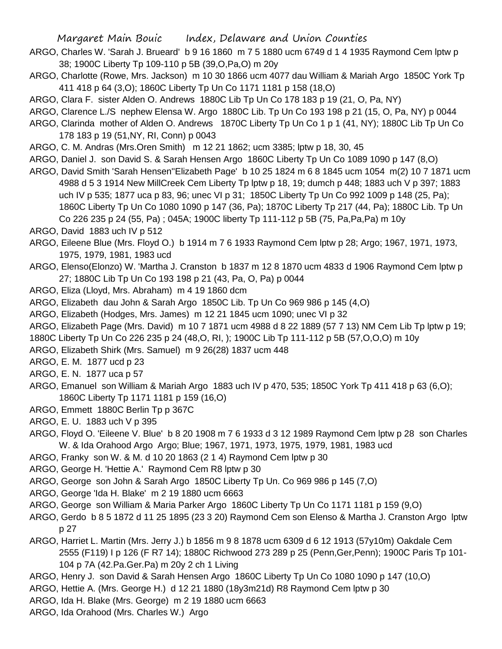- ARGO, Charles W. 'Sarah J. Brueard' b 9 16 1860 m 7 5 1880 ucm 6749 d 1 4 1935 Raymond Cem lptw p 38; 1900C Liberty Tp 109-110 p 5B (39,O,Pa,O) m 20y
- ARGO, Charlotte (Rowe, Mrs. Jackson) m 10 30 1866 ucm 4077 dau William & Mariah Argo 1850C York Tp 411 418 p 64 (3,O); 1860C Liberty Tp Un Co 1171 1181 p 158 (18,O)
- ARGO, Clara F. sister Alden O. Andrews 1880C Lib Tp Un Co 178 183 p 19 (21, O, Pa, NY)
- ARGO, Clarence L./S nephew Elensa W. Argo 1880C Lib. Tp Un Co 193 198 p 21 (15, O, Pa, NY) p 0044
- ARGO, Clarinda mother of Alden O. Andrews 1870C Liberty Tp Un Co 1 p 1 (41, NY); 1880C Lib Tp Un Co 178 183 p 19 (51,NY, RI, Conn) p 0043
- ARGO, C. M. Andras (Mrs.Oren Smith) m 12 21 1862; ucm 3385; lptw p 18, 30, 45
- ARGO, Daniel J. son David S. & Sarah Hensen Argo 1860C Liberty Tp Un Co 1089 1090 p 147 (8,O)
- ARGO, David Smith 'Sarah Hensen''Elizabeth Page' b 10 25 1824 m 6 8 1845 ucm 1054 m(2) 10 7 1871 ucm 4988 d 5 3 1914 New MillCreek Cem Liberty Tp lptw p 18, 19; dumch p 448; 1883 uch V p 397; 1883 uch IV p 535; 1877 uca p 83, 96; unec VI p 31; 1850C Liberty Tp Un Co 992 1009 p 148 (25, Pa); 1860C Liberty Tp Un Co 1080 1090 p 147 (36, Pa); 1870C Liberty Tp 217 (44, Pa); 1880C Lib. Tp Un Co 226 235 p 24 (55, Pa) ; 045A; 1900C liberty Tp 111-112 p 5B (75, Pa,Pa,Pa) m 10y
- ARGO, David 1883 uch IV p 512
- ARGO, Eileene Blue (Mrs. Floyd O.) b 1914 m 7 6 1933 Raymond Cem lptw p 28; Argo; 1967, 1971, 1973, 1975, 1979, 1981, 1983 ucd
- ARGO, Elenso(Elonzo) W. 'Martha J. Cranston b 1837 m 12 8 1870 ucm 4833 d 1906 Raymond Cem lptw p 27; 1880C Lib Tp Un Co 193 198 p 21 (43, Pa, O, Pa) p 0044
- ARGO, Eliza (Lloyd, Mrs. Abraham) m 4 19 1860 dcm
- ARGO, Elizabeth dau John & Sarah Argo 1850C Lib. Tp Un Co 969 986 p 145 (4,O)
- ARGO, Elizabeth (Hodges, Mrs. James) m 12 21 1845 ucm 1090; unec VI p 32
- ARGO, Elizabeth Page (Mrs. David) m 10 7 1871 ucm 4988 d 8 22 1889 (57 7 13) NM Cem Lib Tp lptw p 19;
- 1880C Liberty Tp Un Co 226 235 p 24 (48,O, RI, ); 1900C Lib Tp 111-112 p 5B (57,O,O,O) m 10y
- ARGO, Elizabeth Shirk (Mrs. Samuel) m 9 26(28) 1837 ucm 448
- ARGO, E. M. 1877 ucd p 23
- ARGO, E. N. 1877 uca p 57
- ARGO, Emanuel son William & Mariah Argo 1883 uch IV p 470, 535; 1850C York Tp 411 418 p 63 (6,O); 1860C Liberty Tp 1171 1181 p 159 (16,O)
- ARGO, Emmett 1880C Berlin Tp p 367C
- ARGO, E. U. 1883 uch V p 395
- ARGO, Floyd O. 'Eileene V. Blue' b 8 20 1908 m 7 6 1933 d 3 12 1989 Raymond Cem lptw p 28 son Charles W. & Ida Orahood Argo Argo; Blue; 1967, 1971, 1973, 1975, 1979, 1981, 1983 ucd
- ARGO, Franky son W. & M. d 10 20 1863 (2 1 4) Raymond Cem lptw p 30
- ARGO, George H. 'Hettie A.' Raymond Cem R8 lptw p 30
- ARGO, George son John & Sarah Argo 1850C Liberty Tp Un. Co 969 986 p 145 (7,O)
- ARGO, George 'Ida H. Blake' m 2 19 1880 ucm 6663
- ARGO, George son William & Maria Parker Argo 1860C Liberty Tp Un Co 1171 1181 p 159 (9,O)
- ARGO, Gerdo b 8 5 1872 d 11 25 1895 (23 3 20) Raymond Cem son Elenso & Martha J. Cranston Argo lptw p 27
- ARGO, Harriet L. Martin (Mrs. Jerry J.) b 1856 m 9 8 1878 ucm 6309 d 6 12 1913 (57y10m) Oakdale Cem 2555 (F119) I p 126 (F R7 14); 1880C Richwood 273 289 p 25 (Penn,Ger,Penn); 1900C Paris Tp 101- 104 p 7A (42.Pa.Ger.Pa) m 20y 2 ch 1 Living
- ARGO, Henry J. son David & Sarah Hensen Argo 1860C Liberty Tp Un Co 1080 1090 p 147 (10,O)
- ARGO, Hettie A. (Mrs. George H.) d 12 21 1880 (18y3m21d) R8 Raymond Cem lptw p 30
- ARGO, Ida H. Blake (Mrs. George) m 2 19 1880 ucm 6663
- ARGO, Ida Orahood (Mrs. Charles W.) Argo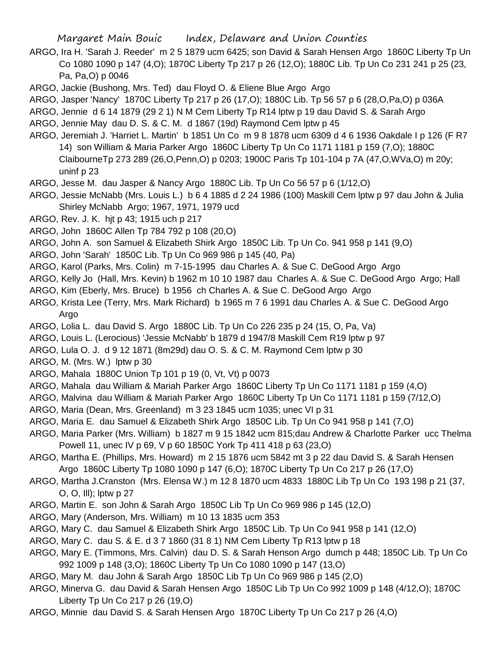- ARGO, Ira H. 'Sarah J. Reeder' m 2 5 1879 ucm 6425; son David & Sarah Hensen Argo 1860C Liberty Tp Un Co 1080 1090 p 147 (4,O); 1870C Liberty Tp 217 p 26 (12,O); 1880C Lib. Tp Un Co 231 241 p 25 (23, Pa, Pa,O) p 0046
- ARGO, Jackie (Bushong, Mrs. Ted) dau Floyd O. & Eliene Blue Argo Argo
- ARGO, Jasper 'Nancy' 1870C Liberty Tp 217 p 26 (17,O); 1880C Lib. Tp 56 57 p 6 (28,O,Pa,O) p 036A
- ARGO, Jennie d 6 14 1879 (29 2 1) N M Cem Liberty Tp R14 lptw p 19 dau David S. & Sarah Argo
- ARGO, Jennie May dau D. S. & C. M. d 1867 (19d) Raymond Cem lptw p 45
- ARGO, Jeremiah J. 'Harriet L. Martin' b 1851 Un Co m 9 8 1878 ucm 6309 d 4 6 1936 Oakdale I p 126 (F R7 14) son William & Maria Parker Argo 1860C Liberty Tp Un Co 1171 1181 p 159 (7,O); 1880C ClaibourneTp 273 289 (26,O,Penn,O) p 0203; 1900C Paris Tp 101-104 p 7A (47,O,WVa,O) m 20y; uninf p 23
- ARGO, Jesse M. dau Jasper & Nancy Argo 1880C Lib. Tp Un Co 56 57 p 6 (1/12,O)
- ARGO, Jessie McNabb (Mrs. Louis L.) b 6 4 1885 d 2 24 1986 (100) Maskill Cem lptw p 97 dau John & Julia Shirley McNabb Argo; 1967, 1971, 1979 ucd
- ARGO, Rev. J. K. hjt p 43; 1915 uch p 217
- ARGO, John 1860C Allen Tp 784 792 p 108 (20,O)
- ARGO, John A. son Samuel & Elizabeth Shirk Argo 1850C Lib. Tp Un Co. 941 958 p 141 (9,O)
- ARGO, John 'Sarah' 1850C Lib. Tp Un Co 969 986 p 145 (40, Pa)
- ARGO, Karol (Parks, Mrs. Colin) m 7-15-1995 dau Charles A. & Sue C. DeGood Argo Argo
- ARGO, Kelly Jo (Hall, Mrs. Kevin) b 1962 m 10 10 1987 dau Charles A. & Sue C. DeGood Argo Argo; Hall
- ARGO, Kim (Eberly, Mrs. Bruce) b 1956 ch Charles A. & Sue C. DeGood Argo Argo
- ARGO, Krista Lee (Terry, Mrs. Mark Richard) b 1965 m 7 6 1991 dau Charles A. & Sue C. DeGood Argo Argo
- ARGO, Lolia L. dau David S. Argo 1880C Lib. Tp Un Co 226 235 p 24 (15, O, Pa, Va)
- ARGO, Louis L. (Lerocious) 'Jessie McNabb' b 1879 d 1947/8 Maskill Cem R19 lptw p 97
- ARGO, Lula O. J. d 9 12 1871 (8m29d) dau O. S. & C. M. Raymond Cem lptw p 30
- ARGO, M. (Mrs. W.) lptw p 30
- ARGO, Mahala 1880C Union Tp 101 p 19 (0, Vt, Vt) p 0073
- ARGO, Mahala dau William & Mariah Parker Argo 1860C Liberty Tp Un Co 1171 1181 p 159 (4,O)
- ARGO, Malvina dau William & Mariah Parker Argo 1860C Liberty Tp Un Co 1171 1181 p 159 (7/12,O)
- ARGO, Maria (Dean, Mrs. Greenland) m 3 23 1845 ucm 1035; unec VI p 31
- ARGO, Maria E. dau Samuel & Elizabeth Shirk Argo 1850C Lib. Tp Un Co 941 958 p 141 (7,O)
- ARGO, Maria Parker (Mrs. William) b 1827 m 9 15 1842 ucm 815;dau Andrew & Charlotte Parker ucc Thelma Powell 11, unec IV p 69, V p 60 1850C York Tp 411 418 p 63 (23,O)
- ARGO, Martha E. (Phillips, Mrs. Howard) m 2 15 1876 ucm 5842 mt 3 p 22 dau David S. & Sarah Hensen Argo 1860C Liberty Tp 1080 1090 p 147 (6,O); 1870C Liberty Tp Un Co 217 p 26 (17,O)
- ARGO, Martha J.Cranston (Mrs. Elensa W.) m 12 8 1870 ucm 4833 1880C Lib Tp Un Co 193 198 p 21 (37, O, O, Ill); lptw p 27
- ARGO, Martin E. son John & Sarah Argo 1850C Lib Tp Un Co 969 986 p 145 (12,O)
- ARGO, Mary (Anderson, Mrs. William) m 10 13 1835 ucm 353
- ARGO, Mary C. dau Samuel & Elizabeth Shirk Argo 1850C Lib. Tp Un Co 941 958 p 141 (12,O)
- ARGO, Mary C. dau S. & E. d 3 7 1860 (31 8 1) NM Cem Liberty Tp R13 lptw p 18
- ARGO, Mary E. (Timmons, Mrs. Calvin) dau D. S. & Sarah Henson Argo dumch p 448; 1850C Lib. Tp Un Co 992 1009 p 148 (3,O); 1860C Liberty Tp Un Co 1080 1090 p 147 (13,O)
- ARGO, Mary M. dau John & Sarah Argo 1850C Lib Tp Un Co 969 986 p 145 (2,O)
- ARGO, Minerva G. dau David & Sarah Hensen Argo 1850C Lib Tp Un Co 992 1009 p 148 (4/12,O); 1870C Liberty Tp Un Co 217 p 26 (19,O)
- ARGO, Minnie dau David S. & Sarah Hensen Argo 1870C Liberty Tp Un Co 217 p 26 (4,O)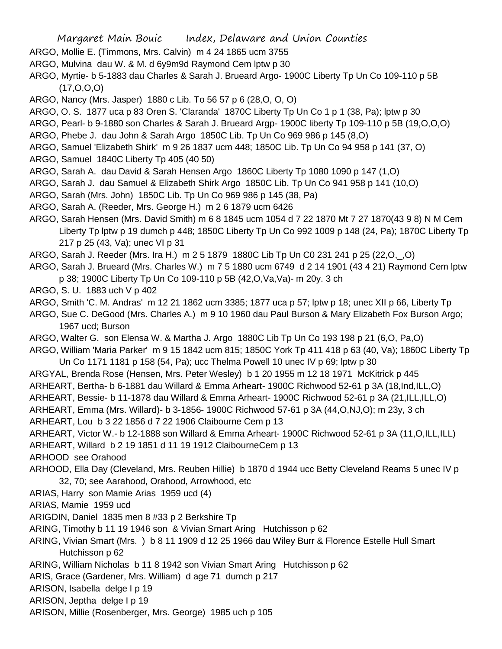- ARGO, Mollie E. (Timmons, Mrs. Calvin) m 4 24 1865 ucm 3755
- ARGO, Mulvina dau W. & M. d 6y9m9d Raymond Cem lptw p 30
- ARGO, Myrtie- b 5-1883 dau Charles & Sarah J. Brueard Argo- 1900C Liberty Tp Un Co 109-110 p 5B (17,O,O,O)
- ARGO, Nancy (Mrs. Jasper) 1880 c Lib. To 56 57 p 6 (28,O, O, O)
- ARGO, O. S. 1877 uca p 83 Oren S. 'Claranda' 1870C Liberty Tp Un Co 1 p 1 (38, Pa); lptw p 30
- ARGO, Pearl- b 9-1880 son Charles & Sarah J. Brueard Argp- 1900C liberty Tp 109-110 p 5B (19,O,O,O)
- ARGO, Phebe J. dau John & Sarah Argo 1850C Lib. Tp Un Co 969 986 p 145 (8,O)
- ARGO, Samuel 'Elizabeth Shirk' m 9 26 1837 ucm 448; 1850C Lib. Tp Un Co 94 958 p 141 (37, O)
- ARGO, Samuel 1840C Liberty Tp 405 (40 50)
- ARGO, Sarah A. dau David & Sarah Hensen Argo 1860C Liberty Tp 1080 1090 p 147 (1,O)
- ARGO, Sarah J. dau Samuel & Elizabeth Shirk Argo 1850C Lib. Tp Un Co 941 958 p 141 (10,O)
- ARGO, Sarah (Mrs. John) 1850C Lib. Tp Un Co 969 986 p 145 (38, Pa)
- ARGO, Sarah A. (Reeder, Mrs. George H.) m 2 6 1879 ucm 6426
- ARGO, Sarah Hensen (Mrs. David Smith) m 6 8 1845 ucm 1054 d 7 22 1870 Mt 7 27 1870(43 9 8) N M Cem Liberty Tp lptw p 19 dumch p 448; 1850C Liberty Tp Un Co 992 1009 p 148 (24, Pa); 1870C Liberty Tp 217 p 25 (43, Va); unec VI p 31
- ARGO, Sarah J. Reeder (Mrs. Ira H.) m 2 5 1879 1880C Lib Tp Un C0 231 241 p 25 (22,O,\_,O)
- ARGO, Sarah J. Brueard (Mrs. Charles W.) m 7 5 1880 ucm 6749 d 2 14 1901 (43 4 21) Raymond Cem lptw p 38; 1900C Liberty Tp Un Co 109-110 p 5B (42,O,Va,Va)- m 20y. 3 ch
- ARGO, S. U. 1883 uch V p 402
- ARGO, Smith 'C. M. Andras' m 12 21 1862 ucm 3385; 1877 uca p 57; lptw p 18; unec XII p 66, Liberty Tp
- ARGO, Sue C. DeGood (Mrs. Charles A.) m 9 10 1960 dau Paul Burson & Mary Elizabeth Fox Burson Argo; 1967 ucd; Burson
- ARGO, Walter G. son Elensa W. & Martha J. Argo 1880C Lib Tp Un Co 193 198 p 21 (6,O, Pa,O)
- ARGO, William 'Maria Parker' m 9 15 1842 ucm 815; 1850C York Tp 411 418 p 63 (40, Va); 1860C Liberty Tp Un Co 1171 1181 p 158 (54, Pa); ucc Thelma Powell 10 unec IV p 69; lptw p 30
- ARGYAL, Brenda Rose (Hensen, Mrs. Peter Wesley) b 1 20 1955 m 12 18 1971 McKitrick p 445
- ARHEART, Bertha- b 6-1881 dau Willard & Emma Arheart- 1900C Richwood 52-61 p 3A (18,Ind,ILL,O)
- ARHEART, Bessie- b 11-1878 dau Willard & Emma Arheart- 1900C Richwood 52-61 p 3A (21,ILL,ILL,O)
- ARHEART, Emma (Mrs. Willard)- b 3-1856- 1900C Richwood 57-61 p 3A (44,O,NJ,O); m 23y, 3 ch
- ARHEART, Lou b 3 22 1856 d 7 22 1906 Claibourne Cem p 13
- ARHEART, Victor W.- b 12-1888 son Willard & Emma Arheart- 1900C Richwood 52-61 p 3A (11,O,ILL,ILL) ARHEART, Willard b 2 19 1851 d 11 19 1912 ClaibourneCem p 13
- ARHOOD see Orahood
- ARHOOD, Ella Day (Cleveland, Mrs. Reuben Hillie) b 1870 d 1944 ucc Betty Cleveland Reams 5 unec IV p 32, 70; see Aarahood, Orahood, Arrowhood, etc
- ARIAS, Harry son Mamie Arias 1959 ucd (4)
- ARIAS, Mamie 1959 ucd
- ARIGDIN, Daniel 1835 men 8 #33 p 2 Berkshire Tp
- ARING, Timothy b 11 19 1946 son & Vivian Smart Aring Hutchisson p 62
- ARING, Vivian Smart (Mrs. ) b 8 11 1909 d 12 25 1966 dau Wiley Burr & Florence Estelle Hull Smart Hutchisson p 62
- ARING, William Nicholas b 11 8 1942 son Vivian Smart Aring Hutchisson p 62
- ARIS, Grace (Gardener, Mrs. William) d age 71 dumch p 217
- ARISON, Isabella delge I p 19
- ARISON, Jeptha delge I p 19
- ARISON, Millie (Rosenberger, Mrs. George) 1985 uch p 105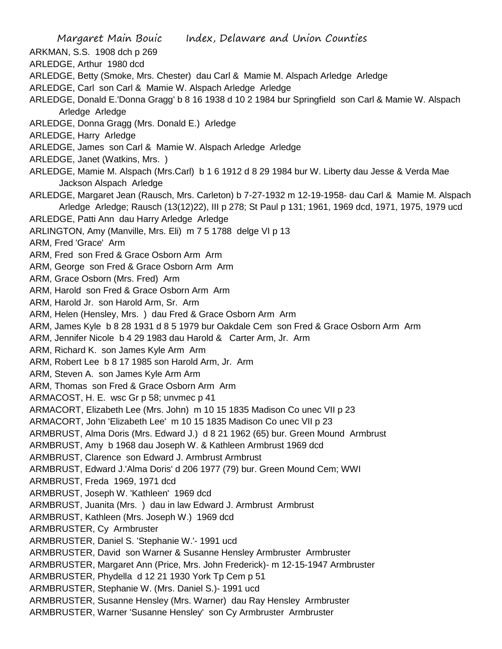Margaret Main Bouic Index, Delaware and Union Counties ARKMAN, S.S. 1908 dch p 269 ARLEDGE, Arthur 1980 dcd ARLEDGE, Betty (Smoke, Mrs. Chester) dau Carl & Mamie M. Alspach Arledge Arledge ARLEDGE, Carl son Carl & Mamie W. Alspach Arledge Arledge ARLEDGE, Donald E.'Donna Gragg' b 8 16 1938 d 10 2 1984 bur Springfield son Carl & Mamie W. Alspach Arledge Arledge ARLEDGE, Donna Gragg (Mrs. Donald E.) Arledge ARLEDGE, Harry Arledge ARLEDGE, James son Carl & Mamie W. Alspach Arledge Arledge ARLEDGE, Janet (Watkins, Mrs. ) ARLEDGE, Mamie M. Alspach (Mrs.Carl) b 1 6 1912 d 8 29 1984 bur W. Liberty dau Jesse & Verda Mae Jackson Alspach Arledge ARLEDGE, Margaret Jean (Rausch, Mrs. Carleton) b 7-27-1932 m 12-19-1958- dau Carl & Mamie M. Alspach Arledge Arledge; Rausch (13(12)22), III p 278; St Paul p 131; 1961, 1969 dcd, 1971, 1975, 1979 ucd ARLEDGE, Patti Ann dau Harry Arledge Arledge ARLINGTON, Amy (Manville, Mrs. Eli) m 7 5 1788 delge VI p 13 ARM, Fred 'Grace' Arm ARM, Fred son Fred & Grace Osborn Arm Arm ARM, George son Fred & Grace Osborn Arm Arm ARM, Grace Osborn (Mrs. Fred) Arm ARM, Harold son Fred & Grace Osborn Arm Arm ARM, Harold Jr. son Harold Arm, Sr. Arm ARM, Helen (Hensley, Mrs. ) dau Fred & Grace Osborn Arm Arm ARM, James Kyle b 8 28 1931 d 8 5 1979 bur Oakdale Cem son Fred & Grace Osborn Arm Arm ARM, Jennifer Nicole b 4 29 1983 dau Harold & Carter Arm, Jr. Arm ARM, Richard K. son James Kyle Arm Arm ARM, Robert Lee b 8 17 1985 son Harold Arm, Jr. Arm ARM, Steven A. son James Kyle Arm Arm ARM, Thomas son Fred & Grace Osborn Arm Arm ARMACOST, H. E. wsc Gr p 58; unvmec p 41 ARMACORT, Elizabeth Lee (Mrs. John) m 10 15 1835 Madison Co unec VII p 23 ARMACORT, John 'Elizabeth Lee' m 10 15 1835 Madison Co unec VII p 23 ARMBRUST, Alma Doris (Mrs. Edward J.) d 8 21 1962 (65) bur. Green Mound Armbrust ARMBRUST, Amy b 1968 dau Joseph W. & Kathleen Armbrust 1969 dcd ARMBRUST, Clarence son Edward J. Armbrust Armbrust ARMBRUST, Edward J.'Alma Doris' d 206 1977 (79) bur. Green Mound Cem; WWI ARMBRUST, Freda 1969, 1971 dcd ARMBRUST, Joseph W. 'Kathleen' 1969 dcd ARMBRUST, Juanita (Mrs. ) dau in law Edward J. Armbrust Armbrust ARMBRUST, Kathleen (Mrs. Joseph W.) 1969 dcd ARMBRUSTER, Cy Armbruster ARMBRUSTER, Daniel S. 'Stephanie W.'- 1991 ucd ARMBRUSTER, David son Warner & Susanne Hensley Armbruster Armbruster ARMBRUSTER, Margaret Ann (Price, Mrs. John Frederick)- m 12-15-1947 Armbruster ARMBRUSTER, Phydella d 12 21 1930 York Tp Cem p 51 ARMBRUSTER, Stephanie W. (Mrs. Daniel S.)- 1991 ucd ARMBRUSTER, Susanne Hensley (Mrs. Warner) dau Ray Hensley Armbruster ARMBRUSTER, Warner 'Susanne Hensley' son Cy Armbruster Armbruster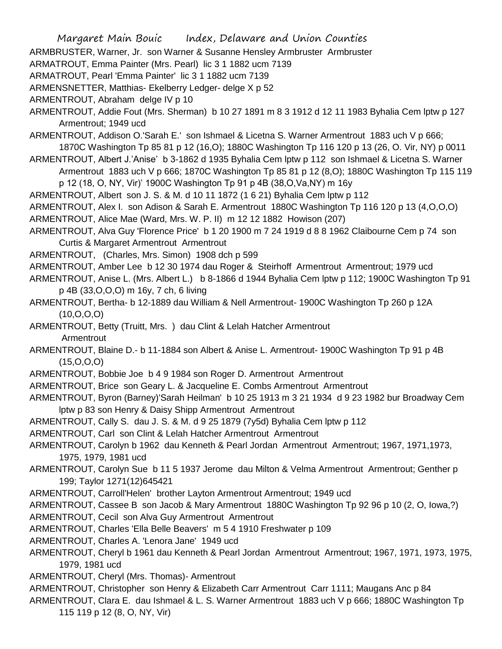ARMBRUSTER, Warner, Jr. son Warner & Susanne Hensley Armbruster Armbruster

ARMATROUT, Emma Painter (Mrs. Pearl) lic 3 1 1882 ucm 7139

ARMATROUT, Pearl 'Emma Painter' lic 3 1 1882 ucm 7139

ARMENSNETTER, Matthias- Ekelberry Ledger- delge X p 52

ARMENTROUT, Abraham delge IV p 10

- ARMENTROUT, Addie Fout (Mrs. Sherman) b 10 27 1891 m 8 3 1912 d 12 11 1983 Byhalia Cem lptw p 127 Armentrout; 1949 ucd
- ARMENTROUT, Addison O.'Sarah E.' son Ishmael & Licetna S. Warner Armentrout 1883 uch V p 666; 1870C Washington Tp 85 81 p 12 (16,O); 1880C Washington Tp 116 120 p 13 (26, O. Vir, NY) p 0011
- ARMENTROUT, Albert J.'Anise' b 3-1862 d 1935 Byhalia Cem lptw p 112 son Ishmael & Licetna S. Warner Armentrout 1883 uch V p 666; 1870C Washington Tp 85 81 p 12 (8,O); 1880C Washington Tp 115 119 p 12 (18, O, NY, Vir)' 1900C Washington Tp 91 p 4B (38,O,Va,NY) m 16y
- ARMENTROUT, Albert son J. S. & M. d 10 11 1872 (1 6 21) Byhalia Cem lptw p 112
- ARMENTROUT, Alex I. son Adison & Sarah E. Armentrout 1880C Washington Tp 116 120 p 13 (4,O,O,O)
- ARMENTROUT, Alice Mae (Ward, Mrs. W. P. II) m 12 12 1882 Howison (207)
- ARMENTROUT, Alva Guy 'Florence Price' b 1 20 1900 m 7 24 1919 d 8 8 1962 Claibourne Cem p 74 son Curtis & Margaret Armentrout Armentrout
- ARMENTROUT, (Charles, Mrs. Simon) 1908 dch p 599
- ARMENTROUT, Amber Lee b 12 30 1974 dau Roger & Steirhoff Armentrout Armentrout; 1979 ucd
- ARMENTROUT, Anise L. (Mrs. Albert L.) b 8-1866 d 1944 Byhalia Cem lptw p 112; 1900C Washington Tp 91 p 4B (33,O,O,O) m 16y, 7 ch, 6 living
- ARMENTROUT, Bertha- b 12-1889 dau William & Nell Armentrout- 1900C Washington Tp 260 p 12A  $(10, O, O, O)$
- ARMENTROUT, Betty (Truitt, Mrs. ) dau Clint & Lelah Hatcher Armentrout Armentrout
- ARMENTROUT, Blaine D.- b 11-1884 son Albert & Anise L. Armentrout- 1900C Washington Tp 91 p 4B  $(15,0,0,0)$
- ARMENTROUT, Bobbie Joe b 4 9 1984 son Roger D. Armentrout Armentrout
- ARMENTROUT, Brice son Geary L. & Jacqueline E. Combs Armentrout Armentrout
- ARMENTROUT, Byron (Barney)'Sarah Heilman' b 10 25 1913 m 3 21 1934 d 9 23 1982 bur Broadway Cem lptw p 83 son Henry & Daisy Shipp Armentrout Armentrout
- ARMENTROUT, Cally S. dau J. S. & M. d 9 25 1879 (7y5d) Byhalia Cem lptw p 112
- ARMENTROUT, Carl son Clint & Lelah Hatcher Armentrout Armentrout
- ARMENTROUT, Carolyn b 1962 dau Kenneth & Pearl Jordan Armentrout Armentrout; 1967, 1971,1973, 1975, 1979, 1981 ucd
- ARMENTROUT, Carolyn Sue b 11 5 1937 Jerome dau Milton & Velma Armentrout Armentrout; Genther p 199; Taylor 1271(12)645421
- ARMENTROUT, Carroll'Helen' brother Layton Armentrout Armentrout; 1949 ucd

ARMENTROUT, Cassee B son Jacob & Mary Armentrout 1880C Washington Tp 92 96 p 10 (2, O, Iowa,?)

- ARMENTROUT, Cecil son Alva Guy Armentrout Armentrout
- ARMENTROUT, Charles 'Ella Belle Beavers' m 5 4 1910 Freshwater p 109
- ARMENTROUT, Charles A. 'Lenora Jane' 1949 ucd
- ARMENTROUT, Cheryl b 1961 dau Kenneth & Pearl Jordan Armentrout Armentrout; 1967, 1971, 1973, 1975, 1979, 1981 ucd
- ARMENTROUT, Cheryl (Mrs. Thomas)- Armentrout
- ARMENTROUT, Christopher son Henry & Elizabeth Carr Armentrout Carr 1111; Maugans Anc p 84
- ARMENTROUT, Clara E. dau Ishmael & L. S. Warner Armentrout 1883 uch V p 666; 1880C Washington Tp 115 119 p 12 (8, O, NY, Vir)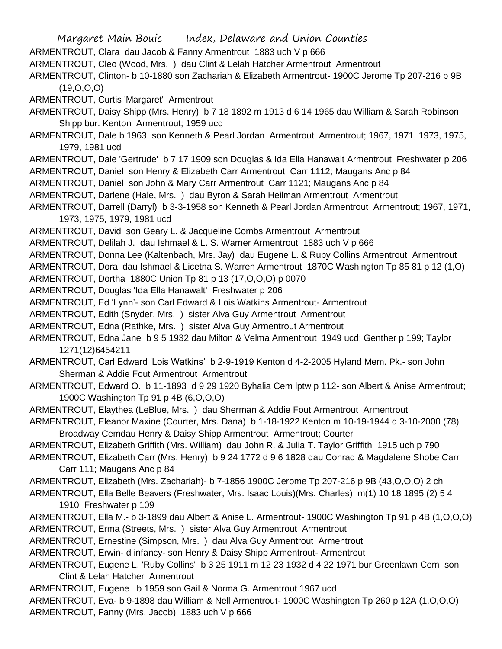- Margaret Main Bouic Index, Delaware and Union Counties ARMENTROUT, Clara dau Jacob & Fanny Armentrout 1883 uch V p 666 ARMENTROUT, Cleo (Wood, Mrs. ) dau Clint & Lelah Hatcher Armentrout Armentrout ARMENTROUT, Clinton- b 10-1880 son Zachariah & Elizabeth Armentrout- 1900C Jerome Tp 207-216 p 9B (19,O,O,O) ARMENTROUT, Curtis 'Margaret' Armentrout ARMENTROUT, Daisy Shipp (Mrs. Henry) b 7 18 1892 m 1913 d 6 14 1965 dau William & Sarah Robinson Shipp bur. Kenton Armentrout; 1959 ucd ARMENTROUT, Dale b 1963 son Kenneth & Pearl Jordan Armentrout Armentrout; 1967, 1971, 1973, 1975, 1979, 1981 ucd ARMENTROUT, Dale 'Gertrude' b 7 17 1909 son Douglas & Ida Ella Hanawalt Armentrout Freshwater p 206 ARMENTROUT, Daniel son Henry & Elizabeth Carr Armentrout Carr 1112; Maugans Anc p 84 ARMENTROUT, Daniel son John & Mary Carr Armentrout Carr 1121; Maugans Anc p 84 ARMENTROUT, Darlene (Hale, Mrs. ) dau Byron & Sarah Heilman Armentrout Armentrout ARMENTROUT, Darrell (Darryl) b 3-3-1958 son Kenneth & Pearl Jordan Armentrout Armentrout; 1967, 1971, 1973, 1975, 1979, 1981 ucd ARMENTROUT, David son Geary L. & Jacqueline Combs Armentrout Armentrout ARMENTROUT, Delilah J. dau Ishmael & L. S. Warner Armentrout 1883 uch V p 666 ARMENTROUT, Donna Lee (Kaltenbach, Mrs. Jay) dau Eugene L. & Ruby Collins Armentrout Armentrout ARMENTROUT, Dora dau Ishmael & Licetna S. Warren Armentrout 1870C Washington Tp 85 81 p 12 (1,O) ARMENTROUT, Dortha 1880C Union Tp 81 p 13 (17,O,O,O) p 0070 ARMENTROUT, Douglas 'Ida Ella Hanawalt' Freshwater p 206 ARMENTROUT, Ed 'Lynn'- son Carl Edward & Lois Watkins Armentrout- Armentrout ARMENTROUT, Edith (Snyder, Mrs. ) sister Alva Guy Armentrout Armentrout ARMENTROUT, Edna (Rathke, Mrs. ) sister Alva Guy Armentrout Armentrout ARMENTROUT, Edna Jane b 9 5 1932 dau Milton & Velma Armentrout 1949 ucd; Genther p 199; Taylor 1271(12)6454211 ARMENTROUT, Carl Edward 'Lois Watkins' b 2-9-1919 Kenton d 4-2-2005 Hyland Mem. Pk.- son John Sherman & Addie Fout Armentrout Armentrout ARMENTROUT, Edward O. b 11-1893 d 9 29 1920 Byhalia Cem lptw p 112- son Albert & Anise Armentrout; 1900C Washington Tp 91 p 4B (6,O,O,O) ARMENTROUT, Elaythea (LeBlue, Mrs. ) dau Sherman & Addie Fout Armentrout Armentrout ARMENTROUT, Eleanor Maxine (Courter, Mrs. Dana) b 1-18-1922 Kenton m 10-19-1944 d 3-10-2000 (78) Broadway Cemdau Henry & Daisy Shipp Armentrout Armentrout; Courter ARMENTROUT, Elizabeth Griffith (Mrs. William) dau John R. & Julia T. Taylor Griffith 1915 uch p 790 ARMENTROUT, Elizabeth Carr (Mrs. Henry) b 9 24 1772 d 9 6 1828 dau Conrad & Magdalene Shobe Carr Carr 111; Maugans Anc p 84 ARMENTROUT, Elizabeth (Mrs. Zachariah)- b 7-1856 1900C Jerome Tp 207-216 p 9B (43,O,O,O) 2 ch ARMENTROUT, Ella Belle Beavers (Freshwater, Mrs. Isaac Louis)(Mrs. Charles) m(1) 10 18 1895 (2) 5 4 1910 Freshwater p 109 ARMENTROUT, Ella M.- b 3-1899 dau Albert & Anise L. Armentrout- 1900C Washington Tp 91 p 4B (1,O,O,O) ARMENTROUT, Erma (Streets, Mrs. ) sister Alva Guy Armentrout Armentrout ARMENTROUT, Ernestine (Simpson, Mrs. ) dau Alva Guy Armentrout Armentrout ARMENTROUT, Erwin- d infancy- son Henry & Daisy Shipp Armentrout- Armentrout ARMENTROUT, Eugene L. 'Ruby Collins' b 3 25 1911 m 12 23 1932 d 4 22 1971 bur Greenlawn Cem son Clint & Lelah Hatcher Armentrout
- ARMENTROUT, Eugene b 1959 son Gail & Norma G. Armentrout 1967 ucd
- ARMENTROUT, Eva- b 9-1898 dau William & Nell Armentrout- 1900C Washington Tp 260 p 12A (1,O,O,O)
- ARMENTROUT, Fanny (Mrs. Jacob) 1883 uch V p 666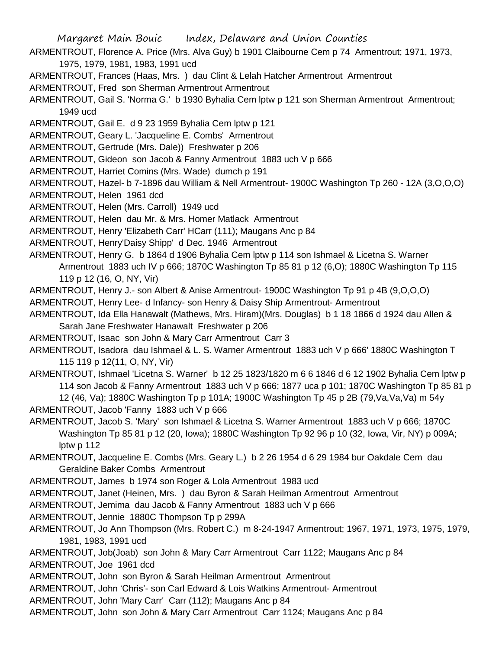- ARMENTROUT, Florence A. Price (Mrs. Alva Guy) b 1901 Claibourne Cem p 74 Armentrout; 1971, 1973, 1975, 1979, 1981, 1983, 1991 ucd
- ARMENTROUT, Frances (Haas, Mrs. ) dau Clint & Lelah Hatcher Armentrout Armentrout
- ARMENTROUT, Fred son Sherman Armentrout Armentrout
- ARMENTROUT, Gail S. 'Norma G.' b 1930 Byhalia Cem lptw p 121 son Sherman Armentrout Armentrout; 1949 ucd
- ARMENTROUT, Gail E. d 9 23 1959 Byhalia Cem lptw p 121
- ARMENTROUT, Geary L. 'Jacqueline E. Combs' Armentrout
- ARMENTROUT, Gertrude (Mrs. Dale)) Freshwater p 206
- ARMENTROUT, Gideon son Jacob & Fanny Armentrout 1883 uch V p 666
- ARMENTROUT, Harriet Comins (Mrs. Wade) dumch p 191
- ARMENTROUT, Hazel- b 7-1896 dau William & Nell Armentrout- 1900C Washington Tp 260 12A (3,O,O,O)
- ARMENTROUT, Helen 1961 dcd
- ARMENTROUT, Helen (Mrs. Carroll) 1949 ucd
- ARMENTROUT, Helen dau Mr. & Mrs. Homer Matlack Armentrout
- ARMENTROUT, Henry 'Elizabeth Carr' HCarr (111); Maugans Anc p 84
- ARMENTROUT, Henry'Daisy Shipp' d Dec. 1946 Armentrout
- ARMENTROUT, Henry G. b 1864 d 1906 Byhalia Cem lptw p 114 son Ishmael & Licetna S. Warner Armentrout 1883 uch IV p 666; 1870C Washington Tp 85 81 p 12 (6,O); 1880C Washington Tp 115 119 p 12 (16, O, NY, Vir)
- ARMENTROUT, Henry J.- son Albert & Anise Armentrout- 1900C Washington Tp 91 p 4B (9,O,O,O)
- ARMENTROUT, Henry Lee- d Infancy- son Henry & Daisy Ship Armentrout- Armentrout
- ARMENTROUT, Ida Ella Hanawalt (Mathews, Mrs. Hiram)(Mrs. Douglas) b 1 18 1866 d 1924 dau Allen & Sarah Jane Freshwater Hanawalt Freshwater p 206
- ARMENTROUT, Isaac son John & Mary Carr Armentrout Carr 3
- ARMENTROUT, Isadora dau Ishmael & L. S. Warner Armentrout 1883 uch V p 666' 1880C Washington T 115 119 p 12(11, O, NY, Vir)
- ARMENTROUT, Ishmael 'Licetna S. Warner' b 12 25 1823/1820 m 6 6 1846 d 6 12 1902 Byhalia Cem lptw p 114 son Jacob & Fanny Armentrout 1883 uch V p 666; 1877 uca p 101; 1870C Washington Tp 85 81 p 12 (46, Va); 1880C Washington Tp p 101A; 1900C Washington Tp 45 p 2B (79,Va,Va,Va) m 54y
- ARMENTROUT, Jacob 'Fanny 1883 uch V p 666
- ARMENTROUT, Jacob S. 'Mary' son Ishmael & Licetna S. Warner Armentrout 1883 uch V p 666; 1870C Washington Tp 85 81 p 12 (20, Iowa); 1880C Washington Tp 92 96 p 10 (32, Iowa, Vir, NY) p 009A; lptw p 112
- ARMENTROUT, Jacqueline E. Combs (Mrs. Geary L.) b 2 26 1954 d 6 29 1984 bur Oakdale Cem dau Geraldine Baker Combs Armentrout
- ARMENTROUT, James b 1974 son Roger & Lola Armentrout 1983 ucd
- ARMENTROUT, Janet (Heinen, Mrs. ) dau Byron & Sarah Heilman Armentrout Armentrout
- ARMENTROUT, Jemima dau Jacob & Fanny Armentrout 1883 uch V p 666
- ARMENTROUT, Jennie 1880C Thompson Tp p 299A
- ARMENTROUT, Jo Ann Thompson (Mrs. Robert C.) m 8-24-1947 Armentrout; 1967, 1971, 1973, 1975, 1979, 1981, 1983, 1991 ucd
- ARMENTROUT, Job(Joab) son John & Mary Carr Armentrout Carr 1122; Maugans Anc p 84 ARMENTROUT, Joe 1961 dcd
- ARMENTROUT, John son Byron & Sarah Heilman Armentrout Armentrout
- ARMENTROUT, John 'Chris'- son Carl Edward & Lois Watkins Armentrout- Armentrout
- ARMENTROUT, John 'Mary Carr' Carr (112); Maugans Anc p 84
- ARMENTROUT, John son John & Mary Carr Armentrout Carr 1124; Maugans Anc p 84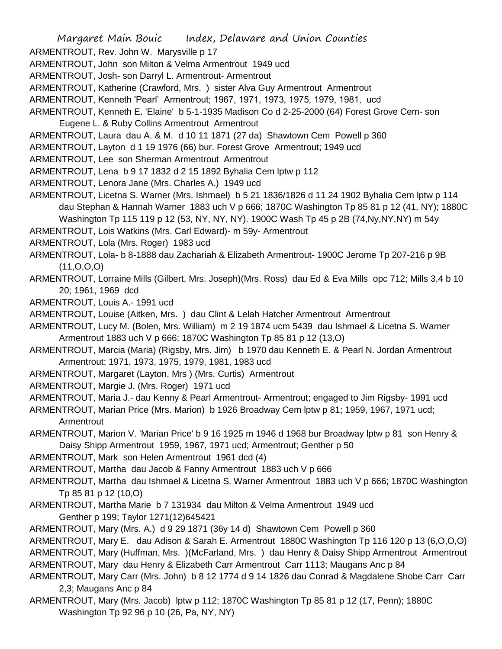ARMENTROUT, Rev. John W. Marysville p 17

ARMENTROUT, John son Milton & Velma Armentrout 1949 ucd

ARMENTROUT, Josh- son Darryl L. Armentrout- Armentrout

ARMENTROUT, Katherine (Crawford, Mrs. ) sister Alva Guy Armentrout Armentrout

ARMENTROUT, Kenneth 'Pearl' Armentrout; 1967, 1971, 1973, 1975, 1979, 1981, ucd

ARMENTROUT, Kenneth E. 'Elaine' b 5-1-1935 Madison Co d 2-25-2000 (64) Forest Grove Cem- son Eugene L. & Ruby Collins Armentrout Armentrout

ARMENTROUT, Laura dau A. & M. d 10 11 1871 (27 da) Shawtown Cem Powell p 360

ARMENTROUT, Layton d 1 19 1976 (66) bur. Forest Grove Armentrout; 1949 ucd

ARMENTROUT, Lee son Sherman Armentrout Armentrout

ARMENTROUT, Lena b 9 17 1832 d 2 15 1892 Byhalia Cem lptw p 112

ARMENTROUT, Lenora Jane (Mrs. Charles A.) 1949 ucd

ARMENTROUT, Licetna S. Warner (Mrs. Ishmael) b 5 21 1836/1826 d 11 24 1902 Byhalia Cem lptw p 114 dau Stephan & Hannah Warner 1883 uch V p 666; 1870C Washington Tp 85 81 p 12 (41, NY); 1880C Washington Tp 115 119 p 12 (53, NY, NY, NY). 1900C Wash Tp 45 p 2B (74,Ny,NY,NY) m 54y

ARMENTROUT, Lois Watkins (Mrs. Carl Edward)- m 59y- Armentrout

ARMENTROUT, Lola (Mrs. Roger) 1983 ucd

ARMENTROUT, Lola- b 8-1888 dau Zachariah & Elizabeth Armentrout- 1900C Jerome Tp 207-216 p 9B (11,O,O,O)

ARMENTROUT, Lorraine Mills (Gilbert, Mrs. Joseph)(Mrs. Ross) dau Ed & Eva Mills opc 712; Mills 3,4 b 10 20; 1961, 1969 dcd

ARMENTROUT, Louis A.- 1991 ucd

ARMENTROUT, Louise (Aitken, Mrs. ) dau Clint & Lelah Hatcher Armentrout Armentrout

ARMENTROUT, Lucy M. (Bolen, Mrs. William) m 2 19 1874 ucm 5439 dau Ishmael & Licetna S. Warner Armentrout 1883 uch V p 666; 1870C Washington Tp 85 81 p 12 (13,O)

ARMENTROUT, Marcia (Maria) (Rigsby, Mrs. Jim) b 1970 dau Kenneth E. & Pearl N. Jordan Armentrout Armentrout; 1971, 1973, 1975, 1979, 1981, 1983 ucd

ARMENTROUT, Margaret (Layton, Mrs ) (Mrs. Curtis) Armentrout

ARMENTROUT, Margie J. (Mrs. Roger) 1971 ucd

ARMENTROUT, Maria J.- dau Kenny & Pearl Armentrout- Armentrout; engaged to Jim Rigsby- 1991 ucd

ARMENTROUT, Marian Price (Mrs. Marion) b 1926 Broadway Cem lptw p 81; 1959, 1967, 1971 ucd; **Armentrout** 

ARMENTROUT, Marion V. 'Marian Price' b 9 16 1925 m 1946 d 1968 bur Broadway lptw p 81 son Henry & Daisy Shipp Armentrout 1959, 1967, 1971 ucd; Armentrout; Genther p 50

ARMENTROUT, Mark son Helen Armentrout 1961 dcd (4)

ARMENTROUT, Martha dau Jacob & Fanny Armentrout 1883 uch V p 666

ARMENTROUT, Martha dau Ishmael & Licetna S. Warner Armentrout 1883 uch V p 666; 1870C Washington Tp 85 81 p 12 (10,O)

ARMENTROUT, Martha Marie b 7 131934 dau Milton & Velma Armentrout 1949 ucd Genther p 199; Taylor 1271(12)645421

ARMENTROUT, Mary (Mrs. A.) d 9 29 1871 (36y 14 d) Shawtown Cem Powell p 360

ARMENTROUT, Mary E. dau Adison & Sarah E. Armentrout 1880C Washington Tp 116 120 p 13 (6,O,O,O)

ARMENTROUT, Mary (Huffman, Mrs. )(McFarland, Mrs. ) dau Henry & Daisy Shipp Armentrout Armentrout

ARMENTROUT, Mary dau Henry & Elizabeth Carr Armentrout Carr 1113; Maugans Anc p 84

- ARMENTROUT, Mary Carr (Mrs. John) b 8 12 1774 d 9 14 1826 dau Conrad & Magdalene Shobe Carr Carr 2,3; Maugans Anc p 84
- ARMENTROUT, Mary (Mrs. Jacob) lptw p 112; 1870C Washington Tp 85 81 p 12 (17, Penn); 1880C Washington Tp 92 96 p 10 (26, Pa, NY, NY)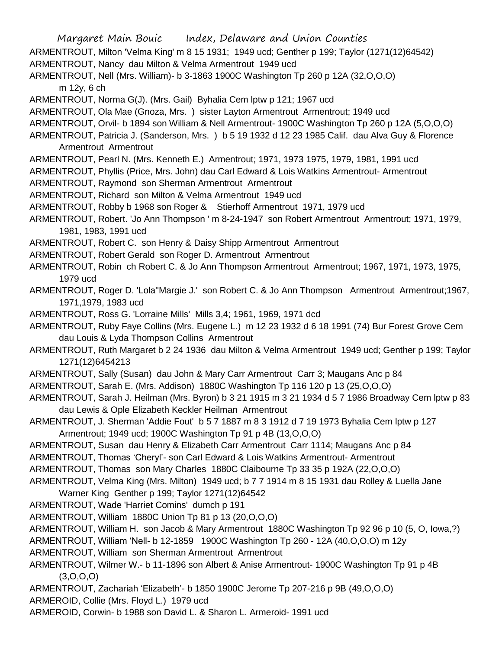Margaret Main Bouic Index, Delaware and Union Counties ARMENTROUT, Milton 'Velma King' m 8 15 1931; 1949 ucd; Genther p 199; Taylor (1271(12)64542) ARMENTROUT, Nancy dau Milton & Velma Armentrout 1949 ucd ARMENTROUT, Nell (Mrs. William)- b 3-1863 1900C Washington Tp 260 p 12A (32,O,O,O) m 12y, 6 ch ARMENTROUT, Norma G(J). (Mrs. Gail) Byhalia Cem lptw p 121; 1967 ucd ARMENTROUT, Ola Mae (Gnoza, Mrs. ) sister Layton Armentrout Armentrout; 1949 ucd ARMENTROUT, Orvil- b 1894 son William & Nell Armentrout- 1900C Washington Tp 260 p 12A (5,O,O,O) ARMENTROUT, Patricia J. (Sanderson, Mrs. ) b 5 19 1932 d 12 23 1985 Calif. dau Alva Guy & Florence Armentrout Armentrout ARMENTROUT, Pearl N. (Mrs. Kenneth E.) Armentrout; 1971, 1973 1975, 1979, 1981, 1991 ucd ARMENTROUT, Phyllis (Price, Mrs. John) dau Carl Edward & Lois Watkins Armentrout- Armentrout ARMENTROUT, Raymond son Sherman Armentrout Armentrout ARMENTROUT, Richard son Milton & Velma Armentrout 1949 ucd ARMENTROUT, Robby b 1968 son Roger & Stierhoff Armentrout 1971, 1979 ucd ARMENTROUT, Robert. 'Jo Ann Thompson ' m 8-24-1947 son Robert Armentrout Armentrout; 1971, 1979, 1981, 1983, 1991 ucd ARMENTROUT, Robert C. son Henry & Daisy Shipp Armentrout Armentrout ARMENTROUT, Robert Gerald son Roger D. Armentrout Armentrout ARMENTROUT, Robin ch Robert C. & Jo Ann Thompson Armentrout Armentrout; 1967, 1971, 1973, 1975, 1979 ucd ARMENTROUT, Roger D. 'Lola''Margie J.' son Robert C. & Jo Ann Thompson Armentrout Armentrout;1967, 1971,1979, 1983 ucd ARMENTROUT, Ross G. 'Lorraine Mills' Mills 3,4; 1961, 1969, 1971 dcd ARMENTROUT, Ruby Faye Collins (Mrs. Eugene L.) m 12 23 1932 d 6 18 1991 (74) Bur Forest Grove Cem dau Louis & Lyda Thompson Collins Armentrout ARMENTROUT, Ruth Margaret b 2 24 1936 dau Milton & Velma Armentrout 1949 ucd; Genther p 199; Taylor 1271(12)6454213 ARMENTROUT, Sally (Susan) dau John & Mary Carr Armentrout Carr 3; Maugans Anc p 84 ARMENTROUT, Sarah E. (Mrs. Addison) 1880C Washington Tp 116 120 p 13 (25,O,O,O) ARMENTROUT, Sarah J. Heilman (Mrs. Byron) b 3 21 1915 m 3 21 1934 d 5 7 1986 Broadway Cem lptw p 83 dau Lewis & Ople Elizabeth Keckler Heilman Armentrout ARMENTROUT, J. Sherman 'Addie Fout' b 5 7 1887 m 8 3 1912 d 7 19 1973 Byhalia Cem lptw p 127 Armentrout; 1949 ucd; 1900C Washington Tp 91 p 4B (13,O,O,O) ARMENTROUT, Susan dau Henry & Elizabeth Carr Armentrout Carr 1114; Maugans Anc p 84 ARMENTROUT, Thomas 'Cheryl'- son Carl Edward & Lois Watkins Armentrout- Armentrout ARMENTROUT, Thomas son Mary Charles 1880C Claibourne Tp 33 35 p 192A (22,O,O,O) ARMENTROUT, Velma King (Mrs. Milton) 1949 ucd; b 7 7 1914 m 8 15 1931 dau Rolley & Luella Jane Warner King Genther p 199; Taylor 1271(12)64542 ARMENTROUT, Wade 'Harriet Comins' dumch p 191 ARMENTROUT, William 1880C Union Tp 81 p 13 (20,O,O,O) ARMENTROUT, William H. son Jacob & Mary Armentrout 1880C Washington Tp 92 96 p 10 (5, O, Iowa,?) ARMENTROUT, William 'Nell- b 12-1859 1900C Washington Tp 260 - 12A (40,O,O,O) m 12y ARMENTROUT, William son Sherman Armentrout Armentrout ARMENTROUT, Wilmer W.- b 11-1896 son Albert & Anise Armentrout- 1900C Washington Tp 91 p 4B  $(3,0,0,0)$ ARMENTROUT, Zachariah 'Elizabeth'- b 1850 1900C Jerome Tp 207-216 p 9B (49,O,O,O) ARMEROID, Collie (Mrs. Floyd L.) 1979 ucd ARMEROID, Corwin- b 1988 son David L. & Sharon L. Armeroid- 1991 ucd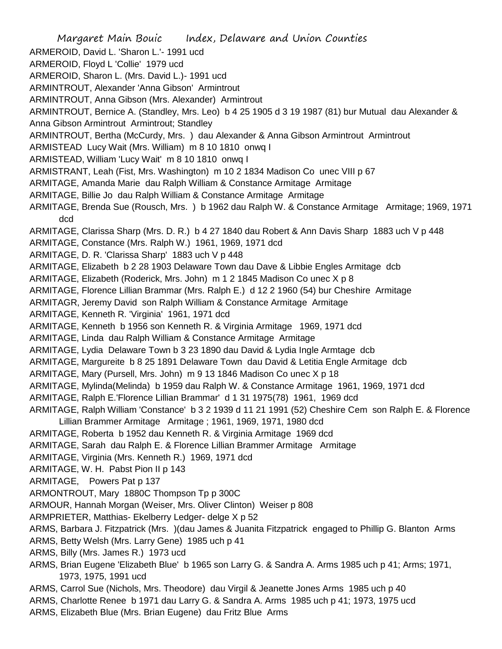Margaret Main Bouic Index, Delaware and Union Counties ARMEROID, David L. 'Sharon L.'- 1991 ucd ARMEROID, Floyd L 'Collie' 1979 ucd ARMEROID, Sharon L. (Mrs. David L.)- 1991 ucd ARMINTROUT, Alexander 'Anna Gibson' Armintrout ARMINTROUT, Anna Gibson (Mrs. Alexander) Armintrout ARMINTROUT, Bernice A. (Standley, Mrs. Leo) b 4 25 1905 d 3 19 1987 (81) bur Mutual dau Alexander & Anna Gibson Armintrout Armintrout; Standley ARMINTROUT, Bertha (McCurdy, Mrs. ) dau Alexander & Anna Gibson Armintrout Armintrout ARMISTEAD Lucy Wait (Mrs. William) m 8 10 1810 onwq I ARMISTEAD, William 'Lucy Wait' m 8 10 1810 onwq I ARMISTRANT, Leah (Fist, Mrs. Washington) m 10 2 1834 Madison Co unec VIII p 67 ARMITAGE, Amanda Marie dau Ralph William & Constance Armitage Armitage ARMITAGE, Billie Jo dau Ralph William & Constance Armitage Armitage ARMITAGE, Brenda Sue (Rousch, Mrs. ) b 1962 dau Ralph W. & Constance Armitage Armitage; 1969, 1971 dcd ARMITAGE, Clarissa Sharp (Mrs. D. R.) b 4 27 1840 dau Robert & Ann Davis Sharp 1883 uch V p 448 ARMITAGE, Constance (Mrs. Ralph W.) 1961, 1969, 1971 dcd ARMITAGE, D. R. 'Clarissa Sharp' 1883 uch V p 448 ARMITAGE, Elizabeth b 2 28 1903 Delaware Town dau Dave & Libbie Engles Armitage dcb ARMITAGE, Elizabeth (Roderick, Mrs. John) m 1 2 1845 Madison Co unec X p 8 ARMITAGE, Florence Lillian Brammar (Mrs. Ralph E.) d 12 2 1960 (54) bur Cheshire Armitage ARMITAGR, Jeremy David son Ralph William & Constance Armitage Armitage ARMITAGE, Kenneth R. 'Virginia' 1961, 1971 dcd ARMITAGE, Kenneth b 1956 son Kenneth R. & Virginia Armitage 1969, 1971 dcd ARMITAGE, Linda dau Ralph William & Constance Armitage Armitage ARMITAGE, Lydia Delaware Town b 3 23 1890 dau David & Lydia Ingle Armtage dcb ARMITAGE, Margureite b 8 25 1891 Delaware Town dau David & Letitia Engle Armitage dcb ARMITAGE, Mary (Pursell, Mrs. John) m 9 13 1846 Madison Co unec X p 18 ARMITAGE, Mylinda(Melinda) b 1959 dau Ralph W. & Constance Armitage 1961, 1969, 1971 dcd ARMITAGE, Ralph E.'Florence Lillian Brammar' d 1 31 1975(78) 1961, 1969 dcd ARMITAGE, Ralph William 'Constance' b 3 2 1939 d 11 21 1991 (52) Cheshire Cem son Ralph E. & Florence Lillian Brammer Armitage Armitage ; 1961, 1969, 1971, 1980 dcd ARMITAGE, Roberta b 1952 dau Kenneth R. & Virginia Armitage 1969 dcd ARMITAGE, Sarah dau Ralph E. & Florence Lillian Brammer Armitage Armitage ARMITAGE, Virginia (Mrs. Kenneth R.) 1969, 1971 dcd ARMITAGE, W. H. Pabst Pion II p 143 ARMITAGE, Powers Pat p 137 ARMONTROUT, Mary 1880C Thompson Tp p 300C ARMOUR, Hannah Morgan (Weiser, Mrs. Oliver Clinton) Weiser p 808 ARMPRIETER, Matthias- Ekelberry Ledger- delge X p 52 ARMS, Barbara J. Fitzpatrick (Mrs. )(dau James & Juanita Fitzpatrick engaged to Phillip G. Blanton Arms ARMS, Betty Welsh (Mrs. Larry Gene) 1985 uch p 41 ARMS, Billy (Mrs. James R.) 1973 ucd ARMS, Brian Eugene 'Elizabeth Blue' b 1965 son Larry G. & Sandra A. Arms 1985 uch p 41; Arms; 1971, 1973, 1975, 1991 ucd ARMS, Carrol Sue (Nichols, Mrs. Theodore) dau Virgil & Jeanette Jones Arms 1985 uch p 40 ARMS, Charlotte Renee b 1971 dau Larry G. & Sandra A. Arms 1985 uch p 41; 1973, 1975 ucd ARMS, Elizabeth Blue (Mrs. Brian Eugene) dau Fritz Blue Arms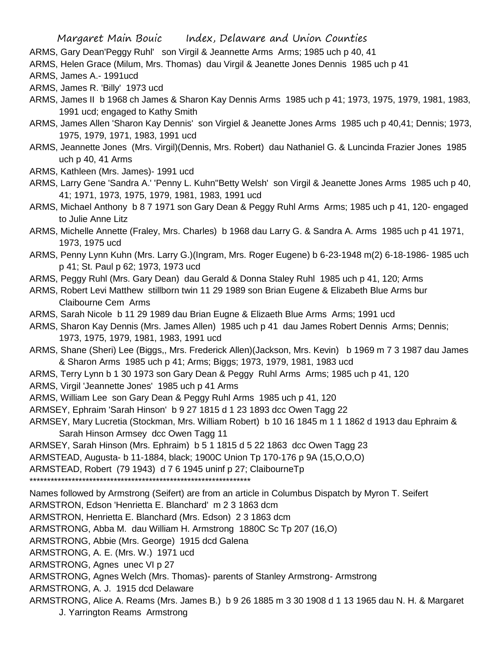ARMS, Gary Dean'Peggy Ruhl' son Virgil & Jeannette Arms Arms; 1985 uch p 40, 41

ARMS, Helen Grace (Milum, Mrs. Thomas) dau Virgil & Jeanette Jones Dennis 1985 uch p 41

ARMS, James A.- 1991ucd

ARMS, James R. 'Billy' 1973 ucd

- ARMS, James II b 1968 ch James & Sharon Kay Dennis Arms 1985 uch p 41; 1973, 1975, 1979, 1981, 1983, 1991 ucd; engaged to Kathy Smith
- ARMS, James Allen 'Sharon Kay Dennis' son Virgiel & Jeanette Jones Arms 1985 uch p 40,41; Dennis; 1973, 1975, 1979, 1971, 1983, 1991 ucd
- ARMS, Jeannette Jones (Mrs. Virgil)(Dennis, Mrs. Robert) dau Nathaniel G. & Luncinda Frazier Jones 1985 uch p 40, 41 Arms
- ARMS, Kathleen (Mrs. James)- 1991 ucd
- ARMS, Larry Gene 'Sandra A.' 'Penny L. Kuhn''Betty Welsh' son Virgil & Jeanette Jones Arms 1985 uch p 40, 41; 1971, 1973, 1975, 1979, 1981, 1983, 1991 ucd
- ARMS, Michael Anthony b 8 7 1971 son Gary Dean & Peggy Ruhl Arms Arms; 1985 uch p 41, 120- engaged to Julie Anne Litz
- ARMS, Michelle Annette (Fraley, Mrs. Charles) b 1968 dau Larry G. & Sandra A. Arms 1985 uch p 41 1971, 1973, 1975 ucd
- ARMS, Penny Lynn Kuhn (Mrs. Larry G.)(Ingram, Mrs. Roger Eugene) b 6-23-1948 m(2) 6-18-1986- 1985 uch p 41; St. Paul p 62; 1973, 1973 ucd
- ARMS, Peggy Ruhl (Mrs. Gary Dean) dau Gerald & Donna Staley Ruhl 1985 uch p 41, 120; Arms
- ARMS, Robert Levi Matthew stillborn twin 11 29 1989 son Brian Eugene & Elizabeth Blue Arms bur Claibourne Cem Arms
- ARMS, Sarah Nicole b 11 29 1989 dau Brian Eugne & Elizaeth Blue Arms Arms; 1991 ucd
- ARMS, Sharon Kay Dennis (Mrs. James Allen) 1985 uch p 41 dau James Robert Dennis Arms; Dennis; 1973, 1975, 1979, 1981, 1983, 1991 ucd
- ARMS, Shane (Sheri) Lee (Biggs,, Mrs. Frederick Allen)(Jackson, Mrs. Kevin) b 1969 m 7 3 1987 dau James & Sharon Arms 1985 uch p 41; Arms; Biggs; 1973, 1979, 1981, 1983 ucd
- ARMS, Terry Lynn b 1 30 1973 son Gary Dean & Peggy Ruhl Arms Arms; 1985 uch p 41, 120
- ARMS, Virgil 'Jeannette Jones' 1985 uch p 41 Arms
- ARMS, William Lee son Gary Dean & Peggy Ruhl Arms 1985 uch p 41, 120
- ARMSEY, Ephraim 'Sarah Hinson' b 9 27 1815 d 1 23 1893 dcc Owen Tagg 22
- ARMSEY, Mary Lucretia (Stockman, Mrs. William Robert) b 10 16 1845 m 1 1 1862 d 1913 dau Ephraim & Sarah Hinson Armsey dcc Owen Tagg 11
- ARMSEY, Sarah Hinson (Mrs. Ephraim) b 5 1 1815 d 5 22 1863 dcc Owen Tagg 23
- ARMSTEAD, Augusta- b 11-1884, black; 1900C Union Tp 170-176 p 9A (15,O,O,O)

ARMSTEAD, Robert (79 1943) d 7 6 1945 uninf p 27; ClaibourneTp

\*\*\*\*\*\*\*\*\*\*\*\*\*\*\*\*\*\*\*\*\*\*\*\*\*\*\*\*\*\*\*\*\*\*\*\*\*\*\*\*\*\*\*\*\*\*\*\*\*\*\*\*\*\*\*\*\*\*\*\*\*\*\*

Names followed by Armstrong (Seifert) are from an article in Columbus Dispatch by Myron T. Seifert

- ARMSTRON, Edson 'Henrietta E. Blanchard' m 2 3 1863 dcm
- ARMSTRON, Henrietta E. Blanchard (Mrs. Edson) 2 3 1863 dcm

ARMSTRONG, Abba M. dau William H. Armstrong 1880C Sc Tp 207 (16,O)

ARMSTRONG, Abbie (Mrs. George) 1915 dcd Galena

- ARMSTRONG, A. E. (Mrs. W.) 1971 ucd
- ARMSTRONG, Agnes unec VI p 27
- ARMSTRONG, Agnes Welch (Mrs. Thomas)- parents of Stanley Armstrong- Armstrong
- ARMSTRONG, A. J. 1915 dcd Delaware
- ARMSTRONG, Alice A. Reams (Mrs. James B.) b 9 26 1885 m 3 30 1908 d 1 13 1965 dau N. H. & Margaret
	- J. Yarrington Reams Armstrong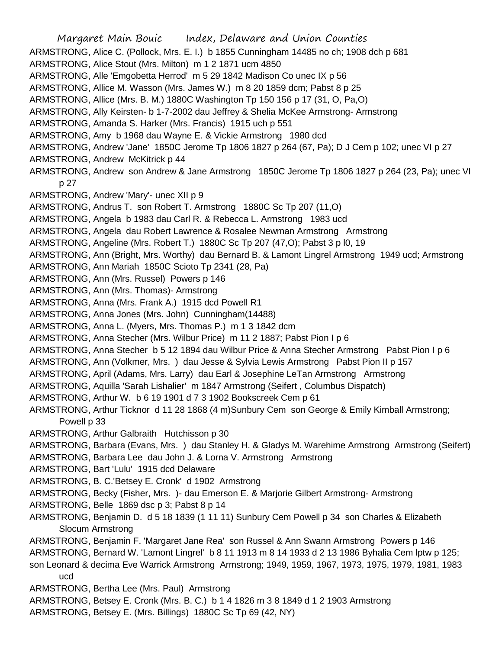Margaret Main Bouic Index, Delaware and Union Counties ARMSTRONG, Alice C. (Pollock, Mrs. E. I.) b 1855 Cunningham 14485 no ch; 1908 dch p 681 ARMSTRONG, Alice Stout (Mrs. Milton) m 1 2 1871 ucm 4850 ARMSTRONG, Alle 'Emgobetta Herrod' m 5 29 1842 Madison Co unec IX p 56 ARMSTRONG, Allice M. Wasson (Mrs. James W.) m 8 20 1859 dcm; Pabst 8 p 25 ARMSTRONG, Allice (Mrs. B. M.) 1880C Washington Tp 150 156 p 17 (31, O, Pa,O) ARMSTRONG, Ally Keirsten- b 1-7-2002 dau Jeffrey & Shelia McKee Armstrong- Armstrong ARMSTRONG, Amanda S. Harker (Mrs. Francis) 1915 uch p 551 ARMSTRONG, Amy b 1968 dau Wayne E. & Vickie Armstrong 1980 dcd ARMSTRONG, Andrew 'Jane' 1850C Jerome Tp 1806 1827 p 264 (67, Pa); D J Cem p 102; unec VI p 27 ARMSTRONG, Andrew McKitrick p 44 ARMSTRONG, Andrew son Andrew & Jane Armstrong 1850C Jerome Tp 1806 1827 p 264 (23, Pa); unec VI p 27 ARMSTRONG, Andrew 'Mary'- unec XII p 9 ARMSTRONG, Andrus T. son Robert T. Armstrong 1880C Sc Tp 207 (11,O) ARMSTRONG, Angela b 1983 dau Carl R. & Rebecca L. Armstrong 1983 ucd ARMSTRONG, Angela dau Robert Lawrence & Rosalee Newman Armstrong Armstrong ARMSTRONG, Angeline (Mrs. Robert T.) 1880C Sc Tp 207 (47,O); Pabst 3 p l0, 19 ARMSTRONG, Ann (Bright, Mrs. Worthy) dau Bernard B. & Lamont Lingrel Armstrong 1949 ucd; Armstrong ARMSTRONG, Ann Mariah 1850C Scioto Tp 2341 (28, Pa) ARMSTRONG, Ann (Mrs. Russel) Powers p 146 ARMSTRONG, Ann (Mrs. Thomas)- Armstrong ARMSTRONG, Anna (Mrs. Frank A.) 1915 dcd Powell R1 ARMSTRONG, Anna Jones (Mrs. John) Cunningham(14488) ARMSTRONG, Anna L. (Myers, Mrs. Thomas P.) m 1 3 1842 dcm ARMSTRONG, Anna Stecher (Mrs. Wilbur Price) m 11 2 1887; Pabst Pion I p 6 ARMSTRONG, Anna Stecher b 5 12 1894 dau Wilbur Price & Anna Stecher Armstrong Pabst Pion I p 6 ARMSTRONG, Ann (Volkmer, Mrs. ) dau Jesse & Sylvia Lewis Armstrong Pabst Pion II p 157 ARMSTRONG, April (Adams, Mrs. Larry) dau Earl & Josephine LeTan Armstrong Armstrong ARMSTRONG, Aquilla 'Sarah Lishalier' m 1847 Armstrong (Seifert , Columbus Dispatch) ARMSTRONG, Arthur W. b 6 19 1901 d 7 3 1902 Bookscreek Cem p 61 ARMSTRONG, Arthur Ticknor d 11 28 1868 (4 m)Sunbury Cem son George & Emily Kimball Armstrong; Powell p 33 ARMSTRONG, Arthur Galbraith Hutchisson p 30 ARMSTRONG, Barbara (Evans, Mrs. ) dau Stanley H. & Gladys M. Warehime Armstrong Armstrong (Seifert) ARMSTRONG, Barbara Lee dau John J. & Lorna V. Armstrong Armstrong ARMSTRONG, Bart 'Lulu' 1915 dcd Delaware ARMSTRONG, B. C.'Betsey E. Cronk' d 1902 Armstrong ARMSTRONG, Becky (Fisher, Mrs. )- dau Emerson E. & Marjorie Gilbert Armstrong- Armstrong ARMSTRONG, Belle 1869 dsc p 3; Pabst 8 p 14 ARMSTRONG, Benjamin D. d 5 18 1839 (1 11 11) Sunbury Cem Powell p 34 son Charles & Elizabeth Slocum Armstrong ARMSTRONG, Benjamin F. 'Margaret Jane Rea' son Russel & Ann Swann Armstrong Powers p 146 ARMSTRONG, Bernard W. 'Lamont Lingrel' b 8 11 1913 m 8 14 1933 d 2 13 1986 Byhalia Cem lptw p 125;

- son Leonard & decima Eve Warrick Armstrong Armstrong; 1949, 1959, 1967, 1973, 1975, 1979, 1981, 1983 ucd
- ARMSTRONG, Bertha Lee (Mrs. Paul) Armstrong
- ARMSTRONG, Betsey E. Cronk (Mrs. B. C.) b 1 4 1826 m 3 8 1849 d 1 2 1903 Armstrong
- ARMSTRONG, Betsey E. (Mrs. Billings) 1880C Sc Tp 69 (42, NY)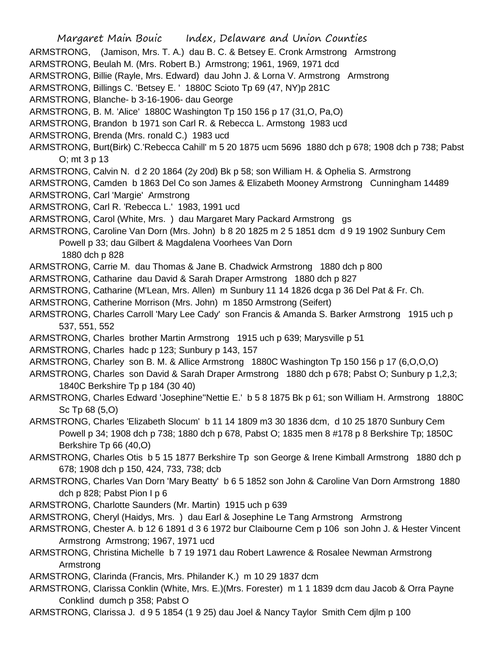Margaret Main Bouic Index, Delaware and Union Counties ARMSTRONG, (Jamison, Mrs. T. A.) dau B. C. & Betsey E. Cronk Armstrong Armstrong ARMSTRONG, Beulah M. (Mrs. Robert B.) Armstrong; 1961, 1969, 1971 dcd ARMSTRONG, Billie (Rayle, Mrs. Edward) dau John J. & Lorna V. Armstrong Armstrong ARMSTRONG, Billings C. 'Betsey E. ' 1880C Scioto Tp 69 (47, NY)p 281C ARMSTRONG, Blanche- b 3-16-1906- dau George ARMSTRONG, B. M. 'Alice' 1880C Washington Tp 150 156 p 17 (31,O, Pa,O) ARMSTRONG, Brandon b 1971 son Carl R. & Rebecca L. Armstong 1983 ucd ARMSTRONG, Brenda (Mrs. ronald C.) 1983 ucd ARMSTRONG, Burt(Birk) C.'Rebecca Cahill' m 5 20 1875 ucm 5696 1880 dch p 678; 1908 dch p 738; Pabst O; mt 3 p 13 ARMSTRONG, Calvin N. d 2 20 1864 (2y 20d) Bk p 58; son William H. & Ophelia S. Armstrong ARMSTRONG, Camden b 1863 Del Co son James & Elizabeth Mooney Armstrong Cunningham 14489 ARMSTRONG, Carl 'Margie' Armstrong ARMSTRONG, Carl R. 'Rebecca L.' 1983, 1991 ucd ARMSTRONG, Carol (White, Mrs. ) dau Margaret Mary Packard Armstrong gs ARMSTRONG, Caroline Van Dorn (Mrs. John) b 8 20 1825 m 2 5 1851 dcm d 9 19 1902 Sunbury Cem Powell p 33; dau Gilbert & Magdalena Voorhees Van Dorn 1880 dch p 828 ARMSTRONG, Carrie M. dau Thomas & Jane B. Chadwick Armstrong 1880 dch p 800 ARMSTRONG, Catharine dau David & Sarah Draper Armstrong 1880 dch p 827 ARMSTRONG, Catharine (M'Lean, Mrs. Allen) m Sunbury 11 14 1826 dcga p 36 Del Pat & Fr. Ch. ARMSTRONG, Catherine Morrison (Mrs. John) m 1850 Armstrong (Seifert) ARMSTRONG, Charles Carroll 'Mary Lee Cady' son Francis & Amanda S. Barker Armstrong 1915 uch p 537, 551, 552 ARMSTRONG, Charles brother Martin Armstrong 1915 uch p 639; Marysville p 51 ARMSTRONG, Charles hadc p 123; Sunbury p 143, 157 ARMSTRONG, Charley son B. M. & Allice Armstrong 1880C Washington Tp 150 156 p 17 (6,O,O,O) ARMSTRONG, Charles son David & Sarah Draper Armstrong 1880 dch p 678; Pabst O; Sunbury p 1,2,3; 1840C Berkshire Tp p 184 (30 40) ARMSTRONG, Charles Edward 'Josephine''Nettie E.' b 5 8 1875 Bk p 61; son William H. Armstrong 1880C Sc Tp 68 (5,O) ARMSTRONG, Charles 'Elizabeth Slocum' b 11 14 1809 m3 30 1836 dcm, d 10 25 1870 Sunbury Cem Powell p 34; 1908 dch p 738; 1880 dch p 678, Pabst O; 1835 men 8 #178 p 8 Berkshire Tp; 1850C Berkshire Tp 66 (40,O) ARMSTRONG, Charles Otis b 5 15 1877 Berkshire Tp son George & Irene Kimball Armstrong 1880 dch p 678; 1908 dch p 150, 424, 733, 738; dcb ARMSTRONG, Charles Van Dorn 'Mary Beatty' b 6 5 1852 son John & Caroline Van Dorn Armstrong 1880 dch p 828; Pabst Pion I p 6 ARMSTRONG, Charlotte Saunders (Mr. Martin) 1915 uch p 639 ARMSTRONG, Cheryl (Haidys, Mrs. ) dau Earl & Josephine Le Tang Armstrong Armstrong ARMSTRONG, Chester A. b 12 6 1891 d 3 6 1972 bur Claibourne Cem p 106 son John J. & Hester Vincent Armstrong Armstrong; 1967, 1971 ucd ARMSTRONG, Christina Michelle b 7 19 1971 dau Robert Lawrence & Rosalee Newman Armstrong Armstrong ARMSTRONG, Clarinda (Francis, Mrs. Philander K.) m 10 29 1837 dcm

ARMSTRONG, Clarissa Conklin (White, Mrs. E.)(Mrs. Forester) m 1 1 1839 dcm dau Jacob & Orra Payne Conklind dumch p 358; Pabst O

ARMSTRONG, Clarissa J. d 9 5 1854 (1 9 25) dau Joel & Nancy Taylor Smith Cem djlm p 100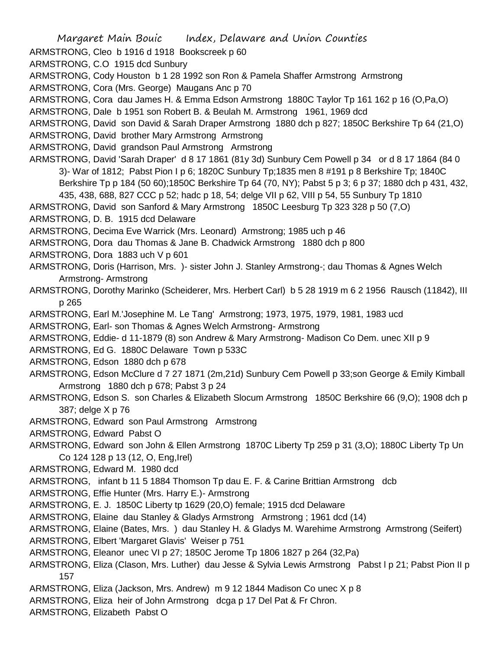Margaret Main Bouic Index, Delaware and Union Counties ARMSTRONG, Cleo b 1916 d 1918 Bookscreek p 60 ARMSTRONG, C.O 1915 dcd Sunbury ARMSTRONG, Cody Houston b 1 28 1992 son Ron & Pamela Shaffer Armstrong Armstrong ARMSTRONG, Cora (Mrs. George) Maugans Anc p 70 ARMSTRONG, Cora dau James H. & Emma Edson Armstrong 1880C Taylor Tp 161 162 p 16 (O,Pa,O) ARMSTRONG, Dale b 1951 son Robert B. & Beulah M. Armstrong 1961, 1969 dcd ARMSTRONG, David son David & Sarah Draper Armstrong 1880 dch p 827; 1850C Berkshire Tp 64 (21,O) ARMSTRONG, David brother Mary Armstrong Armstrong ARMSTRONG, David grandson Paul Armstrong Armstrong ARMSTRONG, David 'Sarah Draper' d 8 17 1861 (81y 3d) Sunbury Cem Powell p 34 or d 8 17 1864 (84 0 3)- War of 1812; Pabst Pion I p 6; 1820C Sunbury Tp;1835 men 8 #191 p 8 Berkshire Tp; 1840C Berkshire Tp p 184 (50 60);1850C Berkshire Tp 64 (70, NY); Pabst 5 p 3; 6 p 37; 1880 dch p 431, 432, 435, 438, 688, 827 CCC p 52; hadc p 18, 54; delge VII p 62, VIII p 54, 55 Sunbury Tp 1810 ARMSTRONG, David son Sanford & Mary Armstrong 1850C Leesburg Tp 323 328 p 50 (7,O) ARMSTRONG, D. B. 1915 dcd Delaware ARMSTRONG, Decima Eve Warrick (Mrs. Leonard) Armstrong; 1985 uch p 46 ARMSTRONG, Dora dau Thomas & Jane B. Chadwick Armstrong 1880 dch p 800 ARMSTRONG, Dora 1883 uch V p 601 ARMSTRONG, Doris (Harrison, Mrs. )- sister John J. Stanley Armstrong-; dau Thomas & Agnes Welch Armstrong- Armstrong ARMSTRONG, Dorothy Marinko (Scheiderer, Mrs. Herbert Carl) b 5 28 1919 m 6 2 1956 Rausch (11842), III p 265 ARMSTRONG, Earl M.'Josephine M. Le Tang' Armstrong; 1973, 1975, 1979, 1981, 1983 ucd ARMSTRONG, Earl- son Thomas & Agnes Welch Armstrong- Armstrong ARMSTRONG, Eddie- d 11-1879 (8) son Andrew & Mary Armstrong- Madison Co Dem. unec XII p 9 ARMSTRONG, Ed G. 1880C Delaware Town p 533C ARMSTRONG, Edson 1880 dch p 678 ARMSTRONG, Edson McClure d 7 27 1871 (2m,21d) Sunbury Cem Powell p 33;son George & Emily Kimball Armstrong 1880 dch p 678; Pabst 3 p 24 ARMSTRONG, Edson S. son Charles & Elizabeth Slocum Armstrong 1850C Berkshire 66 (9,O); 1908 dch p 387; delge X p 76 ARMSTRONG, Edward son Paul Armstrong Armstrong ARMSTRONG, Edward Pabst O ARMSTRONG, Edward son John & Ellen Armstrong 1870C Liberty Tp 259 p 31 (3,O); 1880C Liberty Tp Un Co 124 128 p 13 (12, O, Eng,Irel) ARMSTRONG, Edward M. 1980 dcd ARMSTRONG, infant b 11 5 1884 Thomson Tp dau E. F. & Carine Brittian Armstrong dcb ARMSTRONG, Effie Hunter (Mrs. Harry E.)- Armstrong ARMSTRONG, E. J. 1850C Liberty tp 1629 (20,O) female; 1915 dcd Delaware ARMSTRONG, Elaine dau Stanley & Gladys Armstrong Armstrong ; 1961 dcd (14) ARMSTRONG, Elaine (Bates, Mrs. ) dau Stanley H. & Gladys M. Warehime Armstrong Armstrong (Seifert) ARMSTRONG, Elbert 'Margaret Glavis' Weiser p 751 ARMSTRONG, Eleanor unec VI p 27; 1850C Jerome Tp 1806 1827 p 264 (32,Pa) ARMSTRONG, Eliza (Clason, Mrs. Luther) dau Jesse & Sylvia Lewis Armstrong Pabst l p 21; Pabst Pion II p 157 ARMSTRONG, Eliza (Jackson, Mrs. Andrew) m 9 12 1844 Madison Co unec X p 8 ARMSTRONG, Eliza heir of John Armstrong dcga p 17 Del Pat & Fr Chron. ARMSTRONG, Elizabeth Pabst O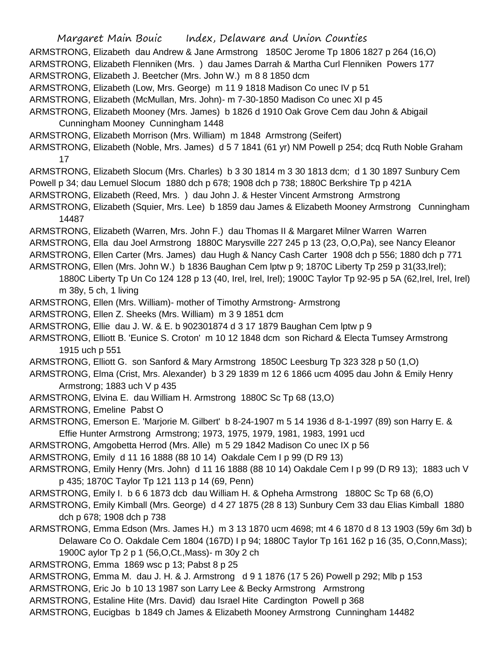Margaret Main Bouic Index, Delaware and Union Counties ARMSTRONG, Elizabeth dau Andrew & Jane Armstrong 1850C Jerome Tp 1806 1827 p 264 (16,O) ARMSTRONG, Elizabeth Flenniken (Mrs. ) dau James Darrah & Martha Curl Flenniken Powers 177 ARMSTRONG, Elizabeth J. Beetcher (Mrs. John W.) m 8 8 1850 dcm ARMSTRONG, Elizabeth (Low, Mrs. George) m 11 9 1818 Madison Co unec IV p 51 ARMSTRONG, Elizabeth (McMullan, Mrs. John)- m 7-30-1850 Madison Co unec XI p 45 ARMSTRONG, Elizabeth Mooney (Mrs. James) b 1826 d 1910 Oak Grove Cem dau John & Abigail Cunningham Mooney Cunningham 1448 ARMSTRONG, Elizabeth Morrison (Mrs. William) m 1848 Armstrong (Seifert) ARMSTRONG, Elizabeth (Noble, Mrs. James) d 5 7 1841 (61 yr) NM Powell p 254; dcq Ruth Noble Graham 17 ARMSTRONG, Elizabeth Slocum (Mrs. Charles) b 3 30 1814 m 3 30 1813 dcm; d 1 30 1897 Sunbury Cem Powell p 34; dau Lemuel Slocum 1880 dch p 678; 1908 dch p 738; 1880C Berkshire Tp p 421A ARMSTRONG, Elizabeth (Reed, Mrs. ) dau John J. & Hester Vincent Armstrong Armstrong ARMSTRONG, Elizabeth (Squier, Mrs. Lee) b 1859 dau James & Elizabeth Mooney Armstrong Cunningham 14487 ARMSTRONG, Elizabeth (Warren, Mrs. John F.) dau Thomas II & Margaret Milner Warren Warren ARMSTRONG, Ella dau Joel Armstrong 1880C Marysville 227 245 p 13 (23, O,O,Pa), see Nancy Eleanor ARMSTRONG, Ellen Carter (Mrs. James) dau Hugh & Nancy Cash Carter 1908 dch p 556; 1880 dch p 771 ARMSTRONG, Ellen (Mrs. John W.) b 1836 Baughan Cem lptw p 9; 1870C Liberty Tp 259 p 31(33,Irel); 1880C Liberty Tp Un Co 124 128 p 13 (40, Irel, Irel, Irel); 1900C Taylor Tp 92-95 p 5A (62,Irel, Irel, Irel) m 38y, 5 ch, 1 living ARMSTRONG, Ellen (Mrs. William)- mother of Timothy Armstrong- Armstrong ARMSTRONG, Ellen Z. Sheeks (Mrs. William) m 3 9 1851 dcm ARMSTRONG, Ellie dau J. W. & E. b 902301874 d 3 17 1879 Baughan Cem lptw p 9 ARMSTRONG, Elliott B. 'Eunice S. Croton' m 10 12 1848 dcm son Richard & Electa Tumsey Armstrong 1915 uch p 551 ARMSTRONG, Elliott G. son Sanford & Mary Armstrong 1850C Leesburg Tp 323 328 p 50 (1,O) ARMSTRONG, Elma (Crist, Mrs. Alexander) b 3 29 1839 m 12 6 1866 ucm 4095 dau John & Emily Henry Armstrong; 1883 uch V p 435 ARMSTRONG, Elvina E. dau William H. Armstrong 1880C Sc Tp 68 (13,O) ARMSTRONG, Emeline Pabst O ARMSTRONG, Emerson E. 'Marjorie M. Gilbert' b 8-24-1907 m 5 14 1936 d 8-1-1997 (89) son Harry E. & Effie Hunter Armstrong Armstrong; 1973, 1975, 1979, 1981, 1983, 1991 ucd ARMSTRONG, Amgobetta Herrod (Mrs. Alle) m 5 29 1842 Madison Co unec IX p 56 ARMSTRONG, Emily d 11 16 1888 (88 10 14) Oakdale Cem I p 99 (D R9 13) ARMSTRONG, Emily Henry (Mrs. John) d 11 16 1888 (88 10 14) Oakdale Cem I p 99 (D R9 13); 1883 uch V p 435; 1870C Taylor Tp 121 113 p 14 (69, Penn) ARMSTRONG, Emily I. b 6 6 1873 dcb dau William H. & Opheha Armstrong 1880C Sc Tp 68 (6,O) ARMSTRONG, Emily Kimball (Mrs. George) d 4 27 1875 (28 8 13) Sunbury Cem 33 dau Elias Kimball 1880 dch p 678; 1908 dch p 738 ARMSTRONG, Emma Edson (Mrs. James H.) m 3 13 1870 ucm 4698; mt 4 6 1870 d 8 13 1903 (59y 6m 3d) b Delaware Co O. Oakdale Cem 1804 (167D) I p 94; 1880C Taylor Tp 161 162 p 16 (35, O,Conn,Mass); 1900C aylor Tp 2 p 1 (56,O,Ct.,Mass)- m 30y 2 ch ARMSTRONG, Emma 1869 wsc p 13; Pabst 8 p 25 ARMSTRONG, Emma M. dau J. H. & J. Armstrong d 9 1 1876 (17 5 26) Powell p 292; Mlb p 153 ARMSTRONG, Eric Jo b 10 13 1987 son Larry Lee & Becky Armstrong Armstrong ARMSTRONG, Estaline Hite (Mrs. David) dau Israel Hite Cardington Powell p 368

ARMSTRONG, Eucigbas b 1849 ch James & Elizabeth Mooney Armstrong Cunningham 14482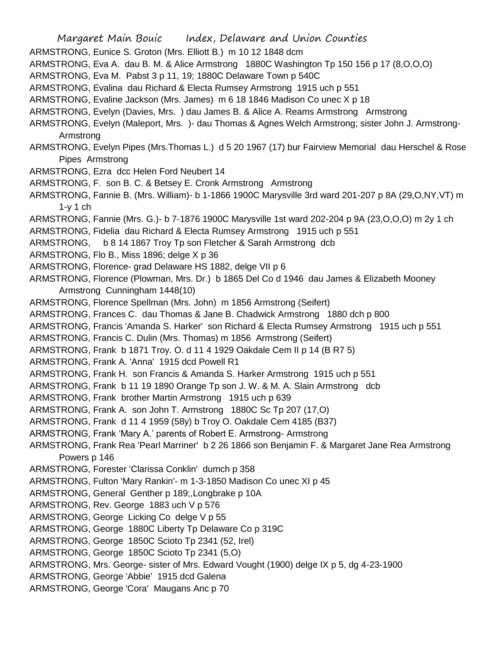- Margaret Main Bouic Index, Delaware and Union Counties
- ARMSTRONG, Eunice S. Groton (Mrs. Elliott B.) m 10 12 1848 dcm
- ARMSTRONG, Eva A. dau B. M. & Alice Armstrong 1880C Washington Tp 150 156 p 17 (8,O,O,O)
- ARMSTRONG, Eva M. Pabst 3 p 11, 19; 1880C Delaware Town p 540C
- ARMSTRONG, Evalina dau Richard & Electa Rumsey Armstrong 1915 uch p 551
- ARMSTRONG, Evaline Jackson (Mrs. James) m 6 18 1846 Madison Co unec X p 18
- ARMSTRONG, Evelyn (Davies, Mrs. ) dau James B. & Alice A. Reams Armstrong Armstrong
- ARMSTRONG, Evelyn (Maleport, Mrs. )- dau Thomas & Agnes Welch Armstrong; sister John J. Armstrong-Armstrong
- ARMSTRONG, Evelyn Pipes (Mrs.Thomas L.) d 5 20 1967 (17) bur Fairview Memorial dau Herschel & Rose Pipes Armstrong
- ARMSTRONG, Ezra dcc Helen Ford Neubert 14
- ARMSTRONG, F. son B. C. & Betsey E. Cronk Armstrong Armstrong
- ARMSTRONG, Fannie B. (Mrs. William)- b 1-1866 1900C Marysville 3rd ward 201-207 p 8A (29,O,NY,VT) m 1-y 1 ch
- ARMSTRONG, Fannie (Mrs. G.)- b 7-1876 1900C Marysville 1st ward 202-204 p 9A (23,O,O,O) m 2y 1 ch
- ARMSTRONG, Fidelia dau Richard & Electa Rumsey Armstrong 1915 uch p 551
- ARMSTRONG, b 8 14 1867 Troy Tp son Fletcher & Sarah Armstrong dcb
- ARMSTRONG, Flo B., Miss 1896; delge X p 36
- ARMSTRONG, Florence- grad Delaware HS 1882, delge VII p 6
- ARMSTRONG, Florence (Plowman, Mrs. Dr.) b 1865 Del Co d 1946 dau James & Elizabeth Mooney Armstrong Cunningham 1448(10)
- ARMSTRONG, Florence Spellman (Mrs. John) m 1856 Armstrong (Seifert)
- ARMSTRONG, Frances C. dau Thomas & Jane B. Chadwick Armstrong 1880 dch p 800
- ARMSTRONG, Francis 'Amanda S. Harker' son Richard & Electa Rumsey Armstrong 1915 uch p 551
- ARMSTRONG, Francis C. Dulin (Mrs. Thomas) m 1856 Armstrong (Seifert)
- ARMSTRONG, Frank b 1871 Troy. O. d 11 4 1929 Oakdale Cem II p 14 (B R7 5)
- ARMSTRONG, Frank A. 'Anna' 1915 dcd Powell R1
- ARMSTRONG, Frank H. son Francis & Amanda S. Harker Armstrong 1915 uch p 551
- ARMSTRONG, Frank b 11 19 1890 Orange Tp son J. W. & M. A. Slain Armstrong dcb
- ARMSTRONG, Frank brother Martin Armstrong 1915 uch p 639
- ARMSTRONG, Frank A. son John T. Armstrong 1880C Sc Tp 207 (17,O)
- ARMSTRONG, Frank d 11 4 1959 (58y) b Troy O. Oakdale Cem 4185 (B37)
- ARMSTRONG, Frank 'Mary A.' parents of Robert E. Armstrong- Armstrong
- ARMSTRONG, Frank Rea 'Pearl Marriner' b 2 26 1866 son Benjamin F. & Margaret Jane Rea Armstrong Powers p 146
- ARMSTRONG, Forester 'Clarissa Conklin' dumch p 358
- ARMSTRONG, Fulton 'Mary Rankin'- m 1-3-1850 Madison Co unec XI p 45
- ARMSTRONG, General Genther p 189;,Longbrake p 10A
- ARMSTRONG, Rev. George 1883 uch V p 576
- ARMSTRONG, George Licking Co delge V p 55
- ARMSTRONG, George 1880C Liberty Tp Delaware Co p 319C
- ARMSTRONG, George 1850C Scioto Tp 2341 (52, Irel)
- ARMSTRONG, George 1850C Scioto Tp 2341 (5,O)
- ARMSTRONG, Mrs. George- sister of Mrs. Edward Vought (1900) delge IX p 5, dg 4-23-1900
- ARMSTRONG, George 'Abbie' 1915 dcd Galena
- ARMSTRONG, George 'Cora' Maugans Anc p 70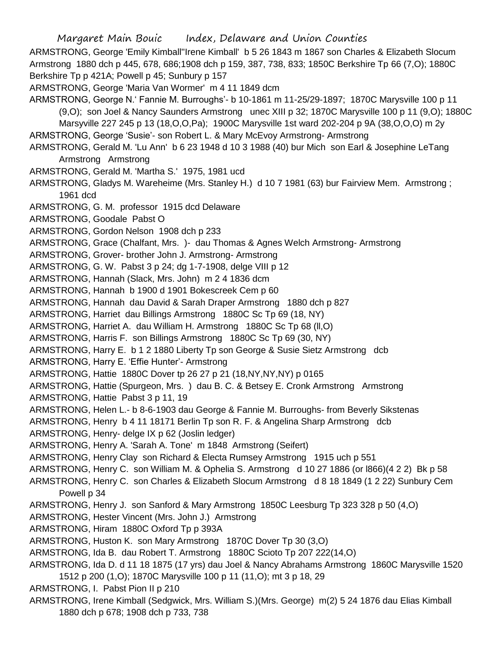Margaret Main Bouic Index, Delaware and Union Counties ARMSTRONG, George 'Emily Kimball''Irene Kimball' b 5 26 1843 m 1867 son Charles & Elizabeth Slocum Armstrong 1880 dch p 445, 678, 686;1908 dch p 159, 387, 738, 833; 1850C Berkshire Tp 66 (7,O); 1880C Berkshire Tp p 421A; Powell p 45; Sunbury p 157 ARMSTRONG, George 'Maria Van Wormer' m 4 11 1849 dcm ARMSTRONG, George N.' Fannie M. Burroughs'- b 10-1861 m 11-25/29-1897; 1870C Marysville 100 p 11 (9,O); son Joel & Nancy Saunders Armstrong unec XIII p 32; 1870C Marysville 100 p 11 (9,O); 1880C Marsyville 227 245 p 13 (18,O,O,Pa); 1900C Marysville 1st ward 202-204 p 9A (38,O,O,O) m 2y ARMSTRONG, George 'Susie'- son Robert L. & Mary McEvoy Armstrong- Armstrong ARMSTRONG, Gerald M. 'Lu Ann' b 6 23 1948 d 10 3 1988 (40) bur Mich son Earl & Josephine LeTang Armstrong Armstrong ARMSTRONG, Gerald M. 'Martha S.' 1975, 1981 ucd ARMSTRONG, Gladys M. Wareheime (Mrs. Stanley H.) d 10 7 1981 (63) bur Fairview Mem. Armstrong ; 1961 dcd ARMSTRONG, G. M. professor 1915 dcd Delaware ARMSTRONG, Goodale Pabst O ARMSTRONG, Gordon Nelson 1908 dch p 233 ARMSTRONG, Grace (Chalfant, Mrs. )- dau Thomas & Agnes Welch Armstrong- Armstrong ARMSTRONG, Grover- brother John J. Armstrong- Armstrong ARMSTRONG, G. W. Pabst 3 p 24; dg 1-7-1908, delge VIII p 12 ARMSTRONG, Hannah (Slack, Mrs. John) m 2 4 1836 dcm ARMSTRONG, Hannah b 1900 d 1901 Bokescreek Cem p 60 ARMSTRONG, Hannah dau David & Sarah Draper Armstrong 1880 dch p 827 ARMSTRONG, Harriet dau Billings Armstrong 1880C Sc Tp 69 (18, NY) ARMSTRONG, Harriet A. dau William H. Armstrong 1880C Sc Tp 68 (ll,O) ARMSTRONG, Harris F. son Billings Armstrong 1880C Sc Tp 69 (30, NY) ARMSTRONG, Harry E. b 1 2 1880 Liberty Tp son George & Susie Sietz Armstrong dcb ARMSTRONG, Harry E. 'Effie Hunter'- Armstrong ARMSTRONG, Hattie 1880C Dover tp 26 27 p 21 (18,NY,NY,NY) p 0165 ARMSTRONG, Hattie (Spurgeon, Mrs. ) dau B. C. & Betsey E. Cronk Armstrong Armstrong ARMSTRONG, Hattie Pabst 3 p 11, 19 ARMSTRONG, Helen L.- b 8-6-1903 dau George & Fannie M. Burroughs- from Beverly Sikstenas ARMSTRONG, Henry b 4 11 18171 Berlin Tp son R. F. & Angelina Sharp Armstrong dcb ARMSTRONG, Henry- delge IX p 62 (Joslin ledger) ARMSTRONG, Henry A. 'Sarah A. Tone' m 1848 Armstrong (Seifert) ARMSTRONG, Henry Clay son Richard & Electa Rumsey Armstrong 1915 uch p 551 ARMSTRONG, Henry C. son William M. & Ophelia S. Armstrong d 10 27 1886 (or l866)(4 2 2) Bk p 58 ARMSTRONG, Henry C. son Charles & Elizabeth Slocum Armstrong d 8 18 1849 (1 2 22) Sunbury Cem Powell p 34 ARMSTRONG, Henry J. son Sanford & Mary Armstrong 1850C Leesburg Tp 323 328 p 50 (4,O) ARMSTRONG, Hester Vincent (Mrs. John J.) Armstrong ARMSTRONG, Hiram 1880C Oxford Tp p 393A ARMSTRONG, Huston K. son Mary Armstrong 1870C Dover Tp 30 (3,O) ARMSTRONG, Ida B. dau Robert T. Armstrong 1880C Scioto Tp 207 222(14,O) ARMSTRONG, Ida D. d 11 18 1875 (17 yrs) dau Joel & Nancy Abrahams Armstrong 1860C Marysville 1520 1512 p 200 (1,O); 1870C Marysville 100 p 11 (11,O); mt 3 p 18, 29 ARMSTRONG, I. Pabst Pion II p 210 ARMSTRONG, Irene Kimball (Sedgwick, Mrs. William S.)(Mrs. George) m(2) 5 24 1876 dau Elias Kimball

1880 dch p 678; 1908 dch p 733, 738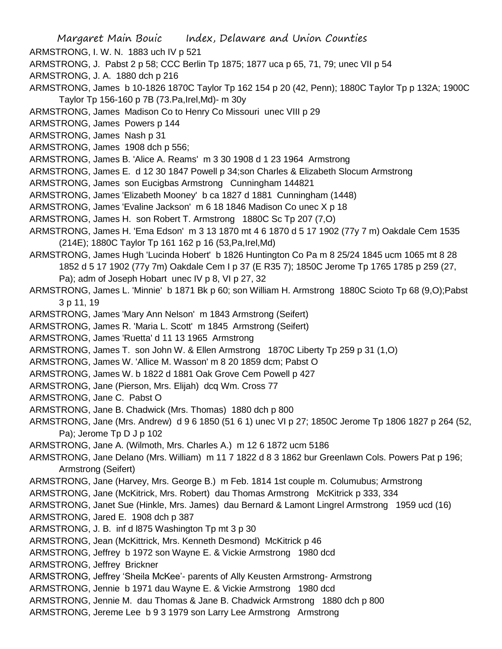ARMSTRONG, I. W. N. 1883 uch IV p 521

ARMSTRONG, J. Pabst 2 p 58; CCC Berlin Tp 1875; 1877 uca p 65, 71, 79; unec VII p 54

ARMSTRONG, J. A. 1880 dch p 216

ARMSTRONG, James b 10-1826 1870C Taylor Tp 162 154 p 20 (42, Penn); 1880C Taylor Tp p 132A; 1900C Taylor Tp 156-160 p 7B (73.Pa,Irel,Md)- m 30y

ARMSTRONG, James Madison Co to Henry Co Missouri unec VIII p 29

ARMSTRONG, James Powers p 144

ARMSTRONG, James Nash p 31

ARMSTRONG, James 1908 dch p 556;

ARMSTRONG, James B. 'Alice A. Reams' m 3 30 1908 d 1 23 1964 Armstrong

ARMSTRONG, James E. d 12 30 1847 Powell p 34;son Charles & Elizabeth Slocum Armstrong

ARMSTRONG, James son Eucigbas Armstrong Cunningham 144821

ARMSTRONG, James 'Elizabeth Mooney' b ca 1827 d 1881 Cunningham (1448)

ARMSTRONG, James 'Evaline Jackson' m 6 18 1846 Madison Co unec X p 18

ARMSTRONG, James H. son Robert T. Armstrong 1880C Sc Tp 207 (7,O)

ARMSTRONG, James H. 'Ema Edson' m 3 13 1870 mt 4 6 1870 d 5 17 1902 (77y 7 m) Oakdale Cem 1535 (214E); 1880C Taylor Tp 161 162 p 16 (53,Pa,Irel,Md)

ARMSTRONG, James Hugh 'Lucinda Hobert' b 1826 Huntington Co Pa m 8 25/24 1845 ucm 1065 mt 8 28 1852 d 5 17 1902 (77y 7m) Oakdale Cem I p 37 (E R35 7); 1850C Jerome Tp 1765 1785 p 259 (27, Pa); adm of Joseph Hobart unec IV p 8, VI p 27, 32

ARMSTRONG, James L. 'Minnie' b 1871 Bk p 60; son William H. Armstrong 1880C Scioto Tp 68 (9,O);Pabst 3 p 11, 19

ARMSTRONG, James 'Mary Ann Nelson' m 1843 Armstrong (Seifert)

ARMSTRONG, James R. 'Maria L. Scott' m 1845 Armstrong (Seifert)

ARMSTRONG, James 'Ruetta' d 11 13 1965 Armstrong

ARMSTRONG, James T. son John W. & Ellen Armstrong 1870C Liberty Tp 259 p 31 (1,O)

ARMSTRONG, James W. 'Allice M. Wasson' m 8 20 1859 dcm; Pabst O

ARMSTRONG, James W. b 1822 d 1881 Oak Grove Cem Powell p 427

ARMSTRONG, Jane (Pierson, Mrs. Elijah) dcq Wm. Cross 77

ARMSTRONG, Jane C. Pabst O

ARMSTRONG, Jane B. Chadwick (Mrs. Thomas) 1880 dch p 800

ARMSTRONG, Jane (Mrs. Andrew) d 9 6 1850 (51 6 1) unec VI p 27; 1850C Jerome Tp 1806 1827 p 264 (52, Pa); Jerome Tp D J p 102

ARMSTRONG, Jane A. (Wilmoth, Mrs. Charles A.) m 12 6 1872 ucm 5186

ARMSTRONG, Jane Delano (Mrs. William) m 11 7 1822 d 8 3 1862 bur Greenlawn Cols. Powers Pat p 196; Armstrong (Seifert)

ARMSTRONG, Jane (Harvey, Mrs. George B.) m Feb. 1814 1st couple m. Columubus; Armstrong

ARMSTRONG, Jane (McKitrick, Mrs. Robert) dau Thomas Armstrong McKitrick p 333, 334

ARMSTRONG, Janet Sue (Hinkle, Mrs. James) dau Bernard & Lamont Lingrel Armstrong 1959 ucd (16)

ARMSTRONG, Jared E. 1908 dch p 387

ARMSTRONG, J. B. inf d l875 Washington Tp mt 3 p 30

ARMSTRONG, Jean (McKittrick, Mrs. Kenneth Desmond) McKitrick p 46

ARMSTRONG, Jeffrey b 1972 son Wayne E. & Vickie Armstrong 1980 dcd

ARMSTRONG, Jeffrey Brickner

ARMSTRONG, Jeffrey 'Sheila McKee'- parents of Ally Keusten Armstrong- Armstrong

ARMSTRONG, Jennie b 1971 dau Wayne E. & Vickie Armstrong 1980 dcd

ARMSTRONG, Jennie M. dau Thomas & Jane B. Chadwick Armstrong 1880 dch p 800

ARMSTRONG, Jereme Lee b 9 3 1979 son Larry Lee Armstrong Armstrong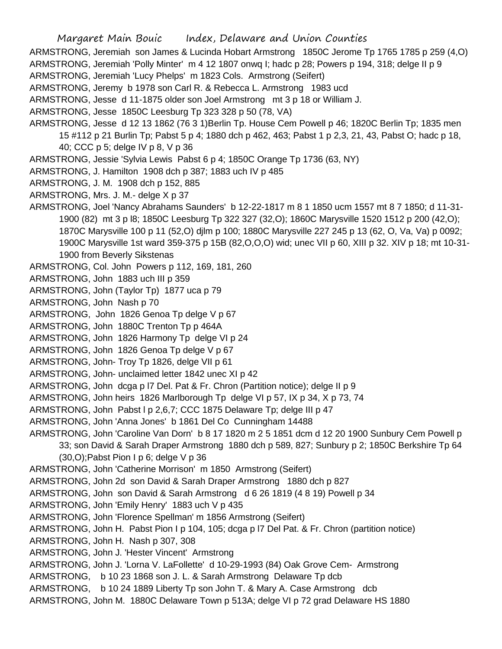ARMSTRONG, Jeremiah son James & Lucinda Hobart Armstrong 1850C Jerome Tp 1765 1785 p 259 (4,O) ARMSTRONG, Jeremiah 'Polly Minter' m 4 12 1807 onwq I; hadc p 28; Powers p 194, 318; delge II p 9 ARMSTRONG, Jeremiah 'Lucy Phelps' m 1823 Cols. Armstrong (Seifert)

ARMSTRONG, Jeremy b 1978 son Carl R. & Rebecca L. Armstrong 1983 ucd

ARMSTRONG, Jesse d 11-1875 older son Joel Armstrong mt 3 p 18 or William J.

ARMSTRONG, Jesse 1850C Leesburg Tp 323 328 p 50 (78, VA)

ARMSTRONG, Jesse d 12 13 1862 (76 3 1)Berlin Tp. House Cem Powell p 46; 1820C Berlin Tp; 1835 men 15 #112 p 21 Burlin Tp; Pabst 5 p 4; 1880 dch p 462, 463; Pabst 1 p 2,3, 21, 43, Pabst O; hadc p 18, 40; CCC p 5; delge IV p 8, V p 36

ARMSTRONG, Jessie 'Sylvia Lewis Pabst 6 p 4; 1850C Orange Tp 1736 (63, NY)

- ARMSTRONG, J. Hamilton 1908 dch p 387; 1883 uch IV p 485
- ARMSTRONG, J. M. 1908 dch p 152, 885

ARMSTRONG, Mrs. J. M.- delge X p 37

ARMSTRONG, Joel 'Nancy Abrahams Saunders' b 12-22-1817 m 8 1 1850 ucm 1557 mt 8 7 1850; d 11-31- 1900 (82) mt 3 p l8; 1850C Leesburg Tp 322 327 (32,O); 1860C Marysville 1520 1512 p 200 (42,O); 1870C Marysville 100 p 11 (52,O) djlm p 100; 1880C Marysville 227 245 p 13 (62, O, Va, Va) p 0092; 1900C Marysville 1st ward 359-375 p 15B (82,O,O,O) wid; unec VII p 60, XIII p 32. XIV p 18; mt 10-31- 1900 from Beverly Sikstenas

ARMSTRONG, Col. John Powers p 112, 169, 181, 260

ARMSTRONG, John 1883 uch III p 359

ARMSTRONG, John (Taylor Tp) 1877 uca p 79

ARMSTRONG, John Nash p 70

ARMSTRONG, John 1826 Genoa Tp delge V p 67

ARMSTRONG, John 1880C Trenton Tp p 464A

- ARMSTRONG, John 1826 Harmony Tp delge VI p 24
- ARMSTRONG, John 1826 Genoa Tp delge V p 67
- ARMSTRONG, John- Troy Tp 1826, delge VII p 61
- ARMSTRONG, John- unclaimed letter 1842 unec XI p 42
- ARMSTRONG, John dcga p l7 Del. Pat & Fr. Chron (Partition notice); delge II p 9
- ARMSTRONG, John heirs 1826 Marlborough Tp delge VI p 57, IX p 34, X p 73, 74
- ARMSTRONG, John Pabst l p 2,6,7; CCC 1875 Delaware Tp; delge III p 47

ARMSTRONG, John 'Anna Jones' b 1861 Del Co Cunningham 14488

- ARMSTRONG, John 'Caroline Van Dorn' b 8 17 1820 m 2 5 1851 dcm d 12 20 1900 Sunbury Cem Powell p 33; son David & Sarah Draper Armstrong 1880 dch p 589, 827; Sunbury p 2; 1850C Berkshire Tp 64  $(30, 0)$ ; Pabst Pion I p 6; delge V p 36
- ARMSTRONG, John 'Catherine Morrison' m 1850 Armstrong (Seifert)
- ARMSTRONG, John 2d son David & Sarah Draper Armstrong 1880 dch p 827
- ARMSTRONG, John son David & Sarah Armstrong d 6 26 1819 (4 8 19) Powell p 34
- ARMSTRONG, John 'Emily Henry' 1883 uch V p 435
- ARMSTRONG, John 'Florence Spellman' m 1856 Armstrong (Seifert)

ARMSTRONG, John H. Pabst Pion I p 104, 105; dcga p l7 Del Pat. & Fr. Chron (partition notice)

- ARMSTRONG, John H. Nash p 307, 308
- ARMSTRONG, John J. 'Hester Vincent' Armstrong
- ARMSTRONG, John J. 'Lorna V. LaFollette' d 10-29-1993 (84) Oak Grove Cem- Armstrong
- ARMSTRONG, b 10 23 1868 son J. L. & Sarah Armstrong Delaware Tp dcb
- ARMSTRONG, b 10 24 1889 Liberty Tp son John T. & Mary A. Case Armstrong dcb
- ARMSTRONG, John M. 1880C Delaware Town p 513A; delge VI p 72 grad Delaware HS 1880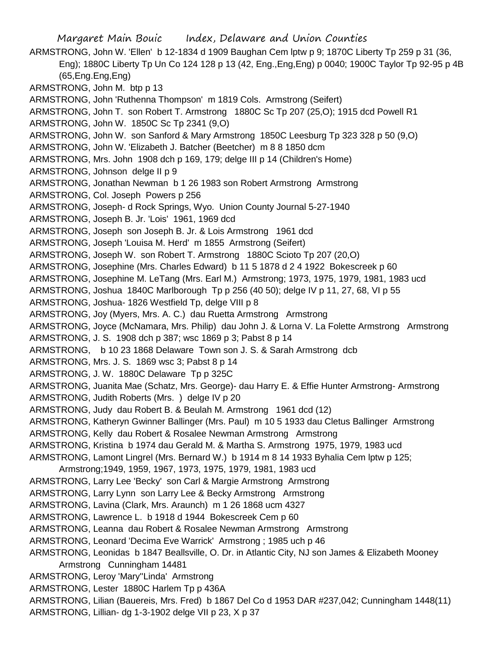Margaret Main Bouic Index, Delaware and Union Counties ARMSTRONG, John W. 'Ellen' b 12-1834 d 1909 Baughan Cem lptw p 9; 1870C Liberty Tp 259 p 31 (36, Eng); 1880C Liberty Tp Un Co 124 128 p 13 (42, Eng.,Eng,Eng) p 0040; 1900C Taylor Tp 92-95 p 4B (65,Eng.Eng,Eng) ARMSTRONG, John M. btp p 13 ARMSTRONG, John 'Ruthenna Thompson' m 1819 Cols. Armstrong (Seifert) ARMSTRONG, John T. son Robert T. Armstrong 1880C Sc Tp 207 (25,O); 1915 dcd Powell R1 ARMSTRONG, John W. 1850C Sc Tp 2341 (9,O) ARMSTRONG, John W. son Sanford & Mary Armstrong 1850C Leesburg Tp 323 328 p 50 (9,O) ARMSTRONG, John W. 'Elizabeth J. Batcher (Beetcher) m 8 8 1850 dcm ARMSTRONG, Mrs. John 1908 dch p 169, 179; delge III p 14 (Children's Home) ARMSTRONG, Johnson delge II p 9 ARMSTRONG, Jonathan Newman b 1 26 1983 son Robert Armstrong Armstrong ARMSTRONG, Col. Joseph Powers p 256 ARMSTRONG, Joseph- d Rock Springs, Wyo. Union County Journal 5-27-1940 ARMSTRONG, Joseph B. Jr. 'Lois' 1961, 1969 dcd ARMSTRONG, Joseph son Joseph B. Jr. & Lois Armstrong 1961 dcd ARMSTRONG, Joseph 'Louisa M. Herd' m 1855 Armstrong (Seifert) ARMSTRONG, Joseph W. son Robert T. Armstrong 1880C Scioto Tp 207 (20,O) ARMSTRONG, Josephine (Mrs. Charles Edward) b 11 5 1878 d 2 4 1922 Bokescreek p 60 ARMSTRONG, Josephine M. LeTang (Mrs. Earl M.) Armstrong; 1973, 1975, 1979, 1981, 1983 ucd ARMSTRONG, Joshua 1840C Marlborough Tp p 256 (40 50); delge IV p 11, 27, 68, VI p 55 ARMSTRONG, Joshua- 1826 Westfield Tp, delge VIII p 8 ARMSTRONG, Joy (Myers, Mrs. A. C.) dau Ruetta Armstrong Armstrong ARMSTRONG, Joyce (McNamara, Mrs. Philip) dau John J. & Lorna V. La Folette Armstrong Armstrong ARMSTRONG, J. S. 1908 dch p 387; wsc 1869 p 3; Pabst 8 p 14 ARMSTRONG, b 10 23 1868 Delaware Town son J. S. & Sarah Armstrong dcb ARMSTRONG, Mrs. J. S. 1869 wsc 3; Pabst 8 p 14 ARMSTRONG, J. W. 1880C Delaware Tp p 325C ARMSTRONG, Juanita Mae (Schatz, Mrs. George)- dau Harry E. & Effie Hunter Armstrong- Armstrong ARMSTRONG, Judith Roberts (Mrs. ) delge IV p 20 ARMSTRONG, Judy dau Robert B. & Beulah M. Armstrong 1961 dcd (12) ARMSTRONG, Katheryn Gwinner Ballinger (Mrs. Paul) m 10 5 1933 dau Cletus Ballinger Armstrong ARMSTRONG, Kelly dau Robert & Rosalee Newman Armstrong Armstrong ARMSTRONG, Kristina b 1974 dau Gerald M. & Martha S. Armstrong 1975, 1979, 1983 ucd ARMSTRONG, Lamont Lingrel (Mrs. Bernard W.) b 1914 m 8 14 1933 Byhalia Cem lptw p 125; Armstrong;1949, 1959, 1967, 1973, 1975, 1979, 1981, 1983 ucd ARMSTRONG, Larry Lee 'Becky' son Carl & Margie Armstrong Armstrong ARMSTRONG, Larry Lynn son Larry Lee & Becky Armstrong Armstrong ARMSTRONG, Lavina (Clark, Mrs. Araunch) m 1 26 1868 ucm 4327 ARMSTRONG, Lawrence L. b 1918 d 1944 Bokescreek Cem p 60 ARMSTRONG, Leanna dau Robert & Rosalee Newman Armstrong Armstrong ARMSTRONG, Leonard 'Decima Eve Warrick' Armstrong ; 1985 uch p 46 ARMSTRONG, Leonidas b 1847 Beallsville, O. Dr. in Atlantic City, NJ son James & Elizabeth Mooney Armstrong Cunningham 14481 ARMSTRONG, Leroy 'Mary''Linda' Armstrong ARMSTRONG, Lester 1880C Harlem Tp p 436A ARMSTRONG, Lilian (Bauereis, Mrs. Fred) b 1867 Del Co d 1953 DAR #237,042; Cunningham 1448(11)

ARMSTRONG, Lillian- dg 1-3-1902 delge VII p 23, X p 37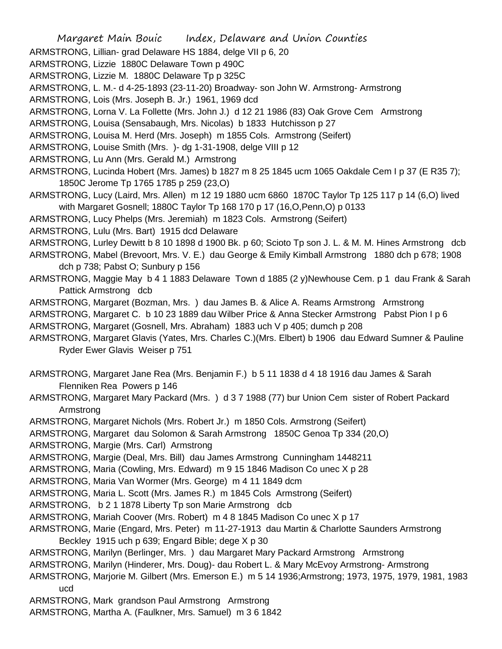- ARMSTRONG, Lillian- grad Delaware HS 1884, delge VII p 6, 20
- ARMSTRONG, Lizzie 1880C Delaware Town p 490C
- ARMSTRONG, Lizzie M. 1880C Delaware Tp p 325C
- ARMSTRONG, L. M.- d 4-25-1893 (23-11-20) Broadway- son John W. Armstrong- Armstrong
- ARMSTRONG, Lois (Mrs. Joseph B. Jr.) 1961, 1969 dcd
- ARMSTRONG, Lorna V. La Follette (Mrs. John J.) d 12 21 1986 (83) Oak Grove Cem Armstrong
- ARMSTRONG, Louisa (Sensabaugh, Mrs. Nicolas) b 1833 Hutchisson p 27
- ARMSTRONG, Louisa M. Herd (Mrs. Joseph) m 1855 Cols. Armstrong (Seifert)
- ARMSTRONG, Louise Smith (Mrs. )- dg 1-31-1908, delge VIII p 12
- ARMSTRONG, Lu Ann (Mrs. Gerald M.) Armstrong
- ARMSTRONG, Lucinda Hobert (Mrs. James) b 1827 m 8 25 1845 ucm 1065 Oakdale Cem I p 37 (E R35 7); 1850C Jerome Tp 1765 1785 p 259 (23,O)
- ARMSTRONG, Lucy (Laird, Mrs. Allen) m 12 19 1880 ucm 6860 1870C Taylor Tp 125 117 p 14 (6,O) lived with Margaret Gosnell; 1880C Taylor Tp 168 170 p 17 (16,O,Penn,O) p 0133
- ARMSTRONG, Lucy Phelps (Mrs. Jeremiah) m 1823 Cols. Armstrong (Seifert)
- ARMSTRONG, Lulu (Mrs. Bart) 1915 dcd Delaware
- ARMSTRONG, Lurley Dewitt b 8 10 1898 d 1900 Bk. p 60; Scioto Tp son J. L. & M. M. Hines Armstrong dcb
- ARMSTRONG, Mabel (Brevoort, Mrs. V. E.) dau George & Emily Kimball Armstrong 1880 dch p 678; 1908 dch p 738; Pabst O; Sunbury p 156
- ARMSTRONG, Maggie May b 4 1 1883 Delaware Town d 1885 (2 y)Newhouse Cem. p 1 dau Frank & Sarah Pattick Armstrong dcb
- ARMSTRONG, Margaret (Bozman, Mrs. ) dau James B. & Alice A. Reams Armstrong Armstrong
- ARMSTRONG, Margaret C. b 10 23 1889 dau Wilber Price & Anna Stecker Armstrong Pabst Pion I p 6
- ARMSTRONG, Margaret (Gosnell, Mrs. Abraham) 1883 uch V p 405; dumch p 208
- ARMSTRONG, Margaret Glavis (Yates, Mrs. Charles C.)(Mrs. Elbert) b 1906 dau Edward Sumner & Pauline Ryder Ewer Glavis Weiser p 751
- ARMSTRONG, Margaret Jane Rea (Mrs. Benjamin F.) b 5 11 1838 d 4 18 1916 dau James & Sarah Flenniken Rea Powers p 146
- ARMSTRONG, Margaret Mary Packard (Mrs. ) d 3 7 1988 (77) bur Union Cem sister of Robert Packard Armstrong
- ARMSTRONG, Margaret Nichols (Mrs. Robert Jr.) m 1850 Cols. Armstrong (Seifert)
- ARMSTRONG, Margaret dau Solomon & Sarah Armstrong 1850C Genoa Tp 334 (20,O)
- ARMSTRONG, Margie (Mrs. Carl) Armstrong
- ARMSTRONG, Margie (Deal, Mrs. Bill) dau James Armstrong Cunningham 1448211
- ARMSTRONG, Maria (Cowling, Mrs. Edward) m 9 15 1846 Madison Co unec X p 28
- ARMSTRONG, Maria Van Wormer (Mrs. George) m 4 11 1849 dcm
- ARMSTRONG, Maria L. Scott (Mrs. James R.) m 1845 Cols Armstrong (Seifert)
- ARMSTRONG, b 2 1 1878 Liberty Tp son Marie Armstrong dcb
- ARMSTRONG, Mariah Coover (Mrs. Robert) m 4 8 1845 Madison Co unec X p 17
- ARMSTRONG, Marie (Engard, Mrs. Peter) m 11-27-1913 dau Martin & Charlotte Saunders Armstrong Beckley 1915 uch p 639; Engard Bible; dege X p 30
- ARMSTRONG, Marilyn (Berlinger, Mrs. ) dau Margaret Mary Packard Armstrong Armstrong
- ARMSTRONG, Marilyn (Hinderer, Mrs. Doug)- dau Robert L. & Mary McEvoy Armstrong- Armstrong
- ARMSTRONG, Marjorie M. Gilbert (Mrs. Emerson E.) m 5 14 1936;Armstrong; 1973, 1975, 1979, 1981, 1983 ucd
- ARMSTRONG, Mark grandson Paul Armstrong Armstrong
- ARMSTRONG, Martha A. (Faulkner, Mrs. Samuel) m 3 6 1842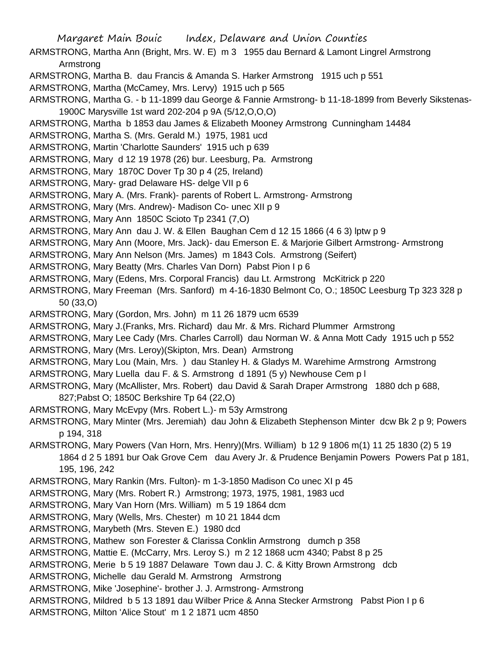- ARMSTRONG, Martha Ann (Bright, Mrs. W. E) m 3 1955 dau Bernard & Lamont Lingrel Armstrong Armstrong
- ARMSTRONG, Martha B. dau Francis & Amanda S. Harker Armstrong 1915 uch p 551
- ARMSTRONG, Martha (McCamey, Mrs. Lervy) 1915 uch p 565
- ARMSTRONG, Martha G. b 11-1899 dau George & Fannie Armstrong- b 11-18-1899 from Beverly Sikstenas-1900C Marysville 1st ward 202-204 p 9A (5/12,O,O,O)
- ARMSTRONG, Martha b 1853 dau James & Elizabeth Mooney Armstrong Cunningham 14484
- ARMSTRONG, Martha S. (Mrs. Gerald M.) 1975, 1981 ucd
- ARMSTRONG, Martin 'Charlotte Saunders' 1915 uch p 639
- ARMSTRONG, Mary d 12 19 1978 (26) bur. Leesburg, Pa. Armstrong
- ARMSTRONG, Mary 1870C Dover Tp 30 p 4 (25, Ireland)
- ARMSTRONG, Mary- grad Delaware HS- delge VII p 6
- ARMSTRONG, Mary A. (Mrs. Frank)- parents of Robert L. Armstrong- Armstrong
- ARMSTRONG, Mary (Mrs. Andrew)- Madison Co- unec XII p 9
- ARMSTRONG, Mary Ann 1850C Scioto Tp 2341 (7,O)
- ARMSTRONG, Mary Ann dau J. W. & Ellen Baughan Cem d 12 15 1866 (4 6 3) lptw p 9
- ARMSTRONG, Mary Ann (Moore, Mrs. Jack)- dau Emerson E. & Marjorie Gilbert Armstrong- Armstrong
- ARMSTRONG, Mary Ann Nelson (Mrs. James) m 1843 Cols. Armstrong (Seifert)
- ARMSTRONG, Mary Beatty (Mrs. Charles Van Dorn) Pabst Pion I p 6
- ARMSTRONG, Mary (Edens, Mrs. Corporal Francis) dau Lt. Armstrong McKitrick p 220
- ARMSTRONG, Mary Freeman (Mrs. Sanford) m 4-16-1830 Belmont Co, O.; 1850C Leesburg Tp 323 328 p 50 (33,O)
- ARMSTRONG, Mary (Gordon, Mrs. John) m 11 26 1879 ucm 6539
- ARMSTRONG, Mary J.(Franks, Mrs. Richard) dau Mr. & Mrs. Richard Plummer Armstrong
- ARMSTRONG, Mary Lee Cady (Mrs. Charles Carroll) dau Norman W. & Anna Mott Cady 1915 uch p 552
- ARMSTRONG, Mary (Mrs. Leroy)(Skipton, Mrs. Dean) Armstrong
- ARMSTRONG, Mary Lou (Main, Mrs. ) dau Stanley H. & Gladys M. Warehime Armstrong Armstrong
- ARMSTRONG, Mary Luella dau F. & S. Armstrong d 1891 (5 y) Newhouse Cem p l
- ARMSTRONG, Mary (McAllister, Mrs. Robert) dau David & Sarah Draper Armstrong 1880 dch p 688, 827;Pabst O; 1850C Berkshire Tp 64 (22,O)
- ARMSTRONG, Mary McEvpy (Mrs. Robert L.)- m 53y Armstrong
- ARMSTRONG, Mary Minter (Mrs. Jeremiah) dau John & Elizabeth Stephenson Minter dcw Bk 2 p 9; Powers p 194, 318
- ARMSTRONG, Mary Powers (Van Horn, Mrs. Henry)(Mrs. William) b 12 9 1806 m(1) 11 25 1830 (2) 5 19 1864 d 2 5 1891 bur Oak Grove Cem dau Avery Jr. & Prudence Benjamin Powers Powers Pat p 181, 195, 196, 242
- ARMSTRONG, Mary Rankin (Mrs. Fulton)- m 1-3-1850 Madison Co unec XI p 45
- ARMSTRONG, Mary (Mrs. Robert R.) Armstrong; 1973, 1975, 1981, 1983 ucd
- ARMSTRONG, Mary Van Horn (Mrs. William) m 5 19 1864 dcm
- ARMSTRONG, Mary (Wells, Mrs. Chester) m 10 21 1844 dcm
- ARMSTRONG, Marybeth (Mrs. Steven E.) 1980 dcd
- ARMSTRONG, Mathew son Forester & Clarissa Conklin Armstrong dumch p 358
- ARMSTRONG, Mattie E. (McCarry, Mrs. Leroy S.) m 2 12 1868 ucm 4340; Pabst 8 p 25
- ARMSTRONG, Merie b 5 19 1887 Delaware Town dau J. C. & Kitty Brown Armstrong dcb
- ARMSTRONG, Michelle dau Gerald M. Armstrong Armstrong
- ARMSTRONG, Mike 'Josephine'- brother J. J. Armstrong- Armstrong
- ARMSTRONG, Mildred b 5 13 1891 dau Wilber Price & Anna Stecker Armstrong Pabst Pion I p 6
- ARMSTRONG, Milton 'Alice Stout' m 1 2 1871 ucm 4850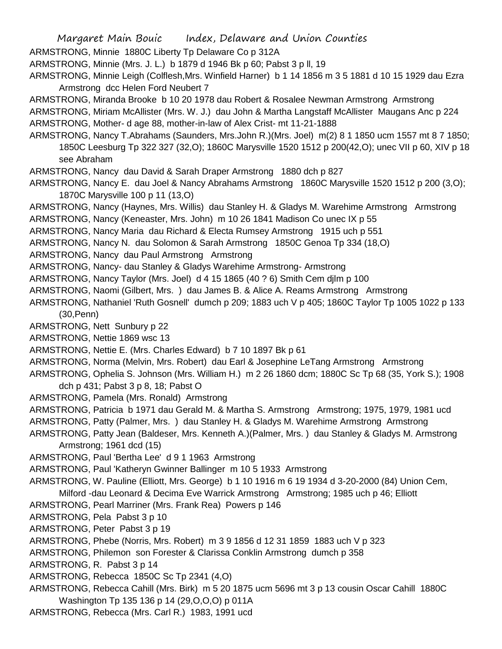ARMSTRONG, Minnie 1880C Liberty Tp Delaware Co p 312A

- ARMSTRONG, Minnie (Mrs. J. L.) b 1879 d 1946 Bk p 60; Pabst 3 p ll, 19
- ARMSTRONG, Minnie Leigh (Colflesh,Mrs. Winfield Harner) b 1 14 1856 m 3 5 1881 d 10 15 1929 dau Ezra Armstrong dcc Helen Ford Neubert 7
- ARMSTRONG, Miranda Brooke b 10 20 1978 dau Robert & Rosalee Newman Armstrong Armstrong
- ARMSTRONG, Miriam McAllister (Mrs. W. J.) dau John & Martha Langstaff McAllister Maugans Anc p 224
- ARMSTRONG, Mother- d age 88, mother-in-law of Alex Crist- mt 11-21-1888
- ARMSTRONG, Nancy T.Abrahams (Saunders, Mrs.John R.)(Mrs. Joel) m(2) 8 1 1850 ucm 1557 mt 8 7 1850; 1850C Leesburg Tp 322 327 (32,O); 1860C Marysville 1520 1512 p 200(42,O); unec VII p 60, XIV p 18 see Abraham
- ARMSTRONG, Nancy dau David & Sarah Draper Armstrong 1880 dch p 827
- ARMSTRONG, Nancy E. dau Joel & Nancy Abrahams Armstrong 1860C Marysville 1520 1512 p 200 (3,O); 1870C Marysville 100 p 11 (13,O)
- ARMSTRONG, Nancy (Haynes, Mrs. Willis) dau Stanley H. & Gladys M. Warehime Armstrong Armstrong
- ARMSTRONG, Nancy (Keneaster, Mrs. John) m 10 26 1841 Madison Co unec IX p 55
- ARMSTRONG, Nancy Maria dau Richard & Electa Rumsey Armstrong 1915 uch p 551
- ARMSTRONG, Nancy N. dau Solomon & Sarah Armstrong 1850C Genoa Tp 334 (18,O)
- ARMSTRONG, Nancy dau Paul Armstrong Armstrong
- ARMSTRONG, Nancy- dau Stanley & Gladys Warehime Armstrong- Armstrong
- ARMSTRONG, Nancy Taylor (Mrs. Joel) d 4 15 1865 (40 ? 6) Smith Cem djlm p 100
- ARMSTRONG, Naomi (Gilbert, Mrs. ) dau James B. & Alice A. Reams Armstrong Armstrong
- ARMSTRONG, Nathaniel 'Ruth Gosnell' dumch p 209; 1883 uch V p 405; 1860C Taylor Tp 1005 1022 p 133 (30,Penn)
- ARMSTRONG, Nett Sunbury p 22
- ARMSTRONG, Nettie 1869 wsc 13
- ARMSTRONG, Nettie E. (Mrs. Charles Edward) b 7 10 1897 Bk p 61
- ARMSTRONG, Norma (Melvin, Mrs. Robert) dau Earl & Josephine LeTang Armstrong Armstrong
- ARMSTRONG, Ophelia S. Johnson (Mrs. William H.) m 2 26 1860 dcm; 1880C Sc Tp 68 (35, York S.); 1908 dch p 431; Pabst 3 p 8, 18; Pabst O
- ARMSTRONG, Pamela (Mrs. Ronald) Armstrong
- ARMSTRONG, Patricia b 1971 dau Gerald M. & Martha S. Armstrong Armstrong; 1975, 1979, 1981 ucd
- ARMSTRONG, Patty (Palmer, Mrs. ) dau Stanley H. & Gladys M. Warehime Armstrong Armstrong
- ARMSTRONG, Patty Jean (Baldeser, Mrs. Kenneth A.)(Palmer, Mrs. ) dau Stanley & Gladys M. Armstrong Armstrong; 1961 dcd (15)
- ARMSTRONG, Paul 'Bertha Lee' d 9 1 1963 Armstrong
- ARMSTRONG, Paul 'Katheryn Gwinner Ballinger m 10 5 1933 Armstrong
- ARMSTRONG, W. Pauline (Elliott, Mrs. George) b 1 10 1916 m 6 19 1934 d 3-20-2000 (84) Union Cem, Milford -dau Leonard & Decima Eve Warrick Armstrong Armstrong; 1985 uch p 46; Elliott
- ARMSTRONG, Pearl Marriner (Mrs. Frank Rea) Powers p 146
- ARMSTRONG, Pela Pabst 3 p 10
- ARMSTRONG, Peter Pabst 3 p 19
- ARMSTRONG, Phebe (Norris, Mrs. Robert) m 3 9 1856 d 12 31 1859 1883 uch V p 323
- ARMSTRONG, Philemon son Forester & Clarissa Conklin Armstrong dumch p 358
- ARMSTRONG, R. Pabst 3 p 14
- ARMSTRONG, Rebecca 1850C Sc Tp 2341 (4,O)
- ARMSTRONG, Rebecca Cahill (Mrs. Birk) m 5 20 1875 ucm 5696 mt 3 p 13 cousin Oscar Cahill 1880C Washington Tp 135 136 p 14 (29,O,O,O) p 011A
- ARMSTRONG, Rebecca (Mrs. Carl R.) 1983, 1991 ucd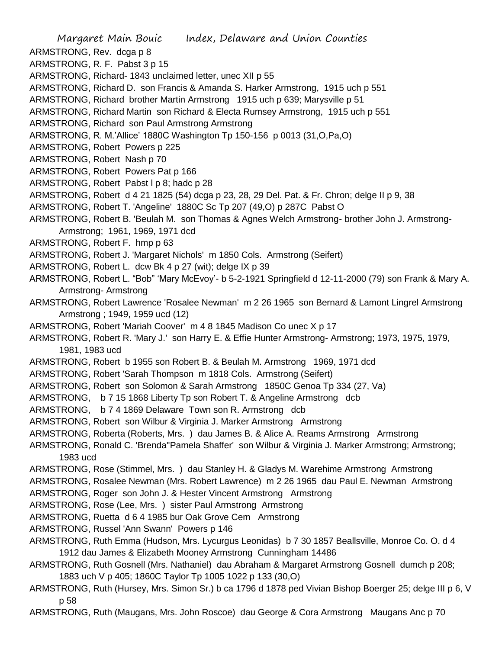Margaret Main Bouic Index, Delaware and Union Counties ARMSTRONG, Rev. dcga p 8 ARMSTRONG, R. F. Pabst 3 p 15 ARMSTRONG, Richard- 1843 unclaimed letter, unec XII p 55 ARMSTRONG, Richard D. son Francis & Amanda S. Harker Armstrong, 1915 uch p 551 ARMSTRONG, Richard brother Martin Armstrong 1915 uch p 639; Marysville p 51 ARMSTRONG, Richard Martin son Richard & Electa Rumsey Armstrong, 1915 uch p 551 ARMSTRONG, Richard son Paul Armstrong Armstrong ARMSTRONG, R. M.'Allice' 1880C Washington Tp 150-156 p 0013 (31,O,Pa,O) ARMSTRONG, Robert Powers p 225 ARMSTRONG, Robert Nash p 70 ARMSTRONG, Robert Powers Pat p 166 ARMSTRONG, Robert Pabst l p 8; hadc p 28 ARMSTRONG, Robert d 4 21 1825 (54) dcga p 23, 28, 29 Del. Pat. & Fr. Chron; delge II p 9, 38 ARMSTRONG, Robert T. 'Angeline' 1880C Sc Tp 207 (49,O) p 287C Pabst O ARMSTRONG, Robert B. 'Beulah M. son Thomas & Agnes Welch Armstrong- brother John J. Armstrong-Armstrong; 1961, 1969, 1971 dcd ARMSTRONG, Robert F. hmp p 63 ARMSTRONG, Robert J. 'Margaret Nichols' m 1850 Cols. Armstrong (Seifert) ARMSTRONG, Robert L. dcw Bk 4 p 27 (wit); delge IX p 39 ARMSTRONG, Robert L. "Bob" 'Mary McEvoy'- b 5-2-1921 Springfield d 12-11-2000 (79) son Frank & Mary A. Armstrong- Armstrong ARMSTRONG, Robert Lawrence 'Rosalee Newman' m 2 26 1965 son Bernard & Lamont Lingrel Armstrong Armstrong ; 1949, 1959 ucd (12) ARMSTRONG, Robert 'Mariah Coover' m 4 8 1845 Madison Co unec X p 17 ARMSTRONG, Robert R. 'Mary J.' son Harry E. & Effie Hunter Armstrong- Armstrong; 1973, 1975, 1979, 1981, 1983 ucd ARMSTRONG, Robert b 1955 son Robert B. & Beulah M. Armstrong 1969, 1971 dcd ARMSTRONG, Robert 'Sarah Thompson m 1818 Cols. Armstrong (Seifert) ARMSTRONG, Robert son Solomon & Sarah Armstrong 1850C Genoa Tp 334 (27, Va) ARMSTRONG, b 7 15 1868 Liberty Tp son Robert T. & Angeline Armstrong dcb ARMSTRONG, b 7 4 1869 Delaware Town son R. Armstrong dcb ARMSTRONG, Robert son Wilbur & Virginia J. Marker Armstrong Armstrong ARMSTRONG, Roberta (Roberts, Mrs. ) dau James B. & Alice A. Reams Armstrong Armstrong ARMSTRONG, Ronald C. 'Brenda''Pamela Shaffer' son Wilbur & Virginia J. Marker Armstrong; Armstrong; 1983 ucd ARMSTRONG, Rose (Stimmel, Mrs. ) dau Stanley H. & Gladys M. Warehime Armstrong Armstrong ARMSTRONG, Rosalee Newman (Mrs. Robert Lawrence) m 2 26 1965 dau Paul E. Newman Armstrong ARMSTRONG, Roger son John J. & Hester Vincent Armstrong Armstrong ARMSTRONG, Rose (Lee, Mrs. ) sister Paul Armstrong Armstrong ARMSTRONG, Ruetta d 6 4 1985 bur Oak Grove Cem Armstrong ARMSTRONG, Russel 'Ann Swann' Powers p 146 ARMSTRONG, Ruth Emma (Hudson, Mrs. Lycurgus Leonidas) b 7 30 1857 Beallsville, Monroe Co. O. d 4 1912 dau James & Elizabeth Mooney Armstrong Cunningham 14486 ARMSTRONG, Ruth Gosnell (Mrs. Nathaniel) dau Abraham & Margaret Armstrong Gosnell dumch p 208; 1883 uch V p 405; 1860C Taylor Tp 1005 1022 p 133 (30,O)

- ARMSTRONG, Ruth (Hursey, Mrs. Simon Sr.) b ca 1796 d 1878 ped Vivian Bishop Boerger 25; delge III p 6, V p 58
- ARMSTRONG, Ruth (Maugans, Mrs. John Roscoe) dau George & Cora Armstrong Maugans Anc p 70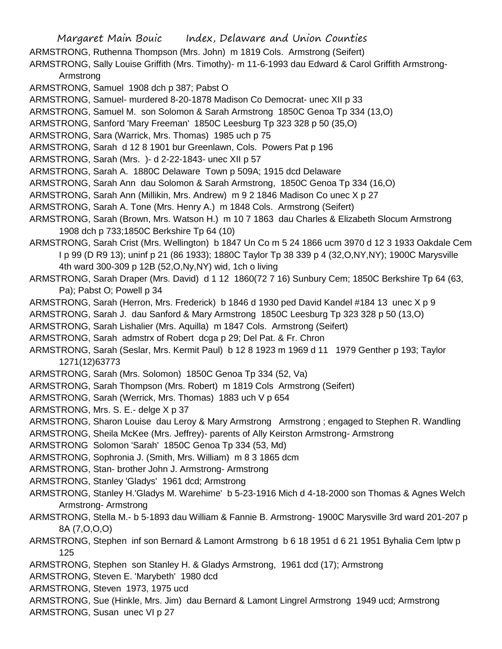Margaret Main Bouic Index, Delaware and Union Counties ARMSTRONG, Ruthenna Thompson (Mrs. John) m 1819 Cols. Armstrong (Seifert) ARMSTRONG, Sally Louise Griffith (Mrs. Timothy)- m 11-6-1993 dau Edward & Carol Griffith Armstrong-Armstrong ARMSTRONG, Samuel 1908 dch p 387; Pabst O ARMSTRONG, Samuel- murdered 8-20-1878 Madison Co Democrat- unec XII p 33 ARMSTRONG, Samuel M. son Solomon & Sarah Armstrong 1850C Genoa Tp 334 (13,O) ARMSTRONG, Sanford 'Mary Freeman' 1850C Leesburg Tp 323 328 p 50 (35,O) ARMSTRONG, Sara (Warrick, Mrs. Thomas) 1985 uch p 75 ARMSTRONG, Sarah d 12 8 1901 bur Greenlawn, Cols. Powers Pat p 196 ARMSTRONG, Sarah (Mrs. )- d 2-22-1843- unec XII p 57 ARMSTRONG, Sarah A. 1880C Delaware Town p 509A; 1915 dcd Delaware ARMSTRONG, Sarah Ann dau Solomon & Sarah Armstrong, 1850C Genoa Tp 334 (16,O) ARMSTRONG, Sarah Ann (Millikin, Mrs. Andrew) m 9 2 1846 Madison Co unec X p 27 ARMSTRONG, Sarah A. Tone (Mrs. Henry A.) m 1848 Cols. Armstrong (Seifert) ARMSTRONG, Sarah (Brown, Mrs. Watson H.) m 10 7 1863 dau Charles & Elizabeth Slocum Armstrong 1908 dch p 733;1850C Berkshire Tp 64 (10) ARMSTRONG, Sarah Crist (Mrs. Wellington) b 1847 Un Co m 5 24 1866 ucm 3970 d 12 3 1933 Oakdale Cem I p 99 (D R9 13); uninf p 21 (86 1933); 1880C Taylor Tp 38 339 p 4 (32,O,NY,NY); 1900C Marysville 4th ward 300-309 p 12B (52,O,Ny,NY) wid, 1ch o living ARMSTRONG, Sarah Draper (Mrs. David) d 1 12 1860(72 7 16) Sunbury Cem; 1850C Berkshire Tp 64 (63, Pa); Pabst O; Powell p 34 ARMSTRONG, Sarah (Herron, Mrs. Frederick) b 1846 d 1930 ped David Kandel #184 13 unec X p 9 ARMSTRONG, Sarah J. dau Sanford & Mary Armstrong 1850C Leesburg Tp 323 328 p 50 (13,O) ARMSTRONG, Sarah Lishalier (Mrs. Aquilla) m 1847 Cols. Armstrong (Seifert) ARMSTRONG, Sarah admstrx of Robert dcga p 29; Del Pat. & Fr. Chron ARMSTRONG, Sarah (Seslar, Mrs. Kermit Paul) b 12 8 1923 m 1969 d 11 1979 Genther p 193; Taylor 1271(12)63773 ARMSTRONG, Sarah (Mrs. Solomon) 1850C Genoa Tp 334 (52, Va) ARMSTRONG, Sarah Thompson (Mrs. Robert) m 1819 Cols Armstrong (Seifert) ARMSTRONG, Sarah (Werrick, Mrs. Thomas) 1883 uch V p 654 ARMSTRONG, Mrs. S. E.- delge X p 37 ARMSTRONG, Sharon Louise dau Leroy & Mary Armstrong Armstrong ; engaged to Stephen R. Wandling ARMSTRONG, Sheila McKee (Mrs. Jeffrey)- parents of Ally Keirston Armstrong- Armstrong ARMSTRONG Solomon 'Sarah' 1850C Genoa Tp 334 (53, Md) ARMSTRONG, Sophronia J. (Smith, Mrs. William) m 8 3 1865 dcm ARMSTRONG, Stan- brother John J. Armstrong- Armstrong ARMSTRONG, Stanley 'Gladys' 1961 dcd; Armstrong ARMSTRONG, Stanley H.'Gladys M. Warehime' b 5-23-1916 Mich d 4-18-2000 son Thomas & Agnes Welch Armstrong- Armstrong ARMSTRONG, Stella M.- b 5-1893 dau William & Fannie B. Armstrong- 1900C Marysville 3rd ward 201-207 p 8A (7,O,O,O) ARMSTRONG, Stephen inf son Bernard & Lamont Armstrong b 6 18 1951 d 6 21 1951 Byhalia Cem lptw p 125 ARMSTRONG, Stephen son Stanley H. & Gladys Armstrong, 1961 dcd (17); Armstrong ARMSTRONG, Steven E. 'Marybeth' 1980 dcd ARMSTRONG, Steven 1973, 1975 ucd ARMSTRONG, Sue (Hinkle, Mrs. Jim) dau Bernard & Lamont Lingrel Armstrong 1949 ucd; Armstrong

ARMSTRONG, Susan unec VI p 27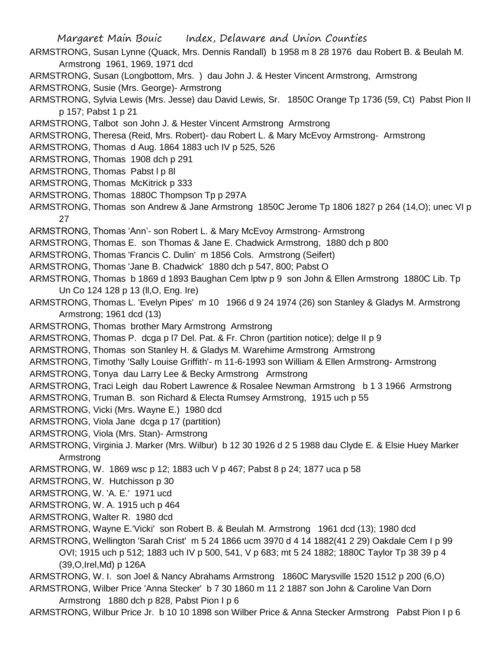- ARMSTRONG, Susan Lynne (Quack, Mrs. Dennis Randall) b 1958 m 8 28 1976 dau Robert B. & Beulah M. Armstrong 1961, 1969, 1971 dcd
- ARMSTRONG, Susan (Longbottom, Mrs. ) dau John J. & Hester Vincent Armstrong, Armstrong
- ARMSTRONG, Susie (Mrs. George)- Armstrong
- ARMSTRONG, Sylvia Lewis (Mrs. Jesse) dau David Lewis, Sr. 1850C Orange Tp 1736 (59, Ct) Pabst Pion II p 157; Pabst 1 p 21
- ARMSTRONG, Talbot son John J. & Hester Vincent Armstrong Armstrong
- ARMSTRONG, Theresa (Reid, Mrs. Robert)- dau Robert L. & Mary McEvoy Armstrong- Armstrong
- ARMSTRONG, Thomas d Aug. 1864 1883 uch IV p 525, 526
- ARMSTRONG, Thomas 1908 dch p 291
- ARMSTRONG, Thomas Pabst I p 8I
- ARMSTRONG, Thomas McKitrick p 333
- ARMSTRONG, Thomas 1880C Thompson Tp p 297A
- ARMSTRONG, Thomas son Andrew & Jane Armstrong 1850C Jerome Tp 1806 1827 p 264 (14,O); unec VI p 27
- ARMSTRONG, Thomas 'Ann'- son Robert L. & Mary McEvoy Armstrong- Armstrong
- ARMSTRONG, Thomas E. son Thomas & Jane E. Chadwick Armstrong, 1880 dch p 800
- ARMSTRONG, Thomas 'Francis C. Dulin' m 1856 Cols. Armstrong (Seifert)
- ARMSTRONG, Thomas 'Jane B. Chadwick' 1880 dch p 547, 800; Pabst O
- ARMSTRONG, Thomas b 1869 d 1893 Baughan Cem lptw p 9 son John & Ellen Armstrong 1880C Lib. Tp Un Co 124 128 p 13 (ll,O, Eng. Ire)
- ARMSTRONG, Thomas L. 'Evelyn Pipes' m 10 1966 d 9 24 1974 (26) son Stanley & Gladys M. Armstrong Armstrong; 1961 dcd (13)
- ARMSTRONG, Thomas brother Mary Armstrong Armstrong
- ARMSTRONG, Thomas P. dcga p l7 Del. Pat. & Fr. Chron (partition notice); delge II p 9
- ARMSTRONG, Thomas son Stanley H. & Gladys M. Warehime Armstrong Armstrong
- ARMSTRONG, Timothy 'Sally Louise Griffith'- m 11-6-1993 son William & Ellen Armstrong- Armstrong
- ARMSTRONG, Tonya dau Larry Lee & Becky Armstrong Armstrong
- ARMSTRONG, Traci Leigh dau Robert Lawrence & Rosalee Newman Armstrong b 1 3 1966 Armstrong
- ARMSTRONG, Truman B. son Richard & Electa Rumsey Armstrong, 1915 uch p 55
- ARMSTRONG, Vicki (Mrs. Wayne E.) 1980 dcd
- ARMSTRONG, Viola Jane dcga p 17 (partition)
- ARMSTRONG, Viola (Mrs. Stan)- Armstrong
- ARMSTRONG, Virginia J. Marker (Mrs. Wilbur) b 12 30 1926 d 2 5 1988 dau Clyde E. & Elsie Huey Marker Armstrong
- ARMSTRONG, W. 1869 wsc p 12; 1883 uch V p 467; Pabst 8 p 24; 1877 uca p 58
- ARMSTRONG, W. Hutchisson p 30
- ARMSTRONG, W. 'A. E.' 1971 ucd
- ARMSTRONG, W. A. 1915 uch p 464
- ARMSTRONG, Walter R. 1980 dcd
- ARMSTRONG, Wayne E.'Vicki' son Robert B. & Beulah M. Armstrong 1961 dcd (13); 1980 dcd
- ARMSTRONG, Wellington 'Sarah Crist' m 5 24 1866 ucm 3970 d 4 14 1882(41 2 29) Oakdale Cem I p 99 OVI; 1915 uch p 512; 1883 uch IV p 500, 541, V p 683; mt 5 24 1882; 1880C Taylor Tp 38 39 p 4 (39,O,Irel,Md) p 126A
- ARMSTRONG, W. I. son Joel & Nancy Abrahams Armstrong 1860C Marysville 1520 1512 p 200 (6,O)
- ARMSTRONG, Wilber Price 'Anna Stecker' b 7 30 1860 m 11 2 1887 son John & Caroline Van Dorn Armstrong 1880 dch p 828, Pabst Pion I p 6
- ARMSTRONG, Wilbur Price Jr. b 10 10 1898 son Wilber Price & Anna Stecker Armstrong Pabst Pion I p 6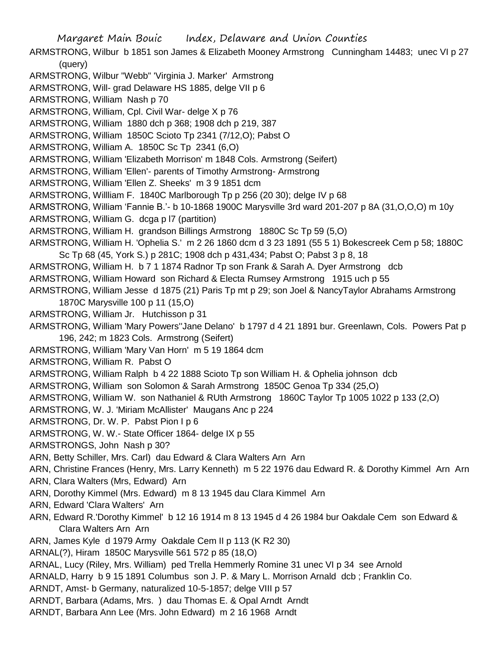Margaret Main Bouic Index, Delaware and Union Counties ARMSTRONG, Wilbur b 1851 son James & Elizabeth Mooney Armstrong Cunningham 14483; unec VI p 27 (query) ARMSTRONG, Wilbur "Webb" 'Virginia J. Marker' Armstrong ARMSTRONG, Will- grad Delaware HS 1885, delge VII p 6 ARMSTRONG, William Nash p 70 ARMSTRONG, William, Cpl. Civil War- delge X p 76 ARMSTRONG, William 1880 dch p 368; 1908 dch p 219, 387 ARMSTRONG, William 1850C Scioto Tp 2341 (7/12,O); Pabst O ARMSTRONG, William A. 1850C Sc Tp 2341 (6,O) ARMSTRONG, William 'Elizabeth Morrison' m 1848 Cols. Armstrong (Seifert) ARMSTRONG, William 'Ellen'- parents of Timothy Armstrong- Armstrong ARMSTRONG, William 'Ellen Z. Sheeks' m 3 9 1851 dcm ARMSTRONG, Willliam F. 1840C Marlborough Tp p 256 (20 30); delge IV p 68 ARMSTRONG, William 'Fannie B.'- b 10-1868 1900C Marysville 3rd ward 201-207 p 8A (31,O,O,O) m 10y ARMSTRONG, William G. dcga p l7 (partition) ARMSTRONG, William H. grandson Billings Armstrong 1880C Sc Tp 59 (5,O) ARMSTRONG, William H. 'Ophelia S.' m 2 26 1860 dcm d 3 23 1891 (55 5 1) Bokescreek Cem p 58; 1880C Sc Tp 68 (45, York S.) p 281C; 1908 dch p 431,434; Pabst O; Pabst 3 p 8, 18 ARMSTRONG, William H. b 7 1 1874 Radnor Tp son Frank & Sarah A. Dyer Armstrong dcb ARMSTRONG, William Howard son Richard & Electa Rumsey Armstrong 1915 uch p 55 ARMSTRONG, William Jesse d 1875 (21) Paris Tp mt p 29; son Joel & NancyTaylor Abrahams Armstrong 1870C Marysville 100 p 11 (15,O) ARMSTRONG, William Jr. Hutchisson p 31 ARMSTRONG, William 'Mary Powers''Jane Delano' b 1797 d 4 21 1891 bur. Greenlawn, Cols. Powers Pat p 196, 242; m 1823 Cols. Armstrong (Seifert) ARMSTRONG, William 'Mary Van Horn' m 5 19 1864 dcm ARMSTRONG, William R. Pabst O ARMSTRONG, William Ralph b 4 22 1888 Scioto Tp son William H. & Ophelia johnson dcb ARMSTRONG, William son Solomon & Sarah Armstrong 1850C Genoa Tp 334 (25,O) ARMSTRONG, William W. son Nathaniel & RUth Armstrong 1860C Taylor Tp 1005 1022 p 133 (2,O) ARMSTRONG, W. J. 'Miriam McAllister' Maugans Anc p 224 ARMSTRONG, Dr. W. P. Pabst Pion I p 6 ARMSTRONG, W. W.- State Officer 1864- delge IX p 55 ARMSTRONGS, John Nash p 30? ARN, Betty Schiller, Mrs. Carl) dau Edward & Clara Walters Arn Arn ARN, Christine Frances (Henry, Mrs. Larry Kenneth) m 5 22 1976 dau Edward R. & Dorothy Kimmel Arn Arn ARN, Clara Walters (Mrs, Edward) Arn ARN, Dorothy Kimmel (Mrs. Edward) m 8 13 1945 dau Clara Kimmel Arn ARN, Edward 'Clara Walters' Arn ARN, Edward R.'Dorothy Kimmel' b 12 16 1914 m 8 13 1945 d 4 26 1984 bur Oakdale Cem son Edward & Clara Walters Arn Arn ARN, James Kyle d 1979 Army Oakdale Cem II p 113 (K R2 30) ARNAL(?), Hiram 1850C Marysville 561 572 p 85 (18,O) ARNAL, Lucy (Riley, Mrs. William) ped Trella Hemmerly Romine 31 unec VI p 34 see Arnold ARNALD, Harry b 9 15 1891 Columbus son J. P. & Mary L. Morrison Arnald dcb ; Franklin Co. ARNDT, Amst- b Germany, naturalized 10-5-1857; delge VIII p 57 ARNDT, Barbara (Adams, Mrs. ) dau Thomas E. & Opal Arndt Arndt ARNDT, Barbara Ann Lee (Mrs. John Edward) m 2 16 1968 Arndt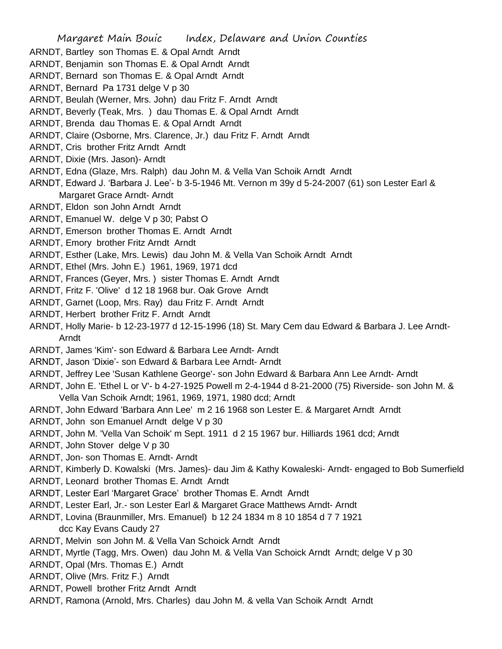- ARNDT, Bartley son Thomas E. & Opal Arndt Arndt
- ARNDT, Benjamin son Thomas E. & Opal Arndt Arndt
- ARNDT, Bernard son Thomas E. & Opal Arndt Arndt
- ARNDT, Bernard Pa 1731 delge V p 30
- ARNDT, Beulah (Werner, Mrs. John) dau Fritz F. Arndt Arndt
- ARNDT, Beverly (Teak, Mrs. ) dau Thomas E. & Opal Arndt Arndt
- ARNDT, Brenda dau Thomas E. & Opal Arndt Arndt
- ARNDT, Claire (Osborne, Mrs. Clarence, Jr.) dau Fritz F. Arndt Arndt
- ARNDT, Cris brother Fritz Arndt Arndt
- ARNDT, Dixie (Mrs. Jason)- Arndt
- ARNDT, Edna (Glaze, Mrs. Ralph) dau John M. & Vella Van Schoik Arndt Arndt
- ARNDT, Edward J. 'Barbara J. Lee'- b 3-5-1946 Mt. Vernon m 39y d 5-24-2007 (61) son Lester Earl & Margaret Grace Arndt- Arndt
- ARNDT, Eldon son John Arndt Arndt
- ARNDT, Emanuel W. delge V p 30; Pabst O
- ARNDT, Emerson brother Thomas E. Arndt Arndt
- ARNDT, Emory brother Fritz Arndt Arndt
- ARNDT, Esther (Lake, Mrs. Lewis) dau John M. & Vella Van Schoik Arndt Arndt
- ARNDT, Ethel (Mrs. John E.) 1961, 1969, 1971 dcd
- ARNDT, Frances (Geyer, Mrs. ) sister Thomas E. Arndt Arndt
- ARNDT, Fritz F. 'Olive' d 12 18 1968 bur. Oak Grove Arndt
- ARNDT, Garnet (Loop, Mrs. Ray) dau Fritz F. Arndt Arndt
- ARNDT, Herbert brother Fritz F. Arndt Arndt
- ARNDT, Holly Marie- b 12-23-1977 d 12-15-1996 (18) St. Mary Cem dau Edward & Barbara J. Lee Arndt-Arndt
- ARNDT, James 'Kim'- son Edward & Barbara Lee Arndt- Arndt
- ARNDT, Jason 'Dixie'- son Edward & Barbara Lee Arndt- Arndt
- ARNDT, Jeffrey Lee 'Susan Kathlene George'- son John Edward & Barbara Ann Lee Arndt- Arndt
- ARNDT, John E. 'Ethel L or V'- b 4-27-1925 Powell m 2-4-1944 d 8-21-2000 (75) Riverside- son John M. & Vella Van Schoik Arndt; 1961, 1969, 1971, 1980 dcd; Arndt
- ARNDT, John Edward 'Barbara Ann Lee' m 2 16 1968 son Lester E. & Margaret Arndt Arndt
- ARNDT, John son Emanuel Arndt delge V p 30
- ARNDT, John M. 'Vella Van Schoik' m Sept. 1911 d 2 15 1967 bur. Hilliards 1961 dcd; Arndt
- ARNDT, John Stover delge V p 30
- ARNDT, Jon- son Thomas E. Arndt- Arndt
- ARNDT, Kimberly D. Kowalski (Mrs. James)- dau Jim & Kathy Kowaleski- Arndt- engaged to Bob Sumerfield
- ARNDT, Leonard brother Thomas E. Arndt Arndt
- ARNDT, Lester Earl 'Margaret Grace' brother Thomas E. Arndt Arndt
- ARNDT, Lester Earl, Jr.- son Lester Earl & Margaret Grace Matthews Arndt- Arndt
- ARNDT, Lovina (Braunmiller, Mrs. Emanuel) b 12 24 1834 m 8 10 1854 d 7 7 1921 dcc Kay Evans Caudy 27
- ARNDT, Melvin son John M. & Vella Van Schoick Arndt Arndt
- ARNDT, Myrtle (Tagg, Mrs. Owen) dau John M. & Vella Van Schoick Arndt Arndt; delge V p 30
- ARNDT, Opal (Mrs. Thomas E.) Arndt
- ARNDT, Olive (Mrs. Fritz F.) Arndt
- ARNDT, Powell brother Fritz Arndt Arndt
- ARNDT, Ramona (Arnold, Mrs. Charles) dau John M. & vella Van Schoik Arndt Arndt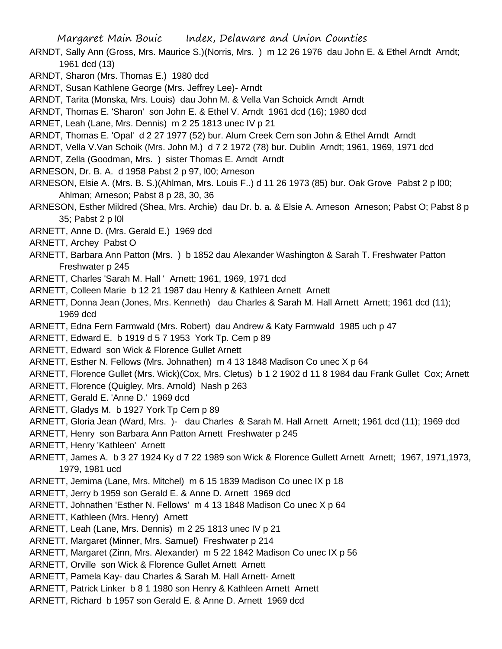- ARNDT, Sally Ann (Gross, Mrs. Maurice S.)(Norris, Mrs. ) m 12 26 1976 dau John E. & Ethel Arndt Arndt; 1961 dcd (13)
- ARNDT, Sharon (Mrs. Thomas E.) 1980 dcd
- ARNDT, Susan Kathlene George (Mrs. Jeffrey Lee)- Arndt
- ARNDT, Tarita (Monska, Mrs. Louis) dau John M. & Vella Van Schoick Arndt Arndt
- ARNDT, Thomas E. 'Sharon' son John E. & Ethel V. Arndt 1961 dcd (16); 1980 dcd
- ARNET, Leah (Lane, Mrs. Dennis) m 2 25 1813 unec IV p 21
- ARNDT, Thomas E. 'Opal' d 2 27 1977 (52) bur. Alum Creek Cem son John & Ethel Arndt Arndt
- ARNDT, Vella V.Van Schoik (Mrs. John M.) d 7 2 1972 (78) bur. Dublin Arndt; 1961, 1969, 1971 dcd
- ARNDT, Zella (Goodman, Mrs. ) sister Thomas E. Arndt Arndt
- ARNESON, Dr. B. A. d 1958 Pabst 2 p 97, l00; Arneson
- ARNESON, Elsie A. (Mrs. B. S.)(Ahlman, Mrs. Louis F..) d 11 26 1973 (85) bur. Oak Grove Pabst 2 p l00; Ahlman; Arneson; Pabst 8 p 28, 30, 36
- ARNESON, Esther Mildred (Shea, Mrs. Archie) dau Dr. b. a. & Elsie A. Arneson Arneson; Pabst O; Pabst 8 p 35; Pabst 2 p l0l
- ARNETT, Anne D. (Mrs. Gerald E.) 1969 dcd
- ARNETT, Archey Pabst O
- ARNETT, Barbara Ann Patton (Mrs. ) b 1852 dau Alexander Washington & Sarah T. Freshwater Patton Freshwater p 245
- ARNETT, Charles 'Sarah M. Hall ' Arnett; 1961, 1969, 1971 dcd
- ARNETT, Colleen Marie b 12 21 1987 dau Henry & Kathleen Arnett Arnett
- ARNETT, Donna Jean (Jones, Mrs. Kenneth) dau Charles & Sarah M. Hall Arnett Arnett; 1961 dcd (11); 1969 dcd
- ARNETT, Edna Fern Farmwald (Mrs. Robert) dau Andrew & Katy Farmwald 1985 uch p 47
- ARNETT, Edward E. b 1919 d 5 7 1953 York Tp. Cem p 89
- ARNETT, Edward son Wick & Florence Gullet Arnett
- ARNETT, Esther N. Fellows (Mrs. Johnathen) m 4 13 1848 Madison Co unec X p 64
- ARNETT, Florence Gullet (Mrs. Wick)(Cox, Mrs. Cletus) b 1 2 1902 d 11 8 1984 dau Frank Gullet Cox; Arnett
- ARNETT, Florence (Quigley, Mrs. Arnold) Nash p 263
- ARNETT, Gerald E. 'Anne D.' 1969 dcd
- ARNETT, Gladys M. b 1927 York Tp Cem p 89
- ARNETT, Gloria Jean (Ward, Mrs. )- dau Charles & Sarah M. Hall Arnett Arnett; 1961 dcd (11); 1969 dcd
- ARNETT, Henry son Barbara Ann Patton Arnett Freshwater p 245
- ARNETT, Henry 'Kathleen' Arnett
- ARNETT, James A. b 3 27 1924 Ky d 7 22 1989 son Wick & Florence Gullett Arnett Arnett; 1967, 1971,1973, 1979, 1981 ucd
- ARNETT, Jemima (Lane, Mrs. Mitchel) m 6 15 1839 Madison Co unec IX p 18
- ARNETT, Jerry b 1959 son Gerald E. & Anne D. Arnett 1969 dcd
- ARNETT, Johnathen 'Esther N. Fellows' m 4 13 1848 Madison Co unec X p 64
- ARNETT, Kathleen (Mrs. Henry) Arnett
- ARNETT, Leah (Lane, Mrs. Dennis) m 2 25 1813 unec IV p 21
- ARNETT, Margaret (Minner, Mrs. Samuel) Freshwater p 214
- ARNETT, Margaret (Zinn, Mrs. Alexander) m 5 22 1842 Madison Co unec IX p 56
- ARNETT, Orville son Wick & Florence Gullet Arnett Arnett
- ARNETT, Pamela Kay- dau Charles & Sarah M. Hall Arnett- Arnett
- ARNETT, Patrick Linker b 8 1 1980 son Henry & Kathleen Arnett Arnett
- ARNETT, Richard b 1957 son Gerald E. & Anne D. Arnett 1969 dcd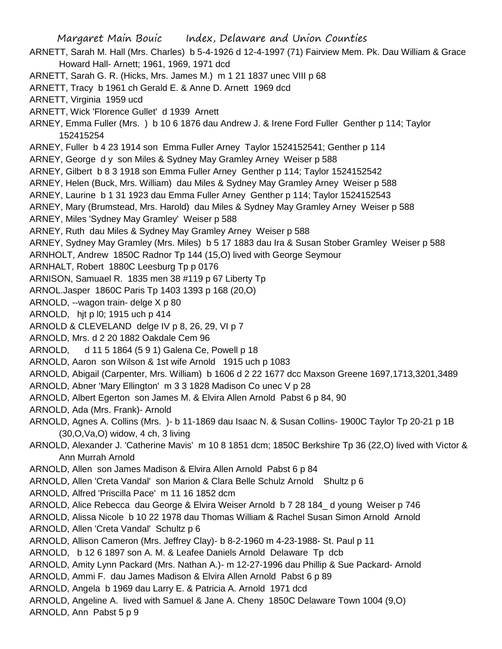Margaret Main Bouic Index, Delaware and Union Counties ARNETT, Sarah M. Hall (Mrs. Charles) b 5-4-1926 d 12-4-1997 (71) Fairview Mem. Pk. Dau William & Grace Howard Hall- Arnett; 1961, 1969, 1971 dcd ARNETT, Sarah G. R. (Hicks, Mrs. James M.) m 1 21 1837 unec VIII p 68 ARNETT, Tracy b 1961 ch Gerald E. & Anne D. Arnett 1969 dcd ARNETT, Virginia 1959 ucd ARNETT, Wick 'Florence Gullet' d 1939 Arnett ARNEY, Emma Fuller (Mrs. ) b 10 6 1876 dau Andrew J. & Irene Ford Fuller Genther p 114; Taylor 152415254 ARNEY, Fuller b 4 23 1914 son Emma Fuller Arney Taylor 1524152541; Genther p 114 ARNEY, George d y son Miles & Sydney May Gramley Arney Weiser p 588 ARNEY, Gilbert b 8 3 1918 son Emma Fuller Arney Genther p 114; Taylor 1524152542 ARNEY, Helen (Buck, Mrs. William) dau Miles & Sydney May Gramley Arney Weiser p 588 ARNEY, Laurine b 1 31 1923 dau Emma Fuller Arney Genther p 114; Taylor 1524152543 ARNEY, Mary (Brumstead, Mrs. Harold) dau Miles & Sydney May Gramley Arney Weiser p 588 ARNEY, Miles 'Sydney May Gramley' Weiser p 588 ARNEY, Ruth dau Miles & Sydney May Gramley Arney Weiser p 588 ARNEY, Sydney May Gramley (Mrs. Miles) b 5 17 1883 dau Ira & Susan Stober Gramley Weiser p 588 ARNHOLT, Andrew 1850C Radnor Tp 144 (15,O) lived with George Seymour ARNHALT, Robert 1880C Leesburg Tp p 0176 ARNISON, Samuael R. 1835 men 38 #119 p 67 Liberty Tp ARNOL.Jasper 1860C Paris Tp 1403 1393 p 168 (20,O) ARNOLD, --wagon train- delge X p 80 ARNOLD, hjt p l0; 1915 uch p 414 ARNOLD & CLEVELAND delge IV p 8, 26, 29, VI p 7 ARNOLD, Mrs. d 2 20 1882 Oakdale Cem 96 ARNOLD, d 11 5 1864 (5 9 1) Galena Ce, Powell p 18 ARNOLD, Aaron son Wilson & 1st wife Arnold 1915 uch p 1083 ARNOLD, Abigail (Carpenter, Mrs. William) b 1606 d 2 22 1677 dcc Maxson Greene 1697,1713,3201,3489 ARNOLD, Abner 'Mary Ellington' m 3 3 1828 Madison Co unec V p 28 ARNOLD, Albert Egerton son James M. & Elvira Allen Arnold Pabst 6 p 84, 90 ARNOLD, Ada (Mrs. Frank)- Arnold ARNOLD, Agnes A. Collins (Mrs. )- b 11-1869 dau Isaac N. & Susan Collins- 1900C Taylor Tp 20-21 p 1B (30,O,Va,O) widow, 4 ch, 3 living ARNOLD, Alexander J. 'Catherine Mavis' m 10 8 1851 dcm; 1850C Berkshire Tp 36 (22,O) lived with Victor & Ann Murrah Arnold ARNOLD, Allen son James Madison & Elvira Allen Arnold Pabst 6 p 84 ARNOLD, Allen 'Creta Vandal' son Marion & Clara Belle Schulz Arnold Shultz p 6 ARNOLD, Alfred 'Priscilla Pace' m 11 16 1852 dcm ARNOLD, Alice Rebecca dau George & Elvira Weiser Arnold b 7 28 184\_ d young Weiser p 746 ARNOLD, Alissa Nicole b 10 22 1978 dau Thomas William & Rachel Susan Simon Arnold Arnold ARNOLD, Allen 'Creta Vandal' Schultz p 6 ARNOLD, Allison Cameron (Mrs. Jeffrey Clay)- b 8-2-1960 m 4-23-1988- St. Paul p 11 ARNOLD, b 12 6 1897 son A. M. & Leafee Daniels Arnold Delaware Tp dcb ARNOLD, Amity Lynn Packard (Mrs. Nathan A.)- m 12-27-1996 dau Phillip & Sue Packard- Arnold ARNOLD, Ammi F. dau James Madison & Elvira Allen Arnold Pabst 6 p 89 ARNOLD, Angela b 1969 dau Larry E. & Patricia A. Arnold 1971 dcd ARNOLD, Angeline A. lived with Samuel & Jane A. Cheny 1850C Delaware Town 1004 (9,O) ARNOLD, Ann Pabst 5 p 9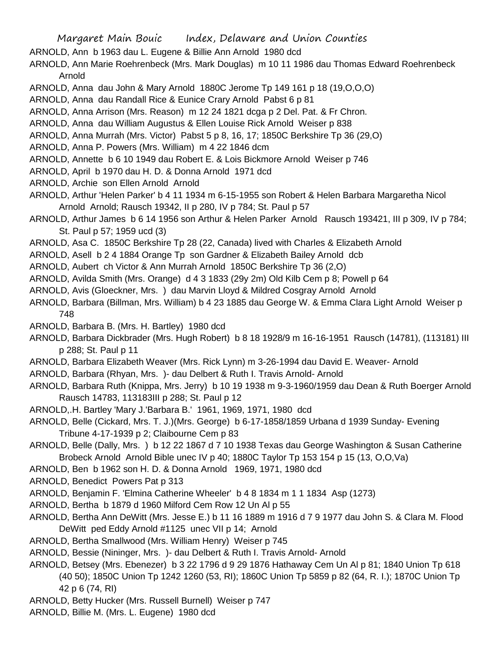- ARNOLD, Ann b 1963 dau L. Eugene & Billie Ann Arnold 1980 dcd
- ARNOLD, Ann Marie Roehrenbeck (Mrs. Mark Douglas) m 10 11 1986 dau Thomas Edward Roehrenbeck Arnold
- ARNOLD, Anna dau John & Mary Arnold 1880C Jerome Tp 149 161 p 18 (19,O,O,O)
- ARNOLD, Anna dau Randall Rice & Eunice Crary Arnold Pabst 6 p 81
- ARNOLD, Anna Arrison (Mrs. Reason) m 12 24 1821 dcga p 2 Del. Pat. & Fr Chron.
- ARNOLD, Anna dau William Augustus & Ellen Louise Rick Arnold Weiser p 838
- ARNOLD, Anna Murrah (Mrs. Victor) Pabst 5 p 8, 16, 17; 1850C Berkshire Tp 36 (29,O)
- ARNOLD, Anna P. Powers (Mrs. William) m 4 22 1846 dcm
- ARNOLD, Annette b 6 10 1949 dau Robert E. & Lois Bickmore Arnold Weiser p 746
- ARNOLD, April b 1970 dau H. D. & Donna Arnold 1971 dcd
- ARNOLD, Archie son Ellen Arnold Arnold
- ARNOLD, Arthur 'Helen Parker' b 4 11 1934 m 6-15-1955 son Robert & Helen Barbara Margaretha Nicol Arnold Arnold; Rausch 19342, II p 280, IV p 784; St. Paul p 57
- ARNOLD, Arthur James b 6 14 1956 son Arthur & Helen Parker Arnold Rausch 193421, III p 309, IV p 784; St. Paul p 57; 1959 ucd (3)
- ARNOLD, Asa C. 1850C Berkshire Tp 28 (22, Canada) lived with Charles & Elizabeth Arnold
- ARNOLD, Asell b 2 4 1884 Orange Tp son Gardner & Elizabeth Bailey Arnold dcb
- ARNOLD, Aubert ch Victor & Ann Murrah Arnold 1850C Berkshire Tp 36 (2,O)
- ARNOLD, Avilda Smith (Mrs. Orange) d 4 3 1833 (29y 2m) Old Kilb Cem p 8; Powell p 64
- ARNOLD, Avis (Gloeckner, Mrs. ) dau Marvin Lloyd & Mildred Cosgray Arnold Arnold
- ARNOLD, Barbara (Billman, Mrs. William) b 4 23 1885 dau George W. & Emma Clara Light Arnold Weiser p 748
- ARNOLD, Barbara B. (Mrs. H. Bartley) 1980 dcd
- ARNOLD, Barbara Dickbrader (Mrs. Hugh Robert) b 8 18 1928/9 m 16-16-1951 Rausch (14781), (113181) III p 288; St. Paul p 11
- ARNOLD, Barbara Elizabeth Weaver (Mrs. Rick Lynn) m 3-26-1994 dau David E. Weaver- Arnold
- ARNOLD, Barbara (Rhyan, Mrs. )- dau Delbert & Ruth I. Travis Arnold- Arnold
- ARNOLD, Barbara Ruth (Knippa, Mrs. Jerry) b 10 19 1938 m 9-3-1960/1959 dau Dean & Ruth Boerger Arnold Rausch 14783, 113183III p 288; St. Paul p 12
- ARNOLD,.H. Bartley 'Mary J.'Barbara B.' 1961, 1969, 1971, 1980 dcd
- ARNOLD, Belle (Cickard, Mrs. T. J.)(Mrs. George) b 6-17-1858/1859 Urbana d 1939 Sunday- Evening Tribune 4-17-1939 p 2; Claibourne Cem p 83
- ARNOLD, Belle (Dally, Mrs. ) b 12 22 1867 d 7 10 1938 Texas dau George Washington & Susan Catherine Brobeck Arnold Arnold Bible unec IV p 40; 1880C Taylor Tp 153 154 p 15 (13, O,O,Va)
- ARNOLD, Ben b 1962 son H. D. & Donna Arnold 1969, 1971, 1980 dcd
- ARNOLD, Benedict Powers Pat p 313
- ARNOLD, Benjamin F. 'Elmina Catherine Wheeler' b 4 8 1834 m 1 1 1834 Asp (1273)
- ARNOLD, Bertha b 1879 d 1960 Milford Cem Row 12 Un Al p 55
- ARNOLD, Bertha Ann DeWitt (Mrs. Jesse E.) b 11 16 1889 m 1916 d 7 9 1977 dau John S. & Clara M. Flood DeWitt ped Eddy Arnold #1125 unec VII p 14; Arnold
- ARNOLD, Bertha Smallwood (Mrs. William Henry) Weiser p 745
- ARNOLD, Bessie (Nininger, Mrs. )- dau Delbert & Ruth I. Travis Arnold- Arnold
- ARNOLD, Betsey (Mrs. Ebenezer) b 3 22 1796 d 9 29 1876 Hathaway Cem Un Al p 81; 1840 Union Tp 618 (40 50); 1850C Union Tp 1242 1260 (53, RI); 1860C Union Tp 5859 p 82 (64, R. I.); 1870C Union Tp 42 p 6 (74, RI)
- ARNOLD, Betty Hucker (Mrs. Russell Burnell) Weiser p 747
- ARNOLD, Billie M. (Mrs. L. Eugene) 1980 dcd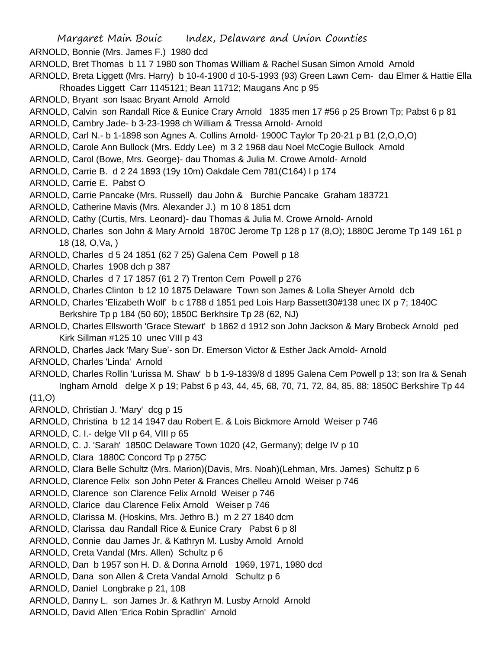- ARNOLD, Bonnie (Mrs. James F.) 1980 dcd
- ARNOLD, Bret Thomas b 11 7 1980 son Thomas William & Rachel Susan Simon Arnold Arnold
- ARNOLD, Breta Liggett (Mrs. Harry) b 10-4-1900 d 10-5-1993 (93) Green Lawn Cem- dau Elmer & Hattie Ella Rhoades Liggett Carr 1145121; Bean 11712; Maugans Anc p 95
- ARNOLD, Bryant son Isaac Bryant Arnold Arnold
- ARNOLD, Calvin son Randall Rice & Eunice Crary Arnold 1835 men 17 #56 p 25 Brown Tp; Pabst 6 p 81
- ARNOLD, Cambry Jade- b 3-23-1998 ch William & Tressa Arnold- Arnold
- ARNOLD, Carl N.- b 1-1898 son Agnes A. Collins Arnold- 1900C Taylor Tp 20-21 p B1 (2,O,O,O)
- ARNOLD, Carole Ann Bullock (Mrs. Eddy Lee) m 3 2 1968 dau Noel McCogie Bullock Arnold
- ARNOLD, Carol (Bowe, Mrs. George)- dau Thomas & Julia M. Crowe Arnold- Arnold
- ARNOLD, Carrie B. d 2 24 1893 (19y 10m) Oakdale Cem 781(C164) I p 174
- ARNOLD, Carrie E. Pabst O
- ARNOLD, Carrie Pancake (Mrs. Russell) dau John & Burchie Pancake Graham 183721
- ARNOLD, Catherine Mavis (Mrs. Alexander J.) m 10 8 1851 dcm
- ARNOLD, Cathy (Curtis, Mrs. Leonard)- dau Thomas & Julia M. Crowe Arnold- Arnold
- ARNOLD, Charles son John & Mary Arnold 1870C Jerome Tp 128 p 17 (8,O); 1880C Jerome Tp 149 161 p 18 (18, O,Va, )
- ARNOLD, Charles d 5 24 1851 (62 7 25) Galena Cem Powell p 18
- ARNOLD, Charles 1908 dch p 387
- ARNOLD, Charles d 7 17 1857 (61 2 7) Trenton Cem Powell p 276
- ARNOLD, Charles Clinton b 12 10 1875 Delaware Town son James & Lolla Sheyer Arnold dcb
- ARNOLD, Charles 'Elizabeth Wolf' b c 1788 d 1851 ped Lois Harp Bassett30#138 unec IX p 7; 1840C Berkshire Tp p 184 (50 60); 1850C Berkhsire Tp 28 (62, NJ)
- ARNOLD, Charles Ellsworth 'Grace Stewart' b 1862 d 1912 son John Jackson & Mary Brobeck Arnold ped Kirk Sillman #125 10 unec VIII p 43
- ARNOLD, Charles Jack 'Mary Sue'- son Dr. Emerson Victor & Esther Jack Arnold- Arnold
- ARNOLD, Charles 'Linda' Arnold
- ARNOLD, Charles Rollin 'Lurissa M. Shaw' b b 1-9-1839/8 d 1895 Galena Cem Powell p 13; son Ira & Senah Ingham Arnold delge X p 19; Pabst 6 p 43, 44, 45, 68, 70, 71, 72, 84, 85, 88; 1850C Berkshire Tp 44
- $(11,0)$
- ARNOLD, Christian J. 'Mary' dcg p 15
- ARNOLD, Christina b 12 14 1947 dau Robert E. & Lois Bickmore Arnold Weiser p 746
- ARNOLD, C. I.- delge VII p 64, VIII p 65
- ARNOLD, C. J. 'Sarah' 1850C Delaware Town 1020 (42, Germany); delge IV p 10
- ARNOLD, Clara 1880C Concord Tp p 275C
- ARNOLD, Clara Belle Schultz (Mrs. Marion)(Davis, Mrs. Noah)(Lehman, Mrs. James) Schultz p 6
- ARNOLD, Clarence Felix son John Peter & Frances Chelleu Arnold Weiser p 746
- ARNOLD, Clarence son Clarence Felix Arnold Weiser p 746
- ARNOLD, Clarice dau Clarence Felix Arnold Weiser p 746
- ARNOLD, Clarissa M. (Hoskins, Mrs. Jethro B.) m 2 27 1840 dcm
- ARNOLD, Clarissa dau Randall Rice & Eunice Crary Pabst 6 p 8l
- ARNOLD, Connie dau James Jr. & Kathryn M. Lusby Arnold Arnold
- ARNOLD, Creta Vandal (Mrs. Allen) Schultz p 6
- ARNOLD, Dan b 1957 son H. D. & Donna Arnold 1969, 1971, 1980 dcd
- ARNOLD, Dana son Allen & Creta Vandal Arnold Schultz p 6
- ARNOLD, Daniel Longbrake p 21, 108
- ARNOLD, Danny L. son James Jr. & Kathryn M. Lusby Arnold Arnold
- ARNOLD, David Allen 'Erica Robin Spradlin' Arnold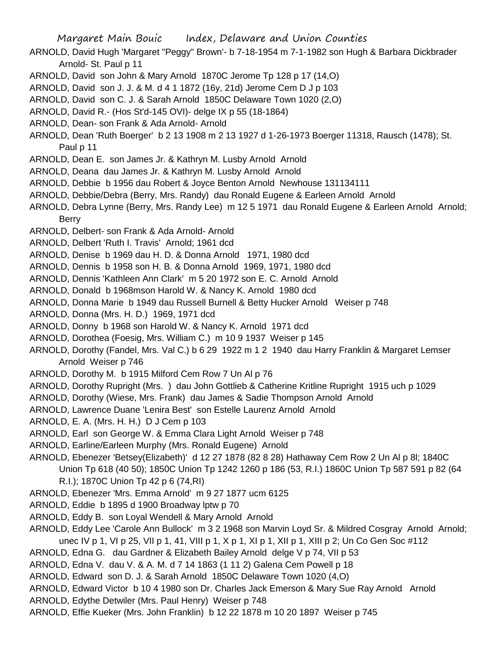- ARNOLD, David Hugh 'Margaret "Peggy" Brown'- b 7-18-1954 m 7-1-1982 son Hugh & Barbara Dickbrader Arnold- St. Paul p 11
- ARNOLD, David son John & Mary Arnold 1870C Jerome Tp 128 p 17 (14,O)
- ARNOLD, David son J. J. & M. d 4 1 1872 (16y, 21d) Jerome Cem D J p 103
- ARNOLD, David son C. J. & Sarah Arnold 1850C Delaware Town 1020 (2,O)
- ARNOLD, David R.- (Hos St'd-145 OVI)- delge IX p 55 (18-1864)
- ARNOLD, Dean- son Frank & Ada Arnold- Arnold
- ARNOLD, Dean 'Ruth Boerger' b 2 13 1908 m 2 13 1927 d 1-26-1973 Boerger 11318, Rausch (1478); St. Paul p 11
- ARNOLD, Dean E. son James Jr. & Kathryn M. Lusby Arnold Arnold
- ARNOLD, Deana dau James Jr. & Kathryn M. Lusby Arnold Arnold
- ARNOLD, Debbie b 1956 dau Robert & Joyce Benton Arnold Newhouse 131134111
- ARNOLD, Debbie/Debra (Berry, Mrs. Randy) dau Ronald Eugene & Earleen Arnold Arnold
- ARNOLD, Debra Lynne (Berry, Mrs. Randy Lee) m 12 5 1971 dau Ronald Eugene & Earleen Arnold Arnold; Berry
- ARNOLD, Delbert- son Frank & Ada Arnold- Arnold
- ARNOLD, Delbert 'Ruth I. Travis' Arnold; 1961 dcd
- ARNOLD, Denise b 1969 dau H. D. & Donna Arnold 1971, 1980 dcd
- ARNOLD, Dennis b 1958 son H. B. & Donna Arnold 1969, 1971, 1980 dcd
- ARNOLD, Dennis 'Kathleen Ann Clark' m 5 20 1972 son E. C. Arnold Arnold
- ARNOLD, Donald b 1968mson Harold W. & Nancy K. Arnold 1980 dcd
- ARNOLD, Donna Marie b 1949 dau Russell Burnell & Betty Hucker Arnold Weiser p 748
- ARNOLD, Donna (Mrs. H. D.) 1969, 1971 dcd
- ARNOLD, Donny b 1968 son Harold W. & Nancy K. Arnold 1971 dcd
- ARNOLD, Dorothea (Foesig, Mrs. William C.) m 10 9 1937 Weiser p 145
- ARNOLD, Dorothy (Fandel, Mrs. Val C.) b 6 29 1922 m 1 2 1940 dau Harry Franklin & Margaret Lemser Arnold Weiser p 746
- ARNOLD, Dorothy M. b 1915 Milford Cem Row 7 Un Al p 76
- ARNOLD, Dorothy Rupright (Mrs. ) dau John Gottlieb & Catherine Kritline Rupright 1915 uch p 1029
- ARNOLD, Dorothy (Wiese, Mrs. Frank) dau James & Sadie Thompson Arnold Arnold
- ARNOLD, Lawrence Duane 'Lenira Best' son Estelle Laurenz Arnold Arnold
- ARNOLD, E. A. (Mrs. H. H.) D J Cem p 103
- ARNOLD, Earl son George W. & Emma Clara Light Arnold Weiser p 748
- ARNOLD, Earline/Earleen Murphy (Mrs. Ronald Eugene) Arnold
- ARNOLD, Ebenezer 'Betsey(Elizabeth)' d 12 27 1878 (82 8 28) Hathaway Cem Row 2 Un Al p 8l; 1840C Union Tp 618 (40 50); 1850C Union Tp 1242 1260 p 186 (53, R.I.) 1860C Union Tp 587 591 p 82 (64 R.I.); 1870C Union Tp 42 p 6 (74,RI)
- ARNOLD, Ebenezer 'Mrs. Emma Arnold' m 9 27 1877 ucm 6125
- ARNOLD, Eddie b 1895 d 1900 Broadway lptw p 70
- ARNOLD, Eddy B. son Loyal Wendell & Mary Arnold Arnold
- ARNOLD, Eddy Lee 'Carole Ann Bullock' m 3 2 1968 son Marvin Loyd Sr. & Mildred Cosgray Arnold Arnold; unec IV p 1, VI p 25, VII p 1, 41, VIII p 1, X p 1, XI p 1, XII p 1, XIII p 2; Un Co Gen Soc #112
- ARNOLD, Edna G. dau Gardner & Elizabeth Bailey Arnold delge V p 74, VII p 53
- ARNOLD, Edna V. dau V. & A. M. d 7 14 1863 (1 11 2) Galena Cem Powell p 18
- ARNOLD, Edward son D. J. & Sarah Arnold 1850C Delaware Town 1020 (4,O)
- ARNOLD, Edward Victor b 10 4 1980 son Dr. Charles Jack Emerson & Mary Sue Ray Arnold Arnold
- ARNOLD, Edythe Detwiler (Mrs. Paul Henry) Weiser p 748
- ARNOLD, Effie Kueker (Mrs. John Franklin) b 12 22 1878 m 10 20 1897 Weiser p 745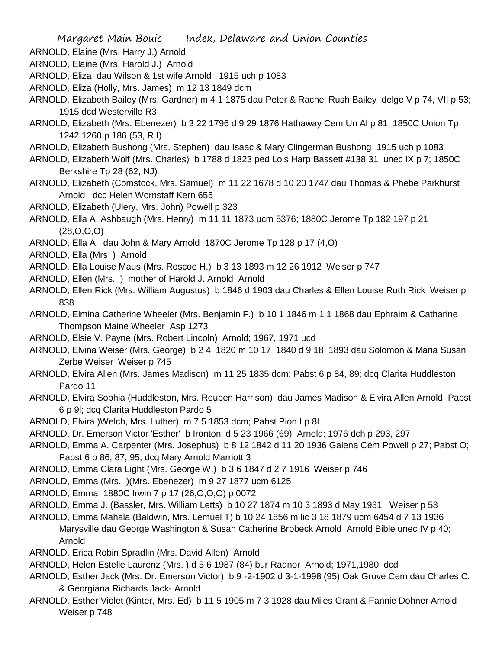- ARNOLD, Elaine (Mrs. Harry J.) Arnold
- ARNOLD, Elaine (Mrs. Harold J.) Arnold
- ARNOLD, Eliza dau Wilson & 1st wife Arnold 1915 uch p 1083
- ARNOLD, Eliza (Holly, Mrs. James) m 12 13 1849 dcm
- ARNOLD, Elizabeth Bailey (Mrs. Gardner) m 4 1 1875 dau Peter & Rachel Rush Bailey delge V p 74, VII p 53; 1915 dcd Westerville R3
- ARNOLD, Elizabeth (Mrs. Ebenezer) b 3 22 1796 d 9 29 1876 Hathaway Cem Un Al p 81; 1850C Union Tp 1242 1260 p 186 (53, R I)
- ARNOLD, Elizabeth Bushong (Mrs. Stephen) dau Isaac & Mary Clingerman Bushong 1915 uch p 1083
- ARNOLD, Elizabeth Wolf (Mrs. Charles) b 1788 d 1823 ped Lois Harp Bassett #138 31 unec IX p 7; 1850C Berkshire Tp 28 (62, NJ)
- ARNOLD, Elizabeth (Comstock, Mrs. Samuel) m 11 22 1678 d 10 20 1747 dau Thomas & Phebe Parkhurst Arnold dcc Helen Wornstaff Kern 655
- ARNOLD, Elizabeth (Ulery, Mrs. John) Powell p 323
- ARNOLD, Ella A. Ashbaugh (Mrs. Henry) m 11 11 1873 ucm 5376; 1880C Jerome Tp 182 197 p 21 (28,O,O,O)
- ARNOLD, Ella A. dau John & Mary Arnold 1870C Jerome Tp 128 p 17 (4,O)
- ARNOLD, Ella (Mrs ) Arnold
- ARNOLD, Ella Louise Maus (Mrs. Roscoe H.) b 3 13 1893 m 12 26 1912 Weiser p 747
- ARNOLD, Ellen (Mrs. ) mother of Harold J. Arnold Arnold
- ARNOLD, Ellen Rick (Mrs. William Augustus) b 1846 d 1903 dau Charles & Ellen Louise Ruth Rick Weiser p 838
- ARNOLD, Elmina Catherine Wheeler (Mrs. Benjamin F.) b 10 1 1846 m 1 1 1868 dau Ephraim & Catharine Thompson Maine Wheeler Asp 1273
- ARNOLD, Elsie V. Payne (Mrs. Robert Lincoln) Arnold; 1967, 1971 ucd
- ARNOLD, Elvina Weiser (Mrs. George) b 2 4 1820 m 10 17 1840 d 9 18 1893 dau Solomon & Maria Susan Zerbe Weiser Weiser p 745
- ARNOLD, Elvira Allen (Mrs. James Madison) m 11 25 1835 dcm; Pabst 6 p 84, 89; dcq Clarita Huddleston Pardo 11
- ARNOLD, Elvira Sophia (Huddleston, Mrs. Reuben Harrison) dau James Madison & Elvira Allen Arnold Pabst 6 p 9l; dcq Clarita Huddleston Pardo 5
- ARNOLD, Elvira )Welch, Mrs. Luther) m 7 5 1853 dcm; Pabst Pion I p 8l
- ARNOLD, Dr. Emerson Victor 'Esther' b Ironton, d 5 23 1966 (69) Arnold; 1976 dch p 293, 297
- ARNOLD, Emma A. Carpenter (Mrs. Josephus) b 8 12 1842 d 11 20 1936 Galena Cem Powell p 27; Pabst O; Pabst 6 p 86, 87, 95; dcq Mary Arnold Marriott 3
- ARNOLD, Emma Clara Light (Mrs. George W.) b 3 6 1847 d 2 7 1916 Weiser p 746
- ARNOLD, Emma (Mrs. )(Mrs. Ebenezer) m 9 27 1877 ucm 6125
- ARNOLD, Emma 1880C Irwin 7 p 17 (26,O,O,O) p 0072
- ARNOLD, Emma J. (Bassler, Mrs. William Letts) b 10 27 1874 m 10 3 1893 d May 1931 Weiser p 53
- ARNOLD, Emma Mahala (Baldwin, Mrs. Lemuel T) b 10 24 1856 m lic 3 18 1879 ucm 6454 d 7 13 1936 Marysville dau George Washington & Susan Catherine Brobeck Arnold Arnold Bible unec IV p 40; Arnold
- ARNOLD, Erica Robin Spradlin (Mrs. David Allen) Arnold
- ARNOLD, Helen Estelle Laurenz (Mrs. ) d 5 6 1987 (84) bur Radnor Arnold; 1971,1980 dcd
- ARNOLD, Esther Jack (Mrs. Dr. Emerson Victor) b 9 -2-1902 d 3-1-1998 (95) Oak Grove Cem dau Charles C. & Georgiana Richards Jack- Arnold
- ARNOLD, Esther Violet (Kinter, Mrs. Ed) b 11 5 1905 m 7 3 1928 dau Miles Grant & Fannie Dohner Arnold Weiser p 748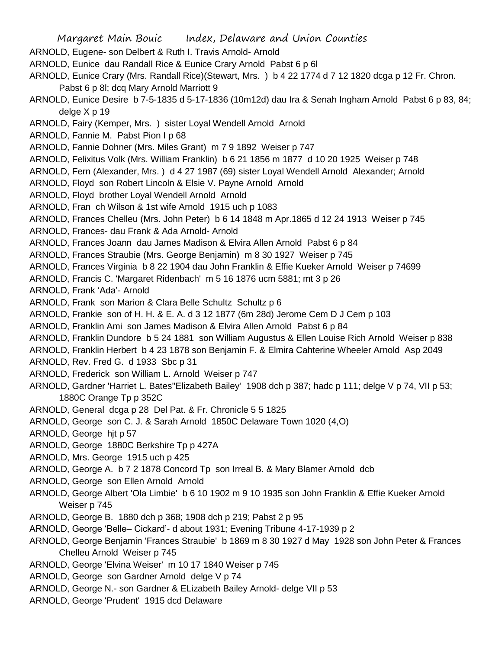- ARNOLD, Eugene- son Delbert & Ruth I. Travis Arnold- Arnold
- ARNOLD, Eunice dau Randall Rice & Eunice Crary Arnold Pabst 6 p 6l
- ARNOLD, Eunice Crary (Mrs. Randall Rice)(Stewart, Mrs. ) b 4 22 1774 d 7 12 1820 dcga p 12 Fr. Chron. Pabst 6 p 8l; dcq Mary Arnold Marriott 9
- ARNOLD, Eunice Desire b 7-5-1835 d 5-17-1836 (10m12d) dau Ira & Senah Ingham Arnold Pabst 6 p 83, 84; delge X p 19
- ARNOLD, Fairy (Kemper, Mrs. ) sister Loyal Wendell Arnold Arnold
- ARNOLD, Fannie M. Pabst Pion I p 68
- ARNOLD, Fannie Dohner (Mrs. Miles Grant) m 7 9 1892 Weiser p 747
- ARNOLD, Felixitus Volk (Mrs. William Franklin) b 6 21 1856 m 1877 d 10 20 1925 Weiser p 748
- ARNOLD, Fern (Alexander, Mrs. ) d 4 27 1987 (69) sister Loyal Wendell Arnold Alexander; Arnold
- ARNOLD, Floyd son Robert Lincoln & Elsie V. Payne Arnold Arnold
- ARNOLD, Floyd brother Loyal Wendell Arnold Arnold
- ARNOLD, Fran ch Wilson & 1st wife Arnold 1915 uch p 1083
- ARNOLD, Frances Chelleu (Mrs. John Peter) b 6 14 1848 m Apr.1865 d 12 24 1913 Weiser p 745
- ARNOLD, Frances- dau Frank & Ada Arnold- Arnold
- ARNOLD, Frances Joann dau James Madison & Elvira Allen Arnold Pabst 6 p 84
- ARNOLD, Frances Straubie (Mrs. George Benjamin) m 8 30 1927 Weiser p 745
- ARNOLD, Frances Virginia b 8 22 1904 dau John Franklin & Effie Kueker Arnold Weiser p 74699
- ARNOLD, Francis C. 'Margaret Ridenbach' m 5 16 1876 ucm 5881; mt 3 p 26
- ARNOLD, Frank 'Ada'- Arnold
- ARNOLD, Frank son Marion & Clara Belle Schultz Schultz p 6
- ARNOLD, Frankie son of H. H. & E. A. d 3 12 1877 (6m 28d) Jerome Cem D J Cem p 103
- ARNOLD, Franklin Ami son James Madison & Elvira Allen Arnold Pabst 6 p 84
- ARNOLD, Franklin Dundore b 5 24 1881 son William Augustus & Ellen Louise Rich Arnold Weiser p 838
- ARNOLD, Franklin Herbert b 4 23 1878 son Benjamin F. & Elmira Cahterine Wheeler Arnold Asp 2049
- ARNOLD, Rev. Fred G. d 1933 Sbc p 31
- ARNOLD, Frederick son William L. Arnold Weiser p 747
- ARNOLD, Gardner 'Harriet L. Bates''Elizabeth Bailey' 1908 dch p 387; hadc p 111; delge V p 74, VII p 53; 1880C Orange Tp p 352C
- ARNOLD, General dcga p 28 Del Pat. & Fr. Chronicle 5 5 1825
- ARNOLD, George son C. J. & Sarah Arnold 1850C Delaware Town 1020 (4,O)
- ARNOLD, George hjt p 57
- ARNOLD, George 1880C Berkshire Tp p 427A
- ARNOLD, Mrs. George 1915 uch p 425
- ARNOLD, George A. b 7 2 1878 Concord Tp son Irreal B. & Mary Blamer Arnold dcb
- ARNOLD, George son Ellen Arnold Arnold
- ARNOLD, George Albert 'Ola Limbie' b 6 10 1902 m 9 10 1935 son John Franklin & Effie Kueker Arnold Weiser p 745
- ARNOLD, George B. 1880 dch p 368; 1908 dch p 219; Pabst 2 p 95
- ARNOLD, George 'Belle– Cickard'- d about 1931; Evening Tribune 4-17-1939 p 2
- ARNOLD, George Benjamin 'Frances Straubie' b 1869 m 8 30 1927 d May 1928 son John Peter & Frances Chelleu Arnold Weiser p 745
- ARNOLD, George 'Elvina Weiser' m 10 17 1840 Weiser p 745
- ARNOLD, George son Gardner Arnold delge V p 74
- ARNOLD, George N.- son Gardner & ELizabeth Bailey Arnold- delge VII p 53
- ARNOLD, George 'Prudent' 1915 dcd Delaware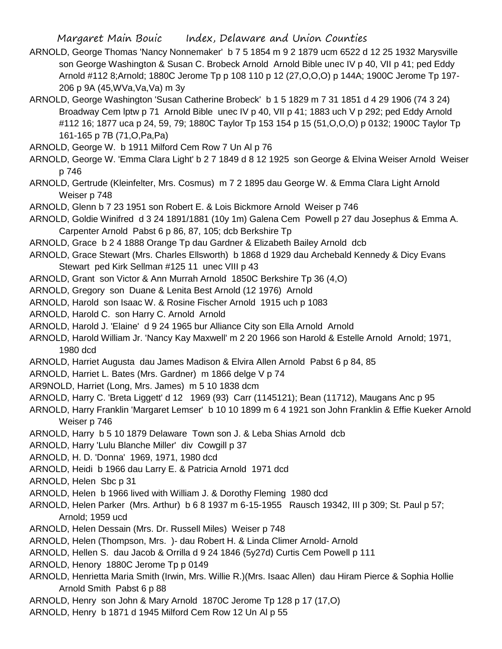- ARNOLD, George Thomas 'Nancy Nonnemaker' b 7 5 1854 m 9 2 1879 ucm 6522 d 12 25 1932 Marysville son George Washington & Susan C. Brobeck Arnold Arnold Bible unec IV p 40, VII p 41; ped Eddy Arnold #112 8;Arnold; 1880C Jerome Tp p 108 110 p 12 (27,O,O,O) p 144A; 1900C Jerome Tp 197- 206 p 9A (45,WVa,Va,Va) m 3y
- ARNOLD, George Washington 'Susan Catherine Brobeck' b 1 5 1829 m 7 31 1851 d 4 29 1906 (74 3 24) Broadway Cem lptw p 71 Arnold Bible unec IV p 40, VII p 41; 1883 uch V p 292; ped Eddy Arnold #112 16; 1877 uca p 24, 59, 79; 1880C Taylor Tp 153 154 p 15 (51,O,O,O) p 0132; 1900C Taylor Tp 161-165 p 7B (71,O,Pa,Pa)
- ARNOLD, George W. b 1911 Milford Cem Row 7 Un Al p 76
- ARNOLD, George W. 'Emma Clara Light' b 2 7 1849 d 8 12 1925 son George & Elvina Weiser Arnold Weiser p 746
- ARNOLD, Gertrude (Kleinfelter, Mrs. Cosmus) m 7 2 1895 dau George W. & Emma Clara Light Arnold Weiser p 748
- ARNOLD, Glenn b 7 23 1951 son Robert E. & Lois Bickmore Arnold Weiser p 746
- ARNOLD, Goldie Winifred d 3 24 1891/1881 (10y 1m) Galena Cem Powell p 27 dau Josephus & Emma A. Carpenter Arnold Pabst 6 p 86, 87, 105; dcb Berkshire Tp
- ARNOLD, Grace b 2 4 1888 Orange Tp dau Gardner & Elizabeth Bailey Arnold dcb
- ARNOLD, Grace Stewart (Mrs. Charles Ellsworth) b 1868 d 1929 dau Archebald Kennedy & Dicy Evans Stewart ped Kirk Sellman #125 11 unec VIII p 43
- ARNOLD, Grant son Victor & Ann Murrah Arnold 1850C Berkshire Tp 36 (4,O)
- ARNOLD, Gregory son Duane & Lenita Best Arnold (12 1976) Arnold
- ARNOLD, Harold son Isaac W. & Rosine Fischer Arnold 1915 uch p 1083
- ARNOLD, Harold C. son Harry C. Arnold Arnold
- ARNOLD, Harold J. 'Elaine' d 9 24 1965 bur Alliance City son Ella Arnold Arnold
- ARNOLD, Harold William Jr. 'Nancy Kay Maxwell' m 2 20 1966 son Harold & Estelle Arnold Arnold; 1971, 1980 dcd
- ARNOLD, Harriet Augusta dau James Madison & Elvira Allen Arnold Pabst 6 p 84, 85
- ARNOLD, Harriet L. Bates (Mrs. Gardner) m 1866 delge V p 74
- AR9NOLD, Harriet (Long, Mrs. James) m 5 10 1838 dcm
- ARNOLD, Harry C. 'Breta Liggett' d 12 1969 (93) Carr (1145121); Bean (11712), Maugans Anc p 95
- ARNOLD, Harry Franklin 'Margaret Lemser' b 10 10 1899 m 6 4 1921 son John Franklin & Effie Kueker Arnold Weiser p 746
- ARNOLD, Harry b 5 10 1879 Delaware Town son J. & Leba Shias Arnold dcb
- ARNOLD, Harry 'Lulu Blanche Miller' div Cowgill p 37
- ARNOLD, H. D. 'Donna' 1969, 1971, 1980 dcd
- ARNOLD, Heidi b 1966 dau Larry E. & Patricia Arnold 1971 dcd
- ARNOLD, Helen Sbc p 31
- ARNOLD, Helen b 1966 lived with William J. & Dorothy Fleming 1980 dcd
- ARNOLD, Helen Parker (Mrs. Arthur) b 6 8 1937 m 6-15-1955 Rausch 19342, III p 309; St. Paul p 57; Arnold; 1959 ucd
- ARNOLD, Helen Dessain (Mrs. Dr. Russell Miles) Weiser p 748
- ARNOLD, Helen (Thompson, Mrs. )- dau Robert H. & Linda Climer Arnold- Arnold
- ARNOLD, Hellen S. dau Jacob & Orrilla d 9 24 1846 (5y27d) Curtis Cem Powell p 111
- ARNOLD, Henory 1880C Jerome Tp p 0149
- ARNOLD, Henrietta Maria Smith (Irwin, Mrs. Willie R.)(Mrs. Isaac Allen) dau Hiram Pierce & Sophia Hollie Arnold Smith Pabst 6 p 88
- ARNOLD, Henry son John & Mary Arnold 1870C Jerome Tp 128 p 17 (17,O)
- ARNOLD, Henry b 1871 d 1945 Milford Cem Row 12 Un Al p 55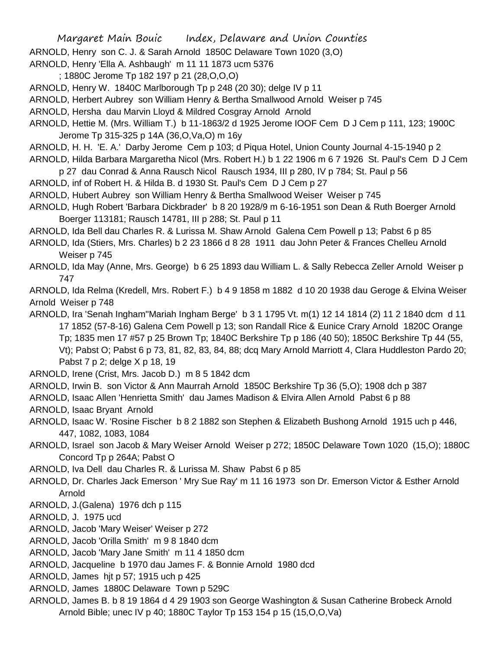- ARNOLD, Henry son C. J. & Sarah Arnold 1850C Delaware Town 1020 (3,O)
- ARNOLD, Henry 'Ella A. Ashbaugh' m 11 11 1873 ucm 5376
- ; 1880C Jerome Tp 182 197 p 21 (28,O,O,O)
- ARNOLD, Henry W. 1840C Marlborough Tp p 248 (20 30); delge IV p 11
- ARNOLD, Herbert Aubrey son William Henry & Bertha Smallwood Arnold Weiser p 745
- ARNOLD, Hersha dau Marvin Lloyd & Mildred Cosgray Arnold Arnold
- ARNOLD, Hettie M. (Mrs. William T.) b 11-1863/2 d 1925 Jerome IOOF Cem D J Cem p 111, 123; 1900C Jerome Tp 315-325 p 14A (36,O,Va,O) m 16y
- ARNOLD, H. H. 'E. A.' Darby Jerome Cem p 103; d Piqua Hotel, Union County Journal 4-15-1940 p 2
- ARNOLD, Hilda Barbara Margaretha Nicol (Mrs. Robert H.) b 1 22 1906 m 6 7 1926 St. Paul's Cem D J Cem
- p 27 dau Conrad & Anna Rausch Nicol Rausch 1934, III p 280, IV p 784; St. Paul p 56
- ARNOLD, inf of Robert H. & Hilda B. d 1930 St. Paul's Cem D J Cem p 27
- ARNOLD, Hubert Aubrey son William Henry & Bertha Smallwood Weiser Weiser p 745
- ARNOLD, Hugh Robert 'Barbara Dickbrader' b 8 20 1928/9 m 6-16-1951 son Dean & Ruth Boerger Arnold Boerger 113181; Rausch 14781, III p 288; St. Paul p 11
- ARNOLD, Ida Bell dau Charles R. & Lurissa M. Shaw Arnold Galena Cem Powell p 13; Pabst 6 p 85
- ARNOLD, Ida (Stiers, Mrs. Charles) b 2 23 1866 d 8 28 1911 dau John Peter & Frances Chelleu Arnold Weiser p 745
- ARNOLD, Ida May (Anne, Mrs. George) b 6 25 1893 dau William L. & Sally Rebecca Zeller Arnold Weiser p 747

ARNOLD, Ida Relma (Kredell, Mrs. Robert F.) b 4 9 1858 m 1882 d 10 20 1938 dau Geroge & Elvina Weiser Arnold Weiser p 748

- ARNOLD, Ira 'Senah Ingham''Mariah Ingham Berge' b 3 1 1795 Vt. m(1) 12 14 1814 (2) 11 2 1840 dcm d 11 17 1852 (57-8-16) Galena Cem Powell p 13; son Randall Rice & Eunice Crary Arnold 1820C Orange Tp; 1835 men 17 #57 p 25 Brown Tp; 1840C Berkshire Tp p 186 (40 50); 1850C Berkshire Tp 44 (55, Vt); Pabst O; Pabst 6 p 73, 81, 82, 83, 84, 88; dcq Mary Arnold Marriott 4, Clara Huddleston Pardo 20; Pabst 7 p 2; delge X p 18, 19
- ARNOLD, Irene (Crist, Mrs. Jacob D.) m 8 5 1842 dcm
- ARNOLD, Irwin B. son Victor & Ann Maurrah Arnold 1850C Berkshire Tp 36 (5,O); 1908 dch p 387
- ARNOLD, Isaac Allen 'Henrietta Smith' dau James Madison & Elvira Allen Arnold Pabst 6 p 88
- ARNOLD, Isaac Bryant Arnold
- ARNOLD, Isaac W. 'Rosine Fischer b 8 2 1882 son Stephen & Elizabeth Bushong Arnold 1915 uch p 446, 447, 1082, 1083, 1084
- ARNOLD, Israel son Jacob & Mary Weiser Arnold Weiser p 272; 1850C Delaware Town 1020 (15,O); 1880C Concord Tp p 264A; Pabst O
- ARNOLD, Iva Dell dau Charles R. & Lurissa M. Shaw Pabst 6 p 85
- ARNOLD, Dr. Charles Jack Emerson ' Mry Sue Ray' m 11 16 1973 son Dr. Emerson Victor & Esther Arnold Arnold
- ARNOLD, J.(Galena) 1976 dch p 115
- ARNOLD, J. 1975 ucd
- ARNOLD, Jacob 'Mary Weiser' Weiser p 272
- ARNOLD, Jacob 'Orilla Smith' m 9 8 1840 dcm
- ARNOLD, Jacob 'Mary Jane Smith' m 11 4 1850 dcm
- ARNOLD, Jacqueline b 1970 dau James F. & Bonnie Arnold 1980 dcd
- ARNOLD, James hjt p 57; 1915 uch p 425
- ARNOLD, James 1880C Delaware Town p 529C
- ARNOLD, James B. b 8 19 1864 d 4 29 1903 son George Washington & Susan Catherine Brobeck Arnold Arnold Bible; unec IV p 40; 1880C Taylor Tp 153 154 p 15 (15,O,O,Va)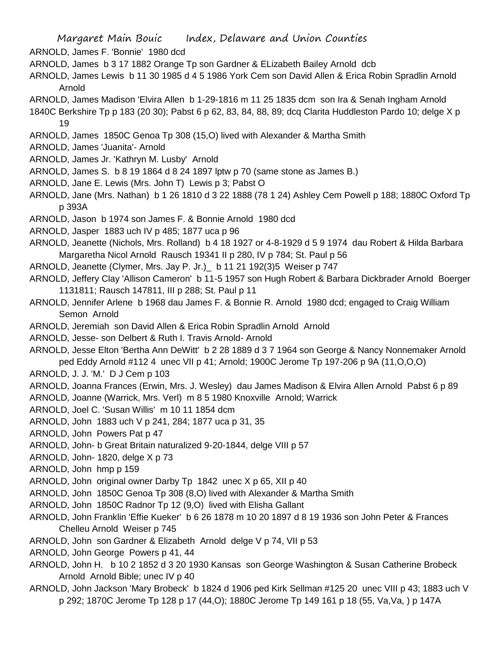- ARNOLD, James F. 'Bonnie' 1980 dcd
- ARNOLD, James b 3 17 1882 Orange Tp son Gardner & ELizabeth Bailey Arnold dcb
- ARNOLD, James Lewis b 11 30 1985 d 4 5 1986 York Cem son David Allen & Erica Robin Spradlin Arnold Arnold
- ARNOLD, James Madison 'Elvira Allen b 1-29-1816 m 11 25 1835 dcm son Ira & Senah Ingham Arnold
- 1840C Berkshire Tp p 183 (20 30); Pabst 6 p 62, 83, 84, 88, 89; dcq Clarita Huddleston Pardo 10; delge X p 19
- ARNOLD, James 1850C Genoa Tp 308 (15,O) lived with Alexander & Martha Smith
- ARNOLD, James 'Juanita'- Arnold
- ARNOLD, James Jr. 'Kathryn M. Lusby' Arnold
- ARNOLD, James S. b 8 19 1864 d 8 24 1897 lptw p 70 (same stone as James B.)
- ARNOLD, Jane E. Lewis (Mrs. John T) Lewis p 3; Pabst O
- ARNOLD, Jane (Mrs. Nathan) b 1 26 1810 d 3 22 1888 (78 1 24) Ashley Cem Powell p 188; 1880C Oxford Tp p 393A
- ARNOLD, Jason b 1974 son James F. & Bonnie Arnold 1980 dcd
- ARNOLD, Jasper 1883 uch IV p 485; 1877 uca p 96
- ARNOLD, Jeanette (Nichols, Mrs. Rolland) b 4 18 1927 or 4-8-1929 d 5 9 1974 dau Robert & Hilda Barbara Margaretha Nicol Arnold Rausch 19341 II p 280, IV p 784; St. Paul p 56
- ARNOLD, Jeanette (Clymer, Mrs. Jay P. Jr.)\_ b 11 21 192(3)5 Weiser p 747
- ARNOLD, Jeffery Clay 'Allison Cameron' b 11-5 1957 son Hugh Robert & Barbara Dickbrader Arnold Boerger 1131811; Rausch 147811, III p 288; St. Paul p 11
- ARNOLD, Jennifer Arlene b 1968 dau James F. & Bonnie R. Arnold 1980 dcd; engaged to Craig William Semon Arnold
- ARNOLD, Jeremiah son David Allen & Erica Robin Spradlin Arnold Arnold
- ARNOLD, Jesse- son Delbert & Ruth I. Travis Arnold- Arnold
- ARNOLD, Jesse Elton 'Bertha Ann DeWitt' b 2 28 1889 d 3 7 1964 son George & Nancy Nonnemaker Arnold ped Eddy Arnold #112 4 unec VII p 41; Arnold; 1900C Jerome Tp 197-206 p 9A (11,O,O,O)
- ARNOLD, J. J. 'M.' D J Cem p 103
- ARNOLD, Joanna Frances (Erwin, Mrs. J. Wesley) dau James Madison & Elvira Allen Arnold Pabst 6 p 89
- ARNOLD, Joanne (Warrick, Mrs. Verl) m 8 5 1980 Knoxville Arnold; Warrick
- ARNOLD, Joel C. 'Susan Willis' m 10 11 1854 dcm
- ARNOLD, John 1883 uch V p 241, 284; 1877 uca p 31, 35
- ARNOLD, John Powers Pat p 47
- ARNOLD, John- b Great Britain naturalized 9-20-1844, delge VIII p 57
- ARNOLD, John- 1820, delge X p 73
- ARNOLD, John hmp p 159
- ARNOLD, John original owner Darby Tp 1842 unec X p 65, XII p 40
- ARNOLD, John 1850C Genoa Tp 308 (8,O) lived with Alexander & Martha Smith
- ARNOLD, John 1850C Radnor Tp 12 (9,O) lived with Elisha Gallant
- ARNOLD, John Franklin 'Effie Kueker' b 6 26 1878 m 10 20 1897 d 8 19 1936 son John Peter & Frances Chelleu Arnold Weiser p 745
- ARNOLD, John son Gardner & Elizabeth Arnold delge V p 74, VII p 53
- ARNOLD, John George Powers p 41, 44
- ARNOLD, John H. b 10 2 1852 d 3 20 1930 Kansas son George Washington & Susan Catherine Brobeck Arnold Arnold Bible; unec IV p 40
- ARNOLD, John Jackson 'Mary Brobeck' b 1824 d 1906 ped Kirk Sellman #125 20 unec VIII p 43; 1883 uch V p 292; 1870C Jerome Tp 128 p 17 (44,O); 1880C Jerome Tp 149 161 p 18 (55, Va,Va, ) p 147A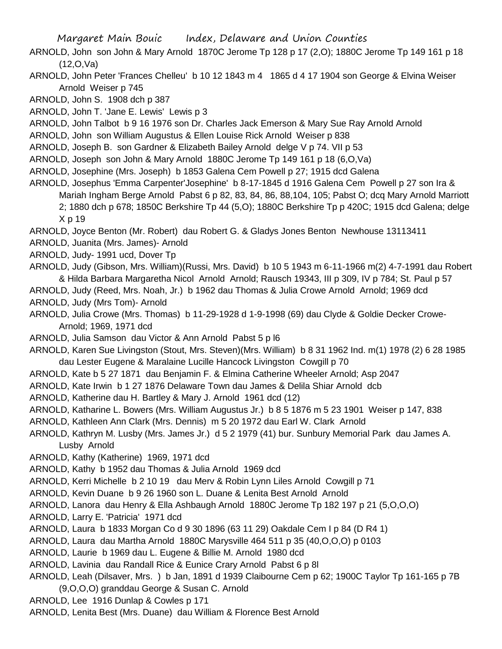- ARNOLD, John son John & Mary Arnold 1870C Jerome Tp 128 p 17 (2,O); 1880C Jerome Tp 149 161 p 18 (12,O,Va)
- ARNOLD, John Peter 'Frances Chelleu' b 10 12 1843 m 4 1865 d 4 17 1904 son George & Elvina Weiser Arnold Weiser p 745
- ARNOLD, John S. 1908 dch p 387
- ARNOLD, John T. 'Jane E. Lewis' Lewis p 3
- ARNOLD, John Talbot b 9 16 1976 son Dr. Charles Jack Emerson & Mary Sue Ray Arnold Arnold
- ARNOLD, John son William Augustus & Ellen Louise Rick Arnold Weiser p 838
- ARNOLD, Joseph B. son Gardner & Elizabeth Bailey Arnold delge V p 74. VII p 53
- ARNOLD, Joseph son John & Mary Arnold 1880C Jerome Tp 149 161 p 18 (6,O,Va)
- ARNOLD, Josephine (Mrs. Joseph) b 1853 Galena Cem Powell p 27; 1915 dcd Galena
- ARNOLD, Josephus 'Emma Carpenter'Josephine' b 8-17-1845 d 1916 Galena Cem Powell p 27 son Ira & Mariah Ingham Berge Arnold Pabst 6 p 82, 83, 84, 86, 88,104, 105; Pabst O; dcq Mary Arnold Marriott 2; 1880 dch p 678; 1850C Berkshire Tp 44 (5,O); 1880C Berkshire Tp p 420C; 1915 dcd Galena; delge X p 19
- ARNOLD, Joyce Benton (Mr. Robert) dau Robert G. & Gladys Jones Benton Newhouse 13113411
- ARNOLD, Juanita (Mrs. James)- Arnold
- ARNOLD, Judy- 1991 ucd, Dover Tp
- ARNOLD, Judy (Gibson, Mrs. William)(Russi, Mrs. David) b 10 5 1943 m 6-11-1966 m(2) 4-7-1991 dau Robert & Hilda Barbara Margaretha Nicol Arnold Arnold; Rausch 19343, III p 309, IV p 784; St. Paul p 57
- ARNOLD, Judy (Reed, Mrs. Noah, Jr.) b 1962 dau Thomas & Julia Crowe Arnold Arnold; 1969 dcd
- ARNOLD, Judy (Mrs Tom)- Arnold
- ARNOLD, Julia Crowe (Mrs. Thomas) b 11-29-1928 d 1-9-1998 (69) dau Clyde & Goldie Decker Crowe-Arnold; 1969, 1971 dcd
- ARNOLD, Julia Samson dau Victor & Ann Arnold Pabst 5 p l6
- ARNOLD, Karen Sue Livingston (Stout, Mrs. Steven)(Mrs. William) b 8 31 1962 Ind. m(1) 1978 (2) 6 28 1985 dau Lester Eugene & Maralaine Lucille Hancock Livingston Cowgill p 70
- ARNOLD, Kate b 5 27 1871 dau Benjamin F. & Elmina Catherine Wheeler Arnold; Asp 2047
- ARNOLD, Kate Irwin b 1 27 1876 Delaware Town dau James & Delila Shiar Arnold dcb
- ARNOLD, Katherine dau H. Bartley & Mary J. Arnold 1961 dcd (12)
- ARNOLD, Katharine L. Bowers (Mrs. William Augustus Jr.) b 8 5 1876 m 5 23 1901 Weiser p 147, 838
- ARNOLD, Kathleen Ann Clark (Mrs. Dennis) m 5 20 1972 dau Earl W. Clark Arnold
- ARNOLD, Kathryn M. Lusby (Mrs. James Jr.) d 5 2 1979 (41) bur. Sunbury Memorial Park dau James A. Lusby Arnold
- ARNOLD, Kathy (Katherine) 1969, 1971 dcd
- ARNOLD, Kathy b 1952 dau Thomas & Julia Arnold 1969 dcd
- ARNOLD, Kerri Michelle b 2 10 19 dau Merv & Robin Lynn Liles Arnold Cowgill p 71
- ARNOLD, Kevin Duane b 9 26 1960 son L. Duane & Lenita Best Arnold Arnold
- ARNOLD, Lanora dau Henry & Ella Ashbaugh Arnold 1880C Jerome Tp 182 197 p 21 (5,O,O,O)
- ARNOLD, Larry E. 'Patricia' 1971 dcd
- ARNOLD, Laura b 1833 Morgan Co d 9 30 1896 (63 11 29) Oakdale Cem I p 84 (D R4 1)
- ARNOLD, Laura dau Martha Arnold 1880C Marysville 464 511 p 35 (40,O,O,O) p 0103
- ARNOLD, Laurie b 1969 dau L. Eugene & Billie M. Arnold 1980 dcd
- ARNOLD, Lavinia dau Randall Rice & Eunice Crary Arnold Pabst 6 p 8l
- ARNOLD, Leah (Dilsaver, Mrs. ) b Jan, 1891 d 1939 Claibourne Cem p 62; 1900C Taylor Tp 161-165 p 7B (9,O,O,O) granddau George & Susan C. Arnold
- ARNOLD, Lee 1916 Dunlap & Cowles p 171
- ARNOLD, Lenita Best (Mrs. Duane) dau William & Florence Best Arnold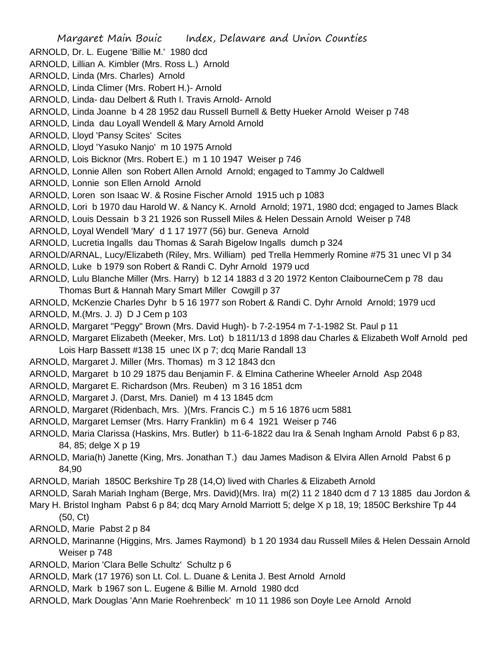Margaret Main Bouic Index, Delaware and Union Counties ARNOLD, Dr. L. Eugene 'Billie M.' 1980 dcd ARNOLD, Lillian A. Kimbler (Mrs. Ross L.) Arnold ARNOLD, Linda (Mrs. Charles) Arnold ARNOLD, Linda Climer (Mrs. Robert H.)- Arnold ARNOLD, Linda- dau Delbert & Ruth I. Travis Arnold- Arnold ARNOLD, Linda Joanne b 4 28 1952 dau Russell Burnell & Betty Hueker Arnold Weiser p 748 ARNOLD, Linda dau Loyall Wendell & Mary Arnold Arnold ARNOLD, Lloyd 'Pansy Scites' Scites ARNOLD, Lloyd 'Yasuko Nanjo' m 10 1975 Arnold ARNOLD, Lois Bicknor (Mrs. Robert E.) m 1 10 1947 Weiser p 746 ARNOLD, Lonnie Allen son Robert Allen Arnold Arnold; engaged to Tammy Jo Caldwell ARNOLD, Lonnie son Ellen Arnold Arnold ARNOLD, Loren son Isaac W. & Rosine Fischer Arnold 1915 uch p 1083 ARNOLD, Lori b 1970 dau Harold W. & Nancy K. Arnold Arnold; 1971, 1980 dcd; engaged to James Black ARNOLD, Louis Dessain b 3 21 1926 son Russell Miles & Helen Dessain Arnold Weiser p 748 ARNOLD, Loyal Wendell 'Mary' d 1 17 1977 (56) bur. Geneva Arnold ARNOLD, Lucretia Ingalls dau Thomas & Sarah Bigelow Ingalls dumch p 324 ARNOLD/ARNAL, Lucy/Elizabeth (Riley, Mrs. William) ped Trella Hemmerly Romine #75 31 unec VI p 34 ARNOLD, Luke b 1979 son Robert & Randi C. Dyhr Arnold 1979 ucd ARNOLD, Lulu Blanche Miller (Mrs. Harry) b 12 14 1883 d 3 20 1972 Kenton ClaibourneCem p 78 dau Thomas Burt & Hannah Mary Smart Miller Cowgill p 37 ARNOLD, McKenzie Charles Dyhr b 5 16 1977 son Robert & Randi C. Dyhr Arnold Arnold; 1979 ucd ARNOLD, M.(Mrs. J. J) D J Cem p 103 ARNOLD, Margaret "Peggy" Brown (Mrs. David Hugh)- b 7-2-1954 m 7-1-1982 St. Paul p 11 ARNOLD, Margaret Elizabeth (Meeker, Mrs. Lot) b 1811/13 d 1898 dau Charles & Elizabeth Wolf Arnold ped Lois Harp Bassett #138 15 unec IX p 7; dcq Marie Randall 13 ARNOLD, Margaret J. Miller (Mrs. Thomas) m 3 12 1843 dcn ARNOLD, Margaret b 10 29 1875 dau Benjamin F. & Elmina Catherine Wheeler Arnold Asp 2048 ARNOLD, Margaret E. Richardson (Mrs. Reuben) m 3 16 1851 dcm ARNOLD, Margaret J. (Darst, Mrs. Daniel) m 4 13 1845 dcm ARNOLD, Margaret (Ridenbach, Mrs. )(Mrs. Francis C.) m 5 16 1876 ucm 5881 ARNOLD, Margaret Lemser (Mrs. Harry Franklin) m 6 4 1921 Weiser p 746 ARNOLD, Maria Clarissa (Haskins, Mrs. Butler) b 11-6-1822 dau Ira & Senah Ingham Arnold Pabst 6 p 83, 84, 85; delge X p 19 ARNOLD, Maria(h) Janette (King, Mrs. Jonathan T.) dau James Madison & Elvira Allen Arnold Pabst 6 p 84,90 ARNOLD, Mariah 1850C Berkshire Tp 28 (14,O) lived with Charles & Elizabeth Arnold ARNOLD, Sarah Mariah Ingham (Berge, Mrs. David)(Mrs. Ira) m(2) 11 2 1840 dcm d 7 13 1885 dau Jordon &

- Mary H. Bristol Ingham Pabst 6 p 84; dcq Mary Arnold Marriott 5; delge X p 18, 19; 1850C Berkshire Tp 44 (50, Ct)
- ARNOLD, Marie Pabst 2 p 84
- ARNOLD, Marinanne (Higgins, Mrs. James Raymond) b 1 20 1934 dau Russell Miles & Helen Dessain Arnold Weiser p 748
- ARNOLD, Marion 'Clara Belle Schultz' Schultz p 6
- ARNOLD, Mark (17 1976) son Lt. Col. L. Duane & Lenita J. Best Arnold Arnold
- ARNOLD, Mark b 1967 son L. Eugene & Billie M. Arnold 1980 dcd
- ARNOLD, Mark Douglas 'Ann Marie Roehrenbeck' m 10 11 1986 son Doyle Lee Arnold Arnold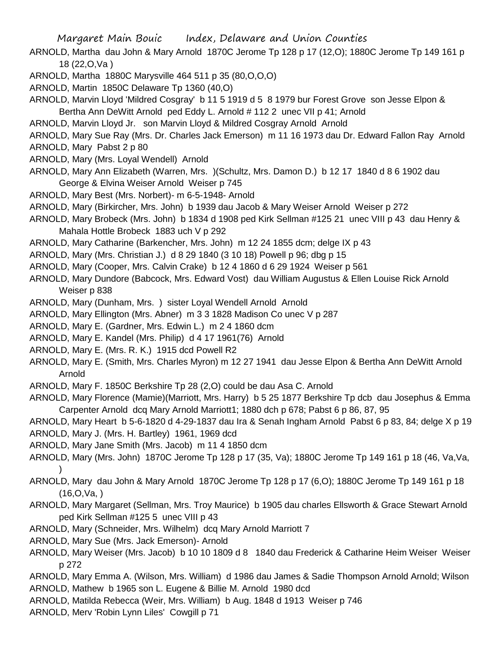- ARNOLD, Martha dau John & Mary Arnold 1870C Jerome Tp 128 p 17 (12,O); 1880C Jerome Tp 149 161 p 18 (22,O,Va )
- ARNOLD, Martha 1880C Marysville 464 511 p 35 (80,O,O,O)
- ARNOLD, Martin 1850C Delaware Tp 1360 (40,O)
- ARNOLD, Marvin Lloyd 'Mildred Cosgray' b 11 5 1919 d 5 8 1979 bur Forest Grove son Jesse Elpon & Bertha Ann DeWitt Arnold ped Eddy L. Arnold # 112 2 unec VII p 41; Arnold
- ARNOLD, Marvin Lloyd Jr. son Marvin Lloyd & Mildred Cosgray Arnold Arnold
- ARNOLD, Mary Sue Ray (Mrs. Dr. Charles Jack Emerson) m 11 16 1973 dau Dr. Edward Fallon Ray Arnold
- ARNOLD, Mary Pabst 2 p 80
- ARNOLD, Mary (Mrs. Loyal Wendell) Arnold
- ARNOLD, Mary Ann Elizabeth (Warren, Mrs. )(Schultz, Mrs. Damon D.) b 12 17 1840 d 8 6 1902 dau George & Elvina Weiser Arnold Weiser p 745
- ARNOLD, Mary Best (Mrs. Norbert)- m 6-5-1948- Arnold
- ARNOLD, Mary (Birkircher, Mrs. John) b 1939 dau Jacob & Mary Weiser Arnold Weiser p 272
- ARNOLD, Mary Brobeck (Mrs. John) b 1834 d 1908 ped Kirk Sellman #125 21 unec VIII p 43 dau Henry & Mahala Hottle Brobeck 1883 uch V p 292
- ARNOLD, Mary Catharine (Barkencher, Mrs. John) m 12 24 1855 dcm; delge IX p 43
- ARNOLD, Mary (Mrs. Christian J.) d 8 29 1840 (3 10 18) Powell p 96; dbg p 15
- ARNOLD, Mary (Cooper, Mrs. Calvin Crake) b 12 4 1860 d 6 29 1924 Weiser p 561
- ARNOLD, Mary Dundore (Babcock, Mrs. Edward Vost) dau William Augustus & Ellen Louise Rick Arnold Weiser p 838
- ARNOLD, Mary (Dunham, Mrs. ) sister Loyal Wendell Arnold Arnold
- ARNOLD, Mary Ellington (Mrs. Abner) m 3 3 1828 Madison Co unec V p 287
- ARNOLD, Mary E. (Gardner, Mrs. Edwin L.) m 2 4 1860 dcm
- ARNOLD, Mary E. Kandel (Mrs. Philip) d 4 17 1961(76) Arnold
- ARNOLD, Mary E. (Mrs. R. K.) 1915 dcd Powell R2
- ARNOLD, Mary E. (Smith, Mrs. Charles Myron) m 12 27 1941 dau Jesse Elpon & Bertha Ann DeWitt Arnold Arnold
- ARNOLD, Mary F. 1850C Berkshire Tp 28 (2,O) could be dau Asa C. Arnold
- ARNOLD, Mary Florence (Mamie)(Marriott, Mrs. Harry) b 5 25 1877 Berkshire Tp dcb dau Josephus & Emma Carpenter Arnold dcq Mary Arnold Marriott1; 1880 dch p 678; Pabst 6 p 86, 87, 95
- ARNOLD, Mary Heart b 5-6-1820 d 4-29-1837 dau Ira & Senah Ingham Arnold Pabst 6 p 83, 84; delge X p 19
- ARNOLD, Mary J. (Mrs. H. Bartley) 1961, 1969 dcd
- ARNOLD, Mary Jane Smith (Mrs. Jacob) m 11 4 1850 dcm
- ARNOLD, Mary (Mrs. John) 1870C Jerome Tp 128 p 17 (35, Va); 1880C Jerome Tp 149 161 p 18 (46, Va,Va,  $\lambda$
- ARNOLD, Mary dau John & Mary Arnold 1870C Jerome Tp 128 p 17 (6,O); 1880C Jerome Tp 149 161 p 18  $(16,0,Va)$
- ARNOLD, Mary Margaret (Sellman, Mrs. Troy Maurice) b 1905 dau charles Ellsworth & Grace Stewart Arnold ped Kirk Sellman #125 5 unec VIII p 43
- ARNOLD, Mary (Schneider, Mrs. Wilhelm) dcq Mary Arnold Marriott 7
- ARNOLD, Mary Sue (Mrs. Jack Emerson)- Arnold
- ARNOLD, Mary Weiser (Mrs. Jacob) b 10 10 1809 d 8 1840 dau Frederick & Catharine Heim Weiser Weiser p 272
- ARNOLD, Mary Emma A. (Wilson, Mrs. William) d 1986 dau James & Sadie Thompson Arnold Arnold; Wilson
- ARNOLD, Mathew b 1965 son L. Eugene & Billie M. Arnold 1980 dcd
- ARNOLD, Matilda Rebecca (Weir, Mrs. William) b Aug. 1848 d 1913 Weiser p 746
- ARNOLD, Merv 'Robin Lynn Liles' Cowgill p 71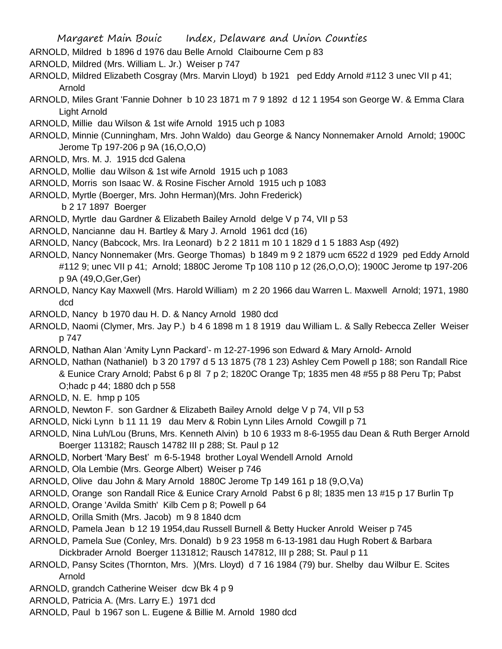- ARNOLD, Mildred b 1896 d 1976 dau Belle Arnold Claibourne Cem p 83
- ARNOLD, Mildred (Mrs. William L. Jr.) Weiser p 747
- ARNOLD, Mildred Elizabeth Cosgray (Mrs. Marvin Lloyd) b 1921 ped Eddy Arnold #112 3 unec VII p 41; Arnold
- ARNOLD, Miles Grant 'Fannie Dohner b 10 23 1871 m 7 9 1892 d 12 1 1954 son George W. & Emma Clara Light Arnold
- ARNOLD, Millie dau Wilson & 1st wife Arnold 1915 uch p 1083
- ARNOLD, Minnie (Cunningham, Mrs. John Waldo) dau George & Nancy Nonnemaker Arnold Arnold; 1900C Jerome Tp 197-206 p 9A (16,O,O,O)
- ARNOLD, Mrs. M. J. 1915 dcd Galena
- ARNOLD, Mollie dau Wilson & 1st wife Arnold 1915 uch p 1083
- ARNOLD, Morris son Isaac W. & Rosine Fischer Arnold 1915 uch p 1083
- ARNOLD, Myrtle (Boerger, Mrs. John Herman)(Mrs. John Frederick)
	- b 2 17 1897 Boerger
- ARNOLD, Myrtle dau Gardner & Elizabeth Bailey Arnold delge V p 74, VII p 53
- ARNOLD, Nancianne dau H. Bartley & Mary J. Arnold 1961 dcd (16)
- ARNOLD, Nancy (Babcock, Mrs. Ira Leonard) b 2 2 1811 m 10 1 1829 d 1 5 1883 Asp (492)
- ARNOLD, Nancy Nonnemaker (Mrs. George Thomas) b 1849 m 9 2 1879 ucm 6522 d 1929 ped Eddy Arnold #112 9; unec VII p 41; Arnold; 1880C Jerome Tp 108 110 p 12 (26,O,O,O); 1900C Jerome tp 197-206 p 9A (49,O,Ger,Ger)
- ARNOLD, Nancy Kay Maxwell (Mrs. Harold William) m 2 20 1966 dau Warren L. Maxwell Arnold; 1971, 1980 dcd
- ARNOLD, Nancy b 1970 dau H. D. & Nancy Arnold 1980 dcd
- ARNOLD, Naomi (Clymer, Mrs. Jay P.) b 4 6 1898 m 1 8 1919 dau William L. & Sally Rebecca Zeller Weiser p 747
- ARNOLD, Nathan Alan 'Amity Lynn Packard'- m 12-27-1996 son Edward & Mary Arnold- Arnold
- ARNOLD, Nathan (Nathaniel) b 3 20 1797 d 5 13 1875 (78 1 23) Ashley Cem Powell p 188; son Randall Rice & Eunice Crary Arnold; Pabst 6 p 8l 7 p 2; 1820C Orange Tp; 1835 men 48 #55 p 88 Peru Tp; Pabst O;hadc p 44; 1880 dch p 558
- ARNOLD, N. E. hmp p 105
- ARNOLD, Newton F. son Gardner & Elizabeth Bailey Arnold delge V p 74, VII p 53
- ARNOLD, Nicki Lynn b 11 11 19 dau Merv & Robin Lynn Liles Arnold Cowgill p 71
- ARNOLD, Nina Luh/Lou (Bruns, Mrs. Kenneth Alvin) b 10 6 1933 m 8-6-1955 dau Dean & Ruth Berger Arnold Boerger 113182; Rausch 14782 III p 288; St. Paul p 12
- ARNOLD, Norbert 'Mary Best' m 6-5-1948 brother Loyal Wendell Arnold Arnold
- ARNOLD, Ola Lembie (Mrs. George Albert) Weiser p 746
- ARNOLD, Olive dau John & Mary Arnold 1880C Jerome Tp 149 161 p 18 (9,O,Va)
- ARNOLD, Orange son Randall Rice & Eunice Crary Arnold Pabst 6 p 8l; 1835 men 13 #15 p 17 Burlin Tp
- ARNOLD, Orange 'Avilda Smith' Kilb Cem p 8; Powell p 64
- ARNOLD, Orilla Smith (Mrs. Jacob) m 9 8 1840 dcm
- ARNOLD, Pamela Jean b 12 19 1954,dau Russell Burnell & Betty Hucker Anrold Weiser p 745
- ARNOLD, Pamela Sue (Conley, Mrs. Donald) b 9 23 1958 m 6-13-1981 dau Hugh Robert & Barbara Dickbrader Arnold Boerger 1131812; Rausch 147812, III p 288; St. Paul p 11
- ARNOLD, Pansy Scites (Thornton, Mrs. )(Mrs. Lloyd) d 7 16 1984 (79) bur. Shelby dau Wilbur E. Scites Arnold
- ARNOLD, grandch Catherine Weiser dcw Bk 4 p 9
- ARNOLD, Patricia A. (Mrs. Larry E.) 1971 dcd
- ARNOLD, Paul b 1967 son L. Eugene & Billie M. Arnold 1980 dcd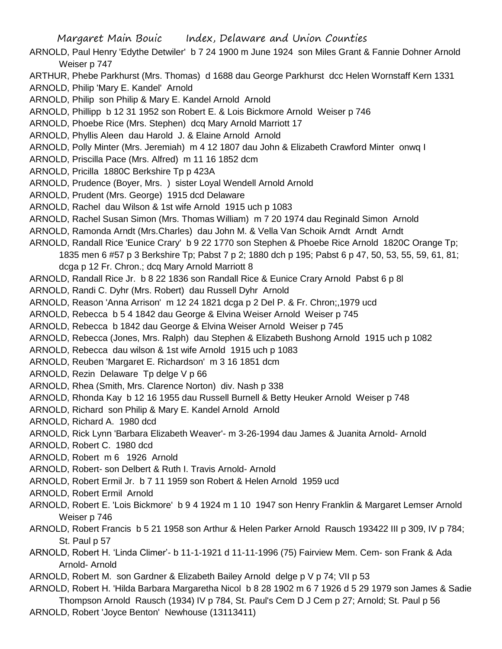- ARNOLD, Paul Henry 'Edythe Detwiler' b 7 24 1900 m June 1924 son Miles Grant & Fannie Dohner Arnold Weiser p 747
- ARTHUR, Phebe Parkhurst (Mrs. Thomas) d 1688 dau George Parkhurst dcc Helen Wornstaff Kern 1331
- ARNOLD, Philip 'Mary E. Kandel' Arnold
- ARNOLD, Philip son Philip & Mary E. Kandel Arnold Arnold
- ARNOLD, Phillipp b 12 31 1952 son Robert E. & Lois Bickmore Arnold Weiser p 746
- ARNOLD, Phoebe Rice (Mrs. Stephen) dcq Mary Arnold Marriott 17
- ARNOLD, Phyllis Aleen dau Harold J. & Elaine Arnold Arnold
- ARNOLD, Polly Minter (Mrs. Jeremiah) m 4 12 1807 dau John & Elizabeth Crawford Minter onwq I
- ARNOLD, Priscilla Pace (Mrs. Alfred) m 11 16 1852 dcm
- ARNOLD, Pricilla 1880C Berkshire Tp p 423A
- ARNOLD, Prudence (Boyer, Mrs. ) sister Loyal Wendell Arnold Arnold
- ARNOLD, Prudent (Mrs. George) 1915 dcd Delaware
- ARNOLD, Rachel dau Wilson & 1st wife Arnold 1915 uch p 1083
- ARNOLD, Rachel Susan Simon (Mrs. Thomas William) m 7 20 1974 dau Reginald Simon Arnold
- ARNOLD, Ramonda Arndt (Mrs.Charles) dau John M. & Vella Van Schoik Arndt Arndt Arndt
- ARNOLD, Randall Rice 'Eunice Crary' b 9 22 1770 son Stephen & Phoebe Rice Arnold 1820C Orange Tp; 1835 men 6 #57 p 3 Berkshire Tp; Pabst 7 p 2; 1880 dch p 195; Pabst 6 p 47, 50, 53, 55, 59, 61, 81; dcga p 12 Fr. Chron.; dcq Mary Arnold Marriott 8
- ARNOLD, Randall Rice Jr. b 8 22 1836 son Randall Rice & Eunice Crary Arnold Pabst 6 p 8l
- ARNOLD, Randi C. Dyhr (Mrs. Robert) dau Russell Dyhr Arnold
- ARNOLD, Reason 'Anna Arrison' m 12 24 1821 dcga p 2 Del P. & Fr. Chron;,1979 ucd
- ARNOLD, Rebecca b 5 4 1842 dau George & Elvina Weiser Arnold Weiser p 745
- ARNOLD, Rebecca b 1842 dau George & Elvina Weiser Arnold Weiser p 745
- ARNOLD, Rebecca (Jones, Mrs. Ralph) dau Stephen & Elizabeth Bushong Arnold 1915 uch p 1082
- ARNOLD, Rebecca dau wilson & 1st wife Arnold 1915 uch p 1083
- ARNOLD, Reuben 'Margaret E. Richardson' m 3 16 1851 dcm
- ARNOLD, Rezin Delaware Tp delge V p 66
- ARNOLD, Rhea (Smith, Mrs. Clarence Norton) div. Nash p 338
- ARNOLD, Rhonda Kay b 12 16 1955 dau Russell Burnell & Betty Heuker Arnold Weiser p 748
- ARNOLD, Richard son Philip & Mary E. Kandel Arnold Arnold
- ARNOLD, Richard A. 1980 dcd
- ARNOLD, Rick Lynn 'Barbara Elizabeth Weaver'- m 3-26-1994 dau James & Juanita Arnold- Arnold
- ARNOLD, Robert C. 1980 dcd
- ARNOLD, Robert m 6 1926 Arnold
- ARNOLD, Robert- son Delbert & Ruth I. Travis Arnold- Arnold
- ARNOLD, Robert Ermil Jr. b 7 11 1959 son Robert & Helen Arnold 1959 ucd
- ARNOLD, Robert Ermil Arnold
- ARNOLD, Robert E. 'Lois Bickmore' b 9 4 1924 m 1 10 1947 son Henry Franklin & Margaret Lemser Arnold Weiser p 746
- ARNOLD, Robert Francis b 5 21 1958 son Arthur & Helen Parker Arnold Rausch 193422 III p 309, IV p 784; St. Paul p 57
- ARNOLD, Robert H. 'Linda Climer'- b 11-1-1921 d 11-11-1996 (75) Fairview Mem. Cem- son Frank & Ada Arnold- Arnold
- ARNOLD, Robert M. son Gardner & Elizabeth Bailey Arnold delge p V p 74; VII p 53
- ARNOLD, Robert H. 'Hilda Barbara Margaretha Nicol b 8 28 1902 m 6 7 1926 d 5 29 1979 son James & Sadie Thompson Arnold Rausch (1934) IV p 784, St. Paul's Cem D J Cem p 27; Arnold; St. Paul p 56
- ARNOLD, Robert 'Joyce Benton' Newhouse (13113411)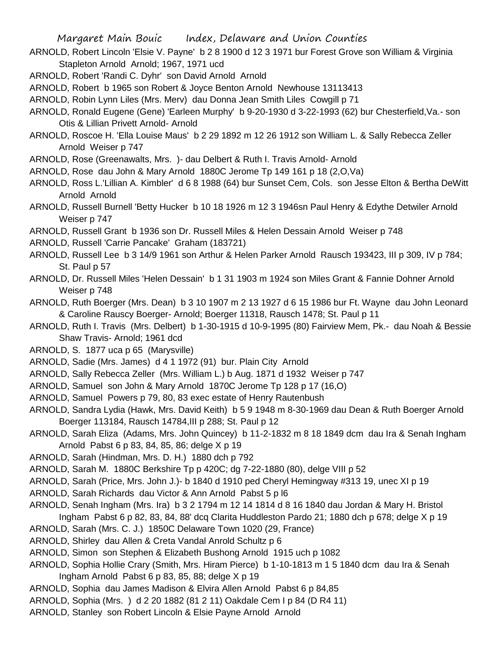- ARNOLD, Robert Lincoln 'Elsie V. Payne' b 2 8 1900 d 12 3 1971 bur Forest Grove son William & Virginia Stapleton Arnold Arnold; 1967, 1971 ucd
- ARNOLD, Robert 'Randi C. Dyhr' son David Arnold Arnold
- ARNOLD, Robert b 1965 son Robert & Joyce Benton Arnold Newhouse 13113413
- ARNOLD, Robin Lynn Liles (Mrs. Merv) dau Donna Jean Smith Liles Cowgill p 71
- ARNOLD, Ronald Eugene (Gene) 'Earleen Murphy' b 9-20-1930 d 3-22-1993 (62) bur Chesterfield,Va.- son Otis & Lillian Privett Arnold- Arnold
- ARNOLD, Roscoe H. 'Ella Louise Maus' b 2 29 1892 m 12 26 1912 son William L. & Sally Rebecca Zeller Arnold Weiser p 747
- ARNOLD, Rose (Greenawalts, Mrs. )- dau Delbert & Ruth I. Travis Arnold- Arnold
- ARNOLD, Rose dau John & Mary Arnold 1880C Jerome Tp 149 161 p 18 (2,O,Va)
- ARNOLD, Ross L.'Lillian A. Kimbler' d 6 8 1988 (64) bur Sunset Cem, Cols. son Jesse Elton & Bertha DeWitt Arnold Arnold
- ARNOLD, Russell Burnell 'Betty Hucker b 10 18 1926 m 12 3 1946sn Paul Henry & Edythe Detwiler Arnold Weiser p 747
- ARNOLD, Russell Grant b 1936 son Dr. Russell Miles & Helen Dessain Arnold Weiser p 748
- ARNOLD, Russell 'Carrie Pancake' Graham (183721)
- ARNOLD, Russell Lee b 3 14/9 1961 son Arthur & Helen Parker Arnold Rausch 193423, III p 309, IV p 784; St. Paul p 57
- ARNOLD, Dr. Russell Miles 'Helen Dessain' b 1 31 1903 m 1924 son Miles Grant & Fannie Dohner Arnold Weiser p 748
- ARNOLD, Ruth Boerger (Mrs. Dean) b 3 10 1907 m 2 13 1927 d 6 15 1986 bur Ft. Wayne dau John Leonard & Caroline Rauscy Boerger- Arnold; Boerger 11318, Rausch 1478; St. Paul p 11
- ARNOLD, Ruth I. Travis (Mrs. Delbert) b 1-30-1915 d 10-9-1995 (80) Fairview Mem, Pk.- dau Noah & Bessie Shaw Travis- Arnold; 1961 dcd
- ARNOLD, S. 1877 uca p 65 (Marysville)
- ARNOLD, Sadie (Mrs. James) d 4 1 1972 (91) bur. Plain City Arnold
- ARNOLD, Sally Rebecca Zeller (Mrs. William L.) b Aug. 1871 d 1932 Weiser p 747
- ARNOLD, Samuel son John & Mary Arnold 1870C Jerome Tp 128 p 17 (16,O)
- ARNOLD, Samuel Powers p 79, 80, 83 exec estate of Henry Rautenbush
- ARNOLD, Sandra Lydia (Hawk, Mrs. David Keith) b 5 9 1948 m 8-30-1969 dau Dean & Ruth Boerger Arnold Boerger 113184, Rausch 14784,III p 288; St. Paul p 12
- ARNOLD, Sarah Eliza (Adams, Mrs. John Quincey) b 11-2-1832 m 8 18 1849 dcm dau Ira & Senah Ingham Arnold Pabst 6 p 83, 84, 85, 86; delge X p 19
- ARNOLD, Sarah (Hindman, Mrs. D. H.) 1880 dch p 792
- ARNOLD, Sarah M. 1880C Berkshire Tp p 420C; dg 7-22-1880 (80), delge VIII p 52
- ARNOLD, Sarah (Price, Mrs. John J.)- b 1840 d 1910 ped Cheryl Hemingway #313 19, unec XI p 19
- ARNOLD, Sarah Richards dau Victor & Ann Arnold Pabst 5 p l6
- ARNOLD, Senah Ingham (Mrs. Ira) b 3 2 1794 m 12 14 1814 d 8 16 1840 dau Jordan & Mary H. Bristol Ingham Pabst 6 p 82, 83, 84, 88' dcq Clarita Huddleston Pardo 21; 1880 dch p 678; delge X p 19
- ARNOLD, Sarah (Mrs. C. J.) 1850C Delaware Town 1020 (29, France)
- ARNOLD, Shirley dau Allen & Creta Vandal Anrold Schultz p 6
- ARNOLD, Simon son Stephen & Elizabeth Bushong Arnold 1915 uch p 1082
- ARNOLD, Sophia Hollie Crary (Smith, Mrs. Hiram Pierce) b 1-10-1813 m 1 5 1840 dcm dau Ira & Senah Ingham Arnold Pabst 6  $p$  83, 85, 88; delge  $X$   $p$  19
- ARNOLD, Sophia dau James Madison & Elvira Allen Arnold Pabst 6 p 84,85
- ARNOLD, Sophia (Mrs. ) d 2 20 1882 (81 2 11) Oakdale Cem I p 84 (D R4 11)
- ARNOLD, Stanley son Robert Lincoln & Elsie Payne Arnold Arnold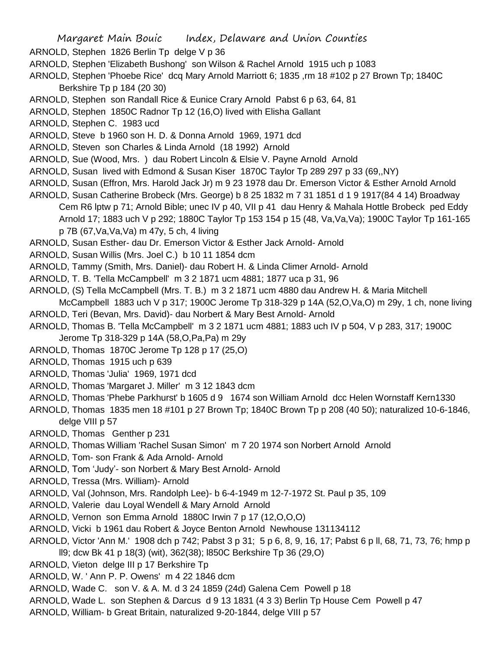- ARNOLD, Stephen 1826 Berlin Tp delge V p 36
- ARNOLD, Stephen 'Elizabeth Bushong' son Wilson & Rachel Arnold 1915 uch p 1083
- ARNOLD, Stephen 'Phoebe Rice' dcq Mary Arnold Marriott 6; 1835 ,rm 18 #102 p 27 Brown Tp; 1840C Berkshire Tp p 184 (20 30)
- ARNOLD, Stephen son Randall Rice & Eunice Crary Arnold Pabst 6 p 63, 64, 81
- ARNOLD, Stephen 1850C Radnor Tp 12 (16,O) lived with Elisha Gallant
- ARNOLD, Stephen C. 1983 ucd
- ARNOLD, Steve b 1960 son H. D. & Donna Arnold 1969, 1971 dcd
- ARNOLD, Steven son Charles & Linda Arnold (18 1992) Arnold
- ARNOLD, Sue (Wood, Mrs. ) dau Robert Lincoln & Elsie V. Payne Arnold Arnold
- ARNOLD, Susan lived with Edmond & Susan Kiser 1870C Taylor Tp 289 297 p 33 (69,,NY)
- ARNOLD, Susan (Effron, Mrs. Harold Jack Jr) m 9 23 1978 dau Dr. Emerson Victor & Esther Arnold Arnold
- ARNOLD, Susan Catherine Brobeck (Mrs. George) b 8 25 1832 m 7 31 1851 d 1 9 1917(84 4 14) Broadway Cem R6 lptw p 71; Arnold Bible; unec IV p 40, VII p 41 dau Henry & Mahala Hottle Brobeck ped Eddy Arnold 17; 1883 uch V p 292; 1880C Taylor Tp 153 154 p 15 (48, Va,Va,Va); 1900C Taylor Tp 161-165 p 7B (67,Va,Va,Va) m 47y, 5 ch, 4 living
- ARNOLD, Susan Esther- dau Dr. Emerson Victor & Esther Jack Arnold- Arnold
- ARNOLD, Susan Willis (Mrs. Joel C.) b 10 11 1854 dcm
- ARNOLD, Tammy (Smith, Mrs. Daniel)- dau Robert H. & Linda Climer Arnold- Arnold
- ARNOLD, T. B. 'Tella McCampbell' m 3 2 1871 ucm 4881; 1877 uca p 31, 96
- ARNOLD, (S) Tella McCampbell (Mrs. T. B.) m 3 2 1871 ucm 4880 dau Andrew H. & Maria Mitchell
- McCampbell 1883 uch V p 317; 1900C Jerome Tp 318-329 p 14A (52,O,Va,O) m 29y, 1 ch, none living
- ARNOLD, Teri (Bevan, Mrs. David)- dau Norbert & Mary Best Arnold- Arnold
- ARNOLD, Thomas B. 'Tella McCampbell' m 3 2 1871 ucm 4881; 1883 uch IV p 504, V p 283, 317; 1900C Jerome Tp 318-329 p 14A (58,O,Pa,Pa) m 29y
- ARNOLD, Thomas 1870C Jerome Tp 128 p 17 (25,O)
- ARNOLD, Thomas 1915 uch p 639
- ARNOLD, Thomas 'Julia' 1969, 1971 dcd
- ARNOLD, Thomas 'Margaret J. Miller' m 3 12 1843 dcm
- ARNOLD, Thomas 'Phebe Parkhurst' b 1605 d 9 1674 son William Arnold dcc Helen Wornstaff Kern1330
- ARNOLD, Thomas 1835 men 18 #101 p 27 Brown Tp; 1840C Brown Tp p 208 (40 50); naturalized 10-6-1846, delge VIII p 57
- ARNOLD, Thomas Genther p 231
- ARNOLD, Thomas William 'Rachel Susan Simon' m 7 20 1974 son Norbert Arnold Arnold
- ARNOLD, Tom- son Frank & Ada Arnold- Arnold
- ARNOLD, Tom 'Judy'- son Norbert & Mary Best Arnold- Arnold
- ARNOLD, Tressa (Mrs. William)- Arnold
- ARNOLD, Val (Johnson, Mrs. Randolph Lee)- b 6-4-1949 m 12-7-1972 St. Paul p 35, 109
- ARNOLD, Valerie dau Loyal Wendell & Mary Arnold Arnold
- ARNOLD, Vernon son Emma Arnold 1880C Irwin 7 p 17 (12,O,O,O)
- ARNOLD, Vicki b 1961 dau Robert & Joyce Benton Arnold Newhouse 131134112
- ARNOLD, Victor 'Ann M.' 1908 dch p 742; Pabst 3 p 31; 5 p 6, 8, 9, 16, 17; Pabst 6 p ll, 68, 71, 73, 76; hmp p ll9; dcw Bk 41 p 18(3) (wit), 362(38); l850C Berkshire Tp 36 (29,O)
- ARNOLD, Vieton delge III p 17 Berkshire Tp
- ARNOLD, W. ' Ann P. P. Owens' m 4 22 1846 dcm
- ARNOLD, Wade C. son V. & A. M. d 3 24 1859 (24d) Galena Cem Powell p 18
- ARNOLD, Wade L. son Stephen & Darcus d 9 13 1831 (4 3 3) Berlin Tp House Cem Powell p 47
- ARNOLD, William- b Great Britain, naturalized 9-20-1844, delge VIII p 57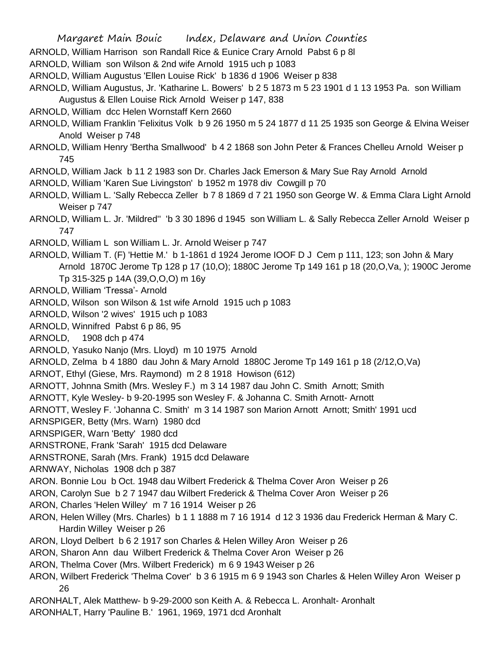ARNOLD, William Harrison son Randall Rice & Eunice Crary Arnold Pabst 6 p 8l

ARNOLD, William son Wilson & 2nd wife Arnold 1915 uch p 1083

ARNOLD, William Augustus 'Ellen Louise Rick' b 1836 d 1906 Weiser p 838

- ARNOLD, William Augustus, Jr. 'Katharine L. Bowers' b 2 5 1873 m 5 23 1901 d 1 13 1953 Pa. son William Augustus & Ellen Louise Rick Arnold Weiser p 147, 838
- ARNOLD, William dcc Helen Wornstaff Kern 2660
- ARNOLD, William Franklin 'Felixitus Volk b 9 26 1950 m 5 24 1877 d 11 25 1935 son George & Elvina Weiser Anold Weiser p 748
- ARNOLD, William Henry 'Bertha Smallwood' b 4 2 1868 son John Peter & Frances Chelleu Arnold Weiser p 745
- ARNOLD, William Jack b 11 2 1983 son Dr. Charles Jack Emerson & Mary Sue Ray Arnold Arnold
- ARNOLD, William 'Karen Sue Livingston' b 1952 m 1978 div Cowgill p 70
- ARNOLD, William L. 'Sally Rebecca Zeller b 7 8 1869 d 7 21 1950 son George W. & Emma Clara Light Arnold Weiser p 747

ARNOLD, William L. Jr. 'Mildred'' 'b 3 30 1896 d 1945 son William L. & Sally Rebecca Zeller Arnold Weiser p 747

- ARNOLD, William L son William L. Jr. Arnold Weiser p 747
- ARNOLD, William T. (F) 'Hettie M.' b 1-1861 d 1924 Jerome IOOF D J Cem p 111, 123; son John & Mary Arnold 1870C Jerome Tp 128 p 17 (10,O); 1880C Jerome Tp 149 161 p 18 (20,O,Va, ); 1900C Jerome Tp 315-325 p 14A (39,O,O,O) m 16y
- ARNOLD, William 'Tressa'- Arnold
- ARNOLD, Wilson son Wilson & 1st wife Arnold 1915 uch p 1083
- ARNOLD, Wilson '2 wives' 1915 uch p 1083
- ARNOLD, Winnifred Pabst 6 p 86, 95
- ARNOLD, 1908 dch p 474
- ARNOLD, Yasuko Nanjo (Mrs. Lloyd) m 10 1975 Arnold
- ARNOLD, Zelma b 4 1880 dau John & Mary Arnold 1880C Jerome Tp 149 161 p 18 (2/12,O,Va)
- ARNOT, Ethyl (Giese, Mrs. Raymond) m 2 8 1918 Howison (612)
- ARNOTT, Johnna Smith (Mrs. Wesley F.) m 3 14 1987 dau John C. Smith Arnott; Smith
- ARNOTT, Kyle Wesley- b 9-20-1995 son Wesley F. & Johanna C. Smith Arnott- Arnott
- ARNOTT, Wesley F. 'Johanna C. Smith' m 3 14 1987 son Marion Arnott Arnott; Smith' 1991 ucd
- ARNSPIGER, Betty (Mrs. Warn) 1980 dcd
- ARNSPIGER, Warn 'Betty' 1980 dcd
- ARNSTRONE, Frank 'Sarah' 1915 dcd Delaware
- ARNSTRONE, Sarah (Mrs. Frank) 1915 dcd Delaware
- ARNWAY, Nicholas 1908 dch p 387
- ARON. Bonnie Lou b Oct. 1948 dau Wilbert Frederick & Thelma Cover Aron Weiser p 26
- ARON, Carolyn Sue b 2 7 1947 dau Wilbert Frederick & Thelma Cover Aron Weiser p 26
- ARON, Charles 'Helen Willey' m 7 16 1914 Weiser p 26
- ARON, Helen Willey (Mrs. Charles) b 1 1 1888 m 7 16 1914 d 12 3 1936 dau Frederick Herman & Mary C. Hardin Willey Weiser p 26
- ARON, Lloyd Delbert b 6 2 1917 son Charles & Helen Willey Aron Weiser p 26
- ARON, Sharon Ann dau Wilbert Frederick & Thelma Cover Aron Weiser p 26
- ARON, Thelma Cover (Mrs. Wilbert Frederick) m 6 9 1943 Weiser p 26
- ARON, Wilbert Frederick 'Thelma Cover' b 3 6 1915 m 6 9 1943 son Charles & Helen Willey Aron Weiser p 26
- ARONHALT, Alek Matthew- b 9-29-2000 son Keith A. & Rebecca L. Aronhalt- Aronhalt
- ARONHALT, Harry 'Pauline B.' 1961, 1969, 1971 dcd Aronhalt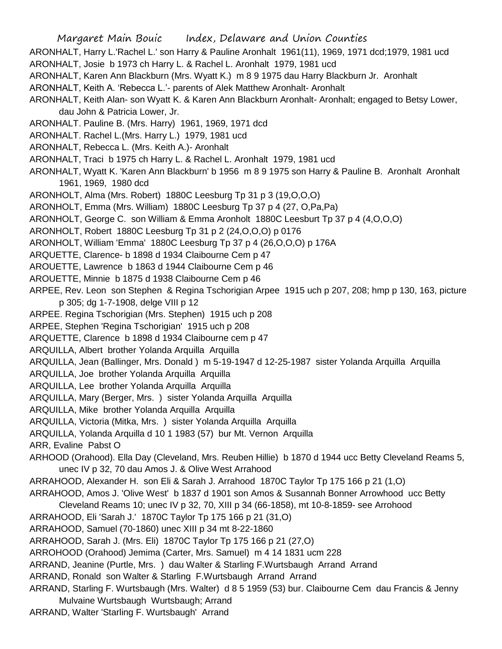ARONHALT, Harry L.'Rachel L.' son Harry & Pauline Aronhalt 1961(11), 1969, 1971 dcd;1979, 1981 ucd ARONHALT, Josie b 1973 ch Harry L. & Rachel L. Aronhalt 1979, 1981 ucd

- ARONHALT, Karen Ann Blackburn (Mrs. Wyatt K.) m 8 9 1975 dau Harry Blackburn Jr. Aronhalt
- ARONHALT, Keith A. 'Rebecca L.'- parents of Alek Matthew Aronhalt- Aronhalt
- ARONHALT, Keith Alan- son Wyatt K. & Karen Ann Blackburn Aronhalt- Aronhalt; engaged to Betsy Lower, dau John & Patricia Lower, Jr.
- ARONHALT. Pauline B. (Mrs. Harry) 1961, 1969, 1971 dcd
- ARONHALT. Rachel L.(Mrs. Harry L.) 1979, 1981 ucd
- ARONHALT, Rebecca L. (Mrs. Keith A.)- Aronhalt
- ARONHALT, Traci b 1975 ch Harry L. & Rachel L. Aronhalt 1979, 1981 ucd
- ARONHALT, Wyatt K. 'Karen Ann Blackburn' b 1956 m 8 9 1975 son Harry & Pauline B. Aronhalt Aronhalt 1961, 1969, 1980 dcd
- ARONHOLT, Alma (Mrs. Robert) 1880C Leesburg Tp 31 p 3 (19,O,O,O)
- ARONHOLT, Emma (Mrs. William) 1880C Leesburg Tp 37 p 4 (27, O,Pa,Pa)
- ARONHOLT, George C. son William & Emma Aronholt 1880C Leesburt Tp 37 p 4 (4,O,O,O)
- ARONHOLT, Robert 1880C Leesburg Tp 31 p 2 (24,O,O,O) p 0176
- ARONHOLT, William 'Emma' 1880C Leesburg Tp 37 p 4 (26,O,O,O) p 176A
- ARQUETTE, Clarence- b 1898 d 1934 Claibourne Cem p 47
- AROUETTE, Lawrence b 1863 d 1944 Claibourne Cem p 46
- AROUETTE, Minnie b 1875 d 1938 Claibourne Cem p 46
- ARPEE, Rev. Leon son Stephen & Regina Tschorigian Arpee 1915 uch p 207, 208; hmp p 130, 163, picture p 305; dg 1-7-1908, delge VIII p 12
- ARPEE. Regina Tschorigian (Mrs. Stephen) 1915 uch p 208
- ARPEE, Stephen 'Regina Tschorigian' 1915 uch p 208
- ARQUETTE, Clarence b 1898 d 1934 Claibourne cem p 47
- ARQUILLA, Albert brother Yolanda Arquilla Arquilla
- ARQUILLA, Jean (Ballinger, Mrs. Donald ) m 5-19-1947 d 12-25-1987 sister Yolanda Arquilla Arquilla
- ARQUILLA, Joe brother Yolanda Arquilla Arquilla
- ARQUILLA, Lee brother Yolanda Arquilla Arquilla
- ARQUILLA, Mary (Berger, Mrs. ) sister Yolanda Arquilla Arquilla
- ARQUILLA, Mike brother Yolanda Arquilla Arquilla
- ARQUILLA, Victoria (Mitka, Mrs. ) sister Yolanda Arquilla Arquilla
- ARQUILLA, Yolanda Arquilla d 10 1 1983 (57) bur Mt. Vernon Arquilla
- ARR, Evaline Pabst O
- ARHOOD (Orahood). Ella Day (Cleveland, Mrs. Reuben Hillie) b 1870 d 1944 ucc Betty Cleveland Reams 5, unec IV p 32, 70 dau Amos J. & Olive West Arrahood
- ARRAHOOD, Alexander H. son Eli & Sarah J. Arrahood 1870C Taylor Tp 175 166 p 21 (1,O)
- ARRAHOOD, Amos J. 'Olive West' b 1837 d 1901 son Amos & Susannah Bonner Arrowhood ucc Betty
- Cleveland Reams 10; unec IV p 32, 70, XIII p 34 (66-1858), mt 10-8-1859- see Arrohood
- ARRAHOOD, Eli 'Sarah J.' 1870C Taylor Tp 175 166 p 21 (31,O)
- ARRAHOOD, Samuel (70-1860) unec XIII p 34 mt 8-22-1860
- ARRAHOOD, Sarah J. (Mrs. Eli) 1870C Taylor Tp 175 166 p 21 (27,O)
- ARROHOOD (Orahood) Jemima (Carter, Mrs. Samuel) m 4 14 1831 ucm 228
- ARRAND, Jeanine (Purtle, Mrs. ) dau Walter & Starling F.Wurtsbaugh Arrand Arrand
- ARRAND, Ronald son Walter & Starling F.Wurtsbaugh Arrand Arrand
- ARRAND, Starling F. Wurtsbaugh (Mrs. Walter) d 8 5 1959 (53) bur. Claibourne Cem dau Francis & Jenny Mulvaine Wurtsbaugh Wurtsbaugh; Arrand
- ARRAND, Walter 'Starling F. Wurtsbaugh' Arrand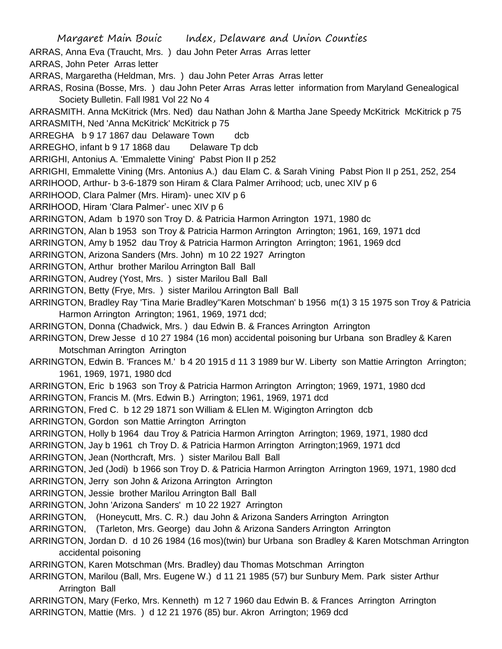- Margaret Main Bouic Index, Delaware and Union Counties
- ARRAS, Anna Eva (Traucht, Mrs. ) dau John Peter Arras Arras letter

ARRAS, John Peter Arras letter

- ARRAS, Margaretha (Heldman, Mrs. ) dau John Peter Arras Arras letter
- ARRAS, Rosina (Bosse, Mrs. ) dau John Peter Arras Arras letter information from Maryland Genealogical Society Bulletin. Fall l981 Vol 22 No 4
- ARRASMITH. Anna McKitrick (Mrs. Ned) dau Nathan John & Martha Jane Speedy McKitrick McKitrick p 75 ARRASMITH, Ned 'Anna McKitrick' McKitrick p 75
- ARREGHA b 9 17 1867 dau Delaware Town dcb
- ARREGHO, infant b 9 17 1868 dau Delaware Tp dcb
- ARRIGHI, Antonius A. 'Emmalette Vining' Pabst Pion II p 252
- ARRIGHI, Emmalette Vining (Mrs. Antonius A.) dau Elam C. & Sarah Vining Pabst Pion II p 251, 252, 254 ARRIHOOD, Arthur- b 3-6-1879 son Hiram & Clara Palmer Arrihood; ucb, unec XIV p 6
- ARRIHOOD, Clara Palmer (Mrs. Hiram)- unec XIV p 6
- ARRIHOOD, Hiram 'Clara Palmer'- unec XIV p 6
- ARRINGTON, Adam b 1970 son Troy D. & Patricia Harmon Arrington 1971, 1980 dc
- ARRINGTON, Alan b 1953 son Troy & Patricia Harmon Arrington Arrington; 1961, 169, 1971 dcd
- ARRINGTON, Amy b 1952 dau Troy & Patricia Harmon Arrington Arrington; 1961, 1969 dcd
- ARRINGTON, Arizona Sanders (Mrs. John) m 10 22 1927 Arrington
- ARRINGTON, Arthur brother Marilou Arrington Ball Ball
- ARRINGTON, Audrey (Yost, Mrs. ) sister Marilou Ball Ball
- ARRINGTON, Betty (Frye, Mrs. ) sister Marilou Arrington Ball Ball
- ARRINGTON, Bradley Ray 'Tina Marie Bradley''Karen Motschman' b 1956 m(1) 3 15 1975 son Troy & Patricia Harmon Arrington Arrington; 1961, 1969, 1971 dcd;
- ARRINGTON, Donna (Chadwick, Mrs. ) dau Edwin B. & Frances Arrington Arrington
- ARRINGTON, Drew Jesse d 10 27 1984 (16 mon) accidental poisoning bur Urbana son Bradley & Karen Motschman Arrington Arrington
- ARRINGTON, Edwin B. 'Frances M.' b 4 20 1915 d 11 3 1989 bur W. Liberty son Mattie Arrington Arrington; 1961, 1969, 1971, 1980 dcd
- ARRINGTON, Eric b 1963 son Troy & Patricia Harmon Arrington Arrington; 1969, 1971, 1980 dcd
- ARRINGTON, Francis M. (Mrs. Edwin B.) Arrington; 1961, 1969, 1971 dcd
- ARRINGTON, Fred C. b 12 29 1871 son William & ELlen M. Wigington Arrington dcb
- ARRINGTON, Gordon son Mattie Arrington Arrington
- ARRINGTON, Holly b 1964 dau Troy & Patricia Harmon Arrington Arrington; 1969, 1971, 1980 dcd
- ARRINGTON, Jay b 1961 ch Troy D. & Patricia Harmon Arrington Arrington;1969, 1971 dcd
- ARRINGTON, Jean (Northcraft, Mrs. ) sister Marilou Ball Ball
- ARRINGTON, Jed (Jodi) b 1966 son Troy D. & Patricia Harmon Arrington Arrington 1969, 1971, 1980 dcd ARRINGTON, Jerry son John & Arizona Arrington Arrington
- ARRINGTON, Jessie brother Marilou Arrington Ball Ball
- ARRINGTON, John 'Arizona Sanders' m 10 22 1927 Arrington
- ARRINGTON, (Honeycutt, Mrs. C. R.) dau John & Arizona Sanders Arrington Arrington
- ARRINGTON, (Tarleton, Mrs. George) dau John & Arizona Sanders Arrington Arrington
- ARRINGTON, Jordan D. d 10 26 1984 (16 mos)(twin) bur Urbana son Bradley & Karen Motschman Arrington accidental poisoning
- ARRINGTON, Karen Motschman (Mrs. Bradley) dau Thomas Motschman Arrington
- ARRINGTON, Marilou (Ball, Mrs. Eugene W.) d 11 21 1985 (57) bur Sunbury Mem. Park sister Arthur Arrington Ball
- ARRINGTON, Mary (Ferko, Mrs. Kenneth) m 12 7 1960 dau Edwin B. & Frances Arrington Arrington ARRINGTON, Mattie (Mrs. ) d 12 21 1976 (85) bur. Akron Arrington; 1969 dcd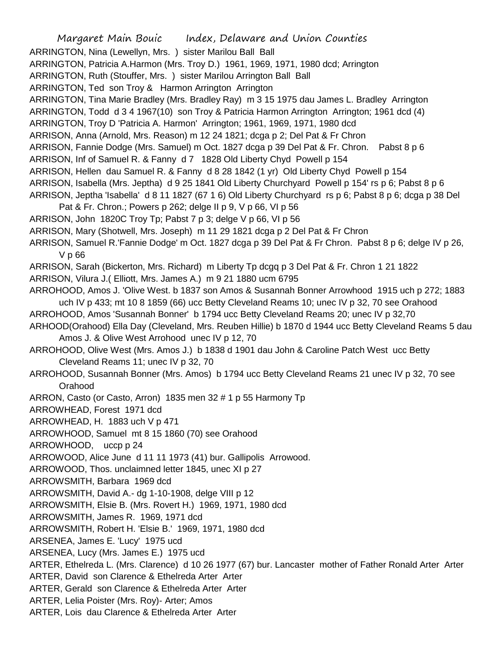Margaret Main Bouic Index, Delaware and Union Counties ARRINGTON, Nina (Lewellyn, Mrs. ) sister Marilou Ball Ball ARRINGTON, Patricia A.Harmon (Mrs. Troy D.) 1961, 1969, 1971, 1980 dcd; Arrington ARRINGTON, Ruth (Stouffer, Mrs. ) sister Marilou Arrington Ball Ball ARRINGTON, Ted son Troy & Harmon Arrington Arrington ARRINGTON, Tina Marie Bradley (Mrs. Bradley Ray) m 3 15 1975 dau James L. Bradley Arrington ARRINGTON, Todd d 3 4 1967(10) son Troy & Patricia Harmon Arrington Arrington; 1961 dcd (4) ARRINGTON, Troy D 'Patricia A. Harmon' Arrington; 1961, 1969, 1971, 1980 dcd ARRISON, Anna (Arnold, Mrs. Reason) m 12 24 1821; dcga p 2; Del Pat & Fr Chron ARRISON, Fannie Dodge (Mrs. Samuel) m Oct. 1827 dcga p 39 Del Pat & Fr. Chron. Pabst 8 p 6 ARRISON, Inf of Samuel R. & Fanny d 7 1828 Old Liberty Chyd Powell p 154 ARRISON, Hellen dau Samuel R. & Fanny d 8 28 1842 (1 yr) Old Liberty Chyd Powell p 154 ARRISON, Isabella (Mrs. Jeptha) d 9 25 1841 Old Liberty Churchyard Powell p 154' rs p 6; Pabst 8 p 6 ARRISON, Jeptha 'Isabella' d 8 11 1827 (67 1 6) Old Liberty Churchyard rs p 6; Pabst 8 p 6; dcga p 38 Del Pat & Fr. Chron.; Powers p 262; delge II p 9, V p 66, VI p 56 ARRISON, John 1820C Troy Tp; Pabst 7 p 3; delge V p 66, VI p 56 ARRISON, Mary (Shotwell, Mrs. Joseph) m 11 29 1821 dcga p 2 Del Pat & Fr Chron ARRISON, Samuel R.'Fannie Dodge' m Oct. 1827 dcga p 39 Del Pat & Fr Chron. Pabst 8 p 6; delge IV p 26, V p 66 ARRISON, Sarah (Bickerton, Mrs. Richard) m Liberty Tp dcgq p 3 Del Pat & Fr. Chron 1 21 1822 ARRISON, Vilura J.( Elliott, Mrs. James A.) m 9 21 1880 ucm 6795 ARROHOOD, Amos J. 'Olive West. b 1837 son Amos & Susannah Bonner Arrowhood 1915 uch p 272; 1883 uch IV p 433; mt 10 8 1859 (66) ucc Betty Cleveland Reams 10; unec IV p 32, 70 see Orahood ARROHOOD, Amos 'Susannah Bonner' b 1794 ucc Betty Cleveland Reams 20; unec IV p 32,70 ARHOOD(Orahood) Ella Day (Cleveland, Mrs. Reuben Hillie) b 1870 d 1944 ucc Betty Cleveland Reams 5 dau Amos J. & Olive West Arrohood unec IV p 12, 70 ARROHOOD, Olive West (Mrs. Amos J.) b 1838 d 1901 dau John & Caroline Patch West ucc Betty Cleveland Reams 11; unec IV p 32, 70 ARROHOOD, Susannah Bonner (Mrs. Amos) b 1794 ucc Betty Cleveland Reams 21 unec IV p 32, 70 see Orahood ARRON, Casto (or Casto, Arron) 1835 men 32 # 1 p 55 Harmony Tp ARROWHEAD, Forest 1971 dcd ARROWHEAD, H. 1883 uch V p 471 ARROWHOOD, Samuel mt 8 15 1860 (70) see Orahood ARROWHOOD, uccp p 24 ARROWOOD, Alice June d 11 11 1973 (41) bur. Gallipolis Arrowood. ARROWOOD, Thos. unclaimned letter 1845, unec XI p 27 ARROWSMITH, Barbara 1969 dcd ARROWSMITH, David A.- dg 1-10-1908, delge VIII p 12 ARROWSMITH, Elsie B. (Mrs. Rovert H.) 1969, 1971, 1980 dcd ARROWSMITH, James R. 1969, 1971 dcd ARROWSMITH, Robert H. 'Elsie B.' 1969, 1971, 1980 dcd ARSENEA, James E. 'Lucy' 1975 ucd ARSENEA, Lucy (Mrs. James E.) 1975 ucd ARTER, Ethelreda L. (Mrs. Clarence) d 10 26 1977 (67) bur. Lancaster mother of Father Ronald Arter Arter ARTER, David son Clarence & Ethelreda Arter Arter ARTER, Gerald son Clarence & Ethelreda Arter Arter ARTER, Lelia Poister (Mrs. Roy)- Arter; Amos ARTER, Lois dau Clarence & Ethelreda Arter Arter